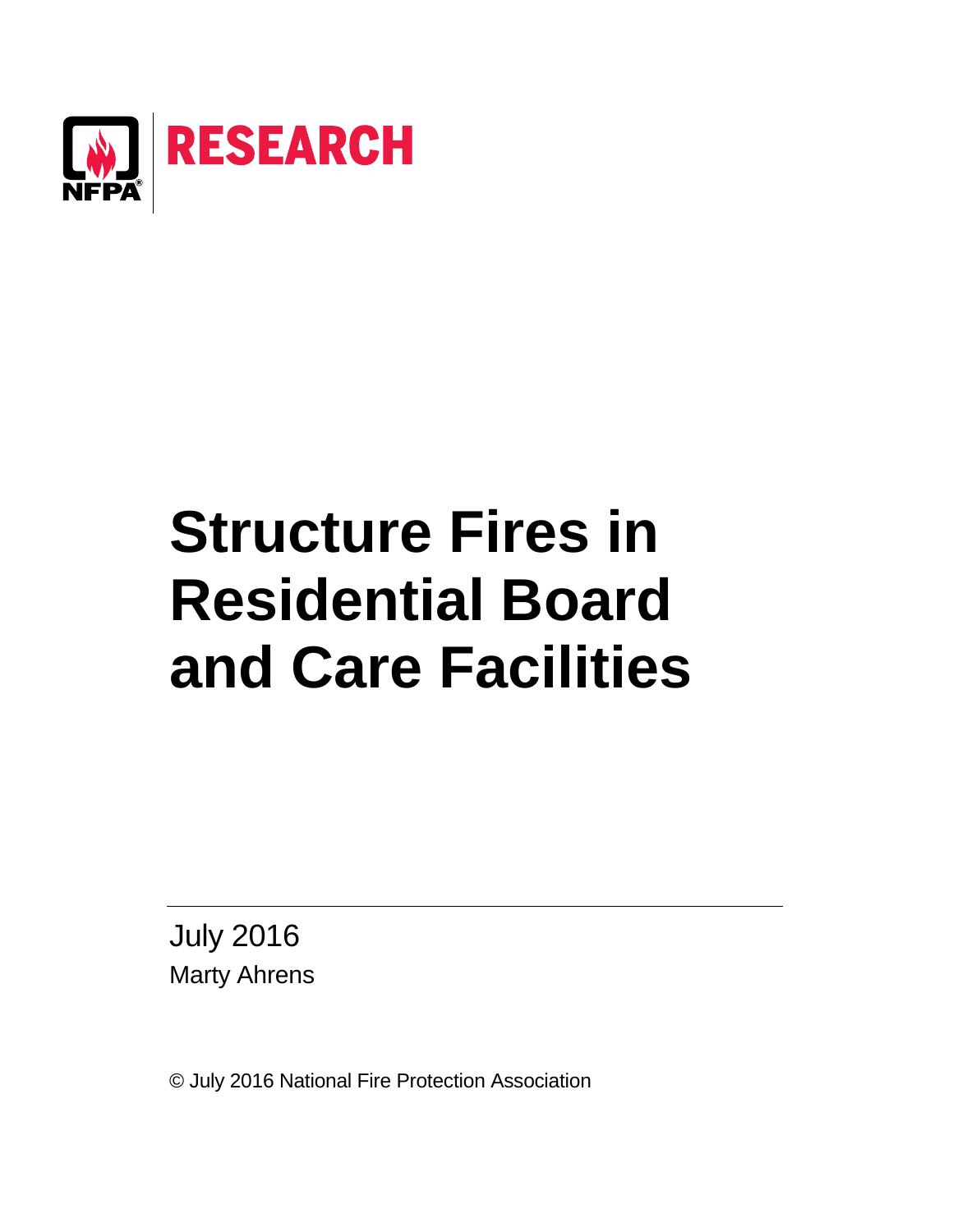

# **Structure Fires in Residential Board and Care Facilities**

July 2016 Marty Ahrens

© July 2016 National Fire Protection Association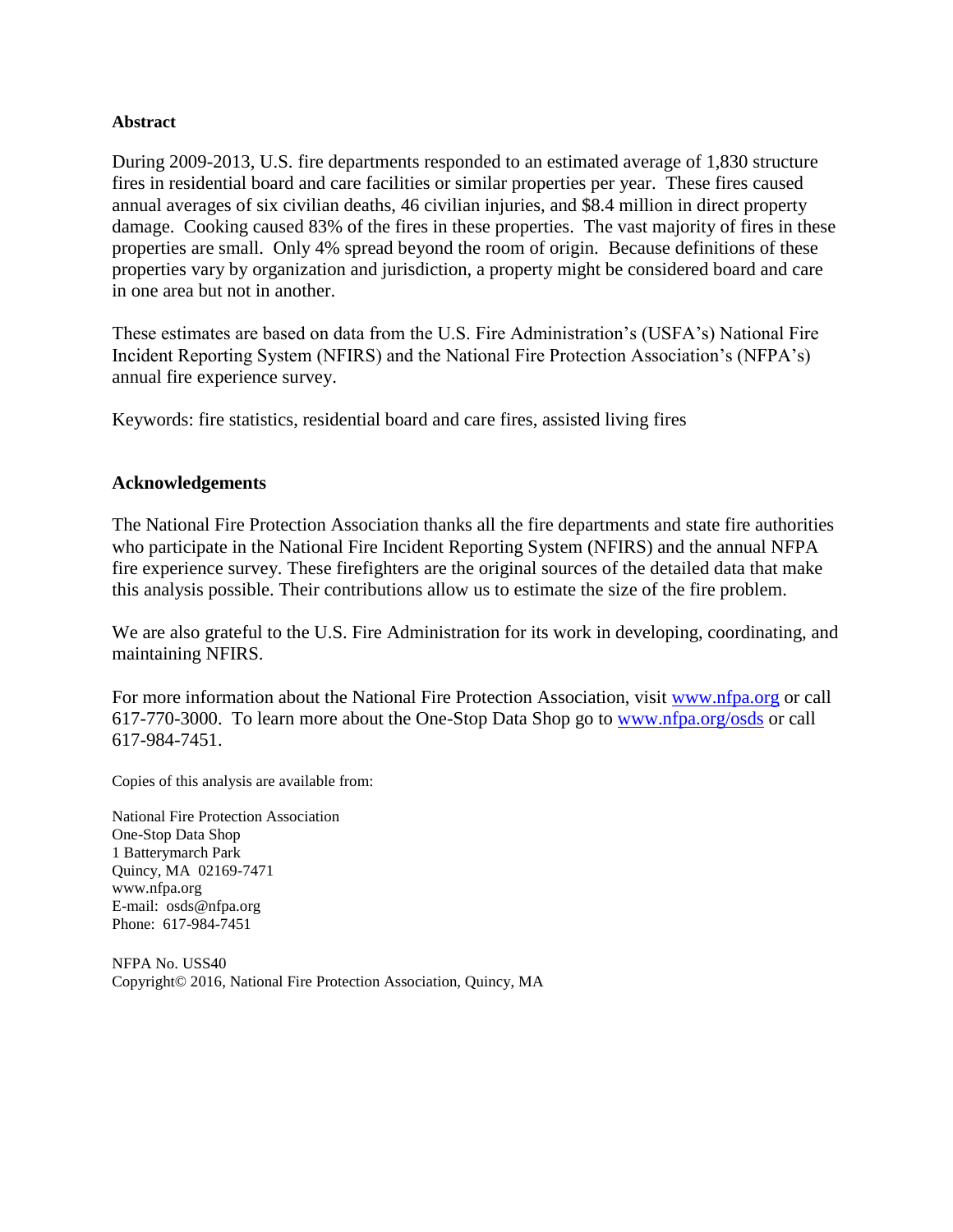#### **Abstract**

During 2009-2013, U.S. fire departments responded to an estimated average of 1,830 structure fires in residential board and care facilities or similar properties per year. These fires caused annual averages of six civilian deaths, 46 civilian injuries, and \$8.4 million in direct property damage. Cooking caused 83% of the fires in these properties. The vast majority of fires in these properties are small. Only 4% spread beyond the room of origin. Because definitions of these properties vary by organization and jurisdiction, a property might be considered board and care in one area but not in another.

These estimates are based on data from the U.S. Fire Administration's (USFA's) National Fire Incident Reporting System (NFIRS) and the National Fire Protection Association's (NFPA's) annual fire experience survey.

Keywords: fire statistics, residential board and care fires, assisted living fires

## **Acknowledgements**

The National Fire Protection Association thanks all the fire departments and state fire authorities who participate in the National Fire Incident Reporting System (NFIRS) and the annual NFPA fire experience survey. These firefighters are the original sources of the detailed data that make this analysis possible. Their contributions allow us to estimate the size of the fire problem.

We are also grateful to the U.S. Fire Administration for its work in developing, coordinating, and maintaining NFIRS.

For more information about the National Fire Protection Association, visit [www.nfpa.org](http://www.nfpa.org/index.asp?order_src=C072&lid=C072) or call 617-770-3000. To learn more about the One-Stop Data Shop go to [www.nfpa.org/osds](http://www.nfpa.org/categoryList.asp?categoryID=219&order_src=C072&lid=C072) or call 617-984-7451.

Copies of this analysis are available from:

National Fire Protection Association One-Stop Data Shop 1 Batterymarch Park Quincy, MA 02169-7471 www.nfpa.org E-mail: osds@nfpa.org Phone: 617-984-7451

NFPA No. USS40 Copyright© 2016, National Fire Protection Association, Quincy, MA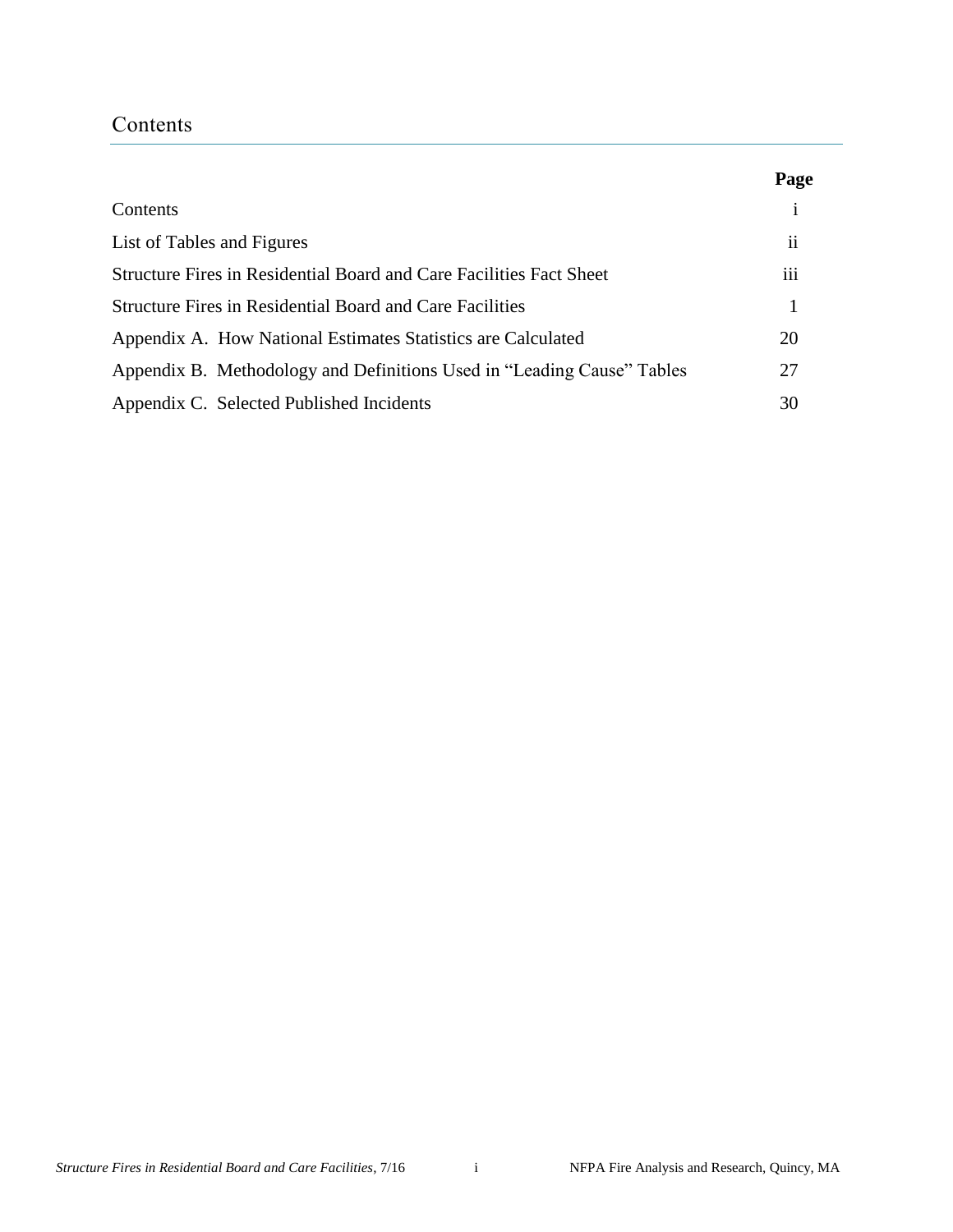## Contents

|                                                                        | Page                |
|------------------------------------------------------------------------|---------------------|
| Contents                                                               | $\mathbf{i}$        |
| List of Tables and Figures                                             | $\ddot{\mathbf{i}}$ |
| Structure Fires in Residential Board and Care Facilities Fact Sheet    | iii                 |
| <b>Structure Fires in Residential Board and Care Facilities</b>        |                     |
| Appendix A. How National Estimates Statistics are Calculated           | 20                  |
| Appendix B. Methodology and Definitions Used in "Leading Cause" Tables | 27                  |
| Appendix C. Selected Published Incidents                               | 30                  |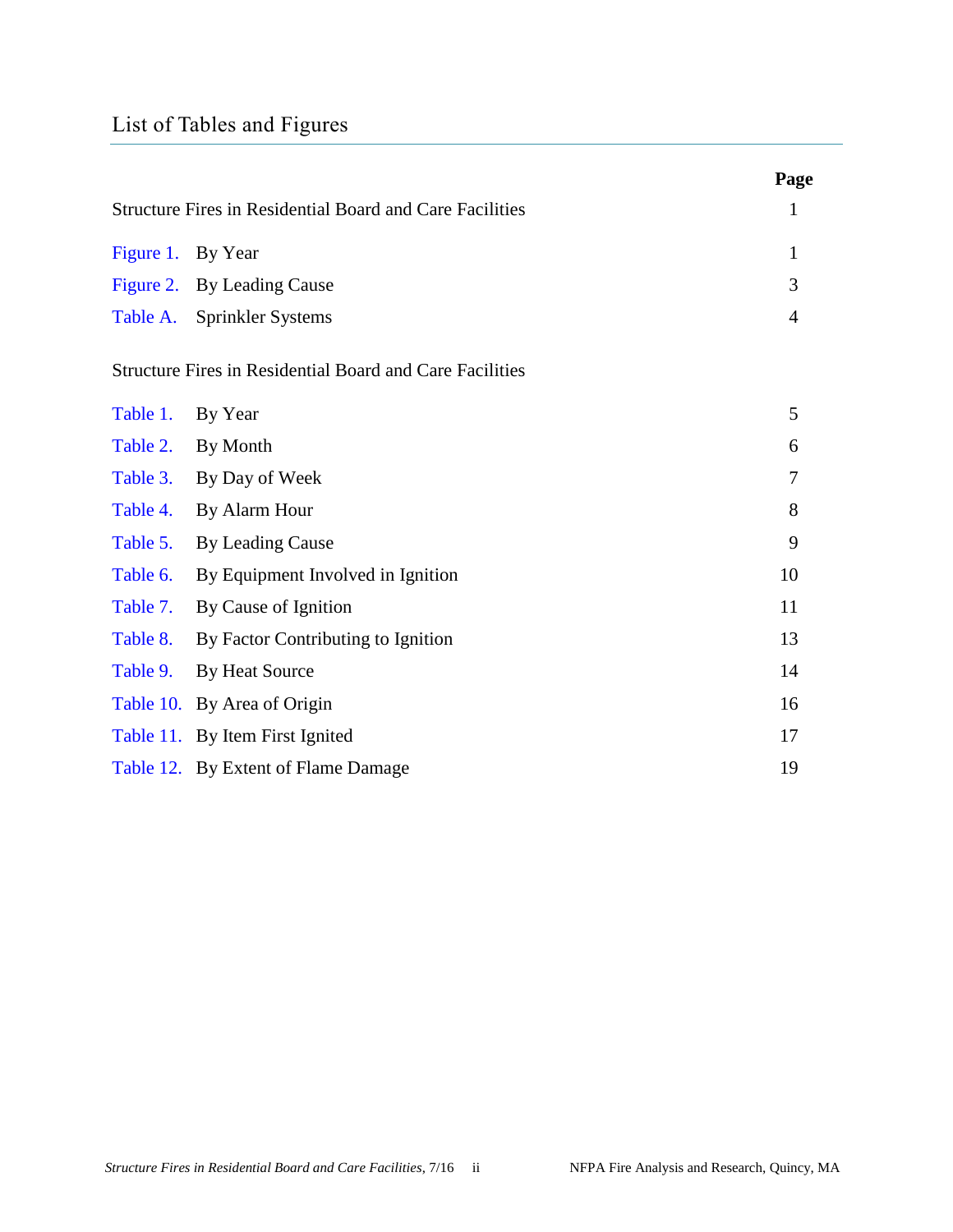# List of Tables and Figures

|                   |                                                                 | Page           |
|-------------------|-----------------------------------------------------------------|----------------|
|                   | Structure Fires in Residential Board and Care Facilities        | 1              |
| Figure 1. By Year |                                                                 | 1              |
|                   | Figure 2. By Leading Cause                                      | 3              |
|                   | Table A. Sprinkler Systems                                      | $\overline{4}$ |
|                   | <b>Structure Fires in Residential Board and Care Facilities</b> |                |
| Table 1.          | By Year                                                         | 5              |
| Table 2.          | By Month                                                        | 6              |
| Table 3.          | By Day of Week                                                  | $\tau$         |
| Table 4.          | By Alarm Hour                                                   | 8              |
| Table 5.          | By Leading Cause                                                | 9              |
| Table 6.          | By Equipment Involved in Ignition                               | 10             |
| Table 7.          | By Cause of Ignition                                            | 11             |
| Table 8.          | By Factor Contributing to Ignition                              | 13             |
| Table 9.          | By Heat Source                                                  | 14             |
|                   | Table 10. By Area of Origin                                     | 16             |
|                   | Table 11. By Item First Ignited                                 | 17             |
|                   | Table 12. By Extent of Flame Damage                             | 19             |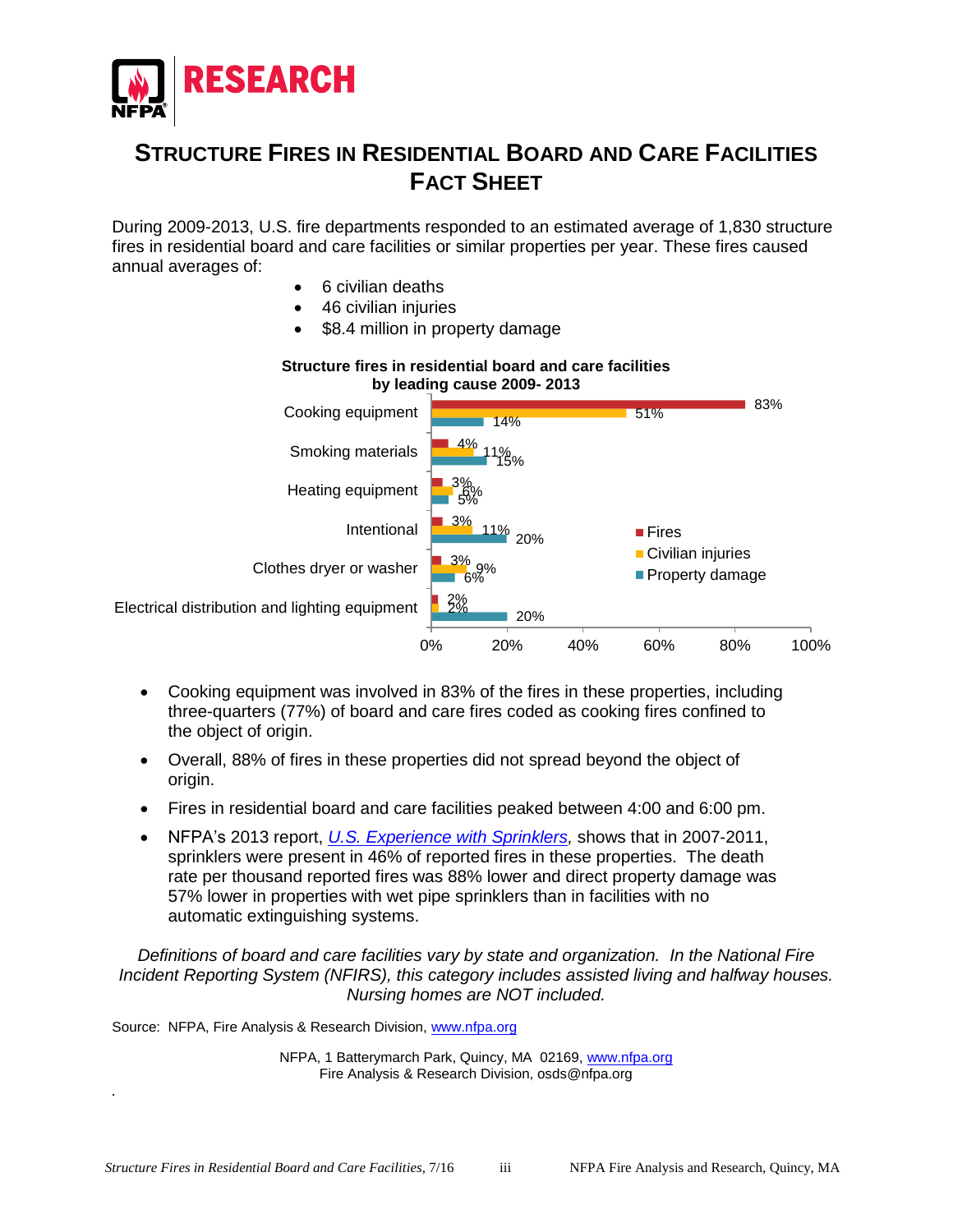

# **STRUCTURE FIRES IN RESIDENTIAL BOARD AND CARE FACILITIES FACT SHEET**

During 2009-2013, U.S. fire departments responded to an estimated average of 1,830 structure fires in residential board and care facilities or similar properties per year. These fires caused annual averages of:

- 6 civilian deaths
- 46 civilian injuries
- \$8.4 million in property damage



- Cooking equipment was involved in 83% of the fires in these properties, including three-quarters (77%) of board and care fires coded as cooking fires confined to the object of origin.
- Overall, 88% of fires in these properties did not spread beyond the object of origin.
- Fires in residential board and care facilities peaked between 4:00 and 6:00 pm.
- NFPA's 2013 report, *[U.S. Experience with Sprinklers,](http://www.nfpa.org/~/media/files/research/nfpa-reports/fire-protection-systems/ossprinklers.pdf?la=en)* shows that in 2007-2011, sprinklers were present in 46% of reported fires in these properties. The death rate per thousand reported fires was 88% lower and direct property damage was 57% lower in properties with wet pipe sprinklers than in facilities with no automatic extinguishing systems.

*Definitions of board and care facilities vary by state and organization. In the National Fire Incident Reporting System (NFIRS), this category includes assisted living and halfway houses. Nursing homes are NOT included.*

Source: NFPA, Fire Analysis & Research Division, [www.nfpa.org](http://www.nfpa.org/)

*.*

NFPA, 1 Batterymarch Park, Quincy, MA 02169, [www.nfpa.org](http://www.nfpa.org/) Fire Analysis & Research Division, osds@nfpa.org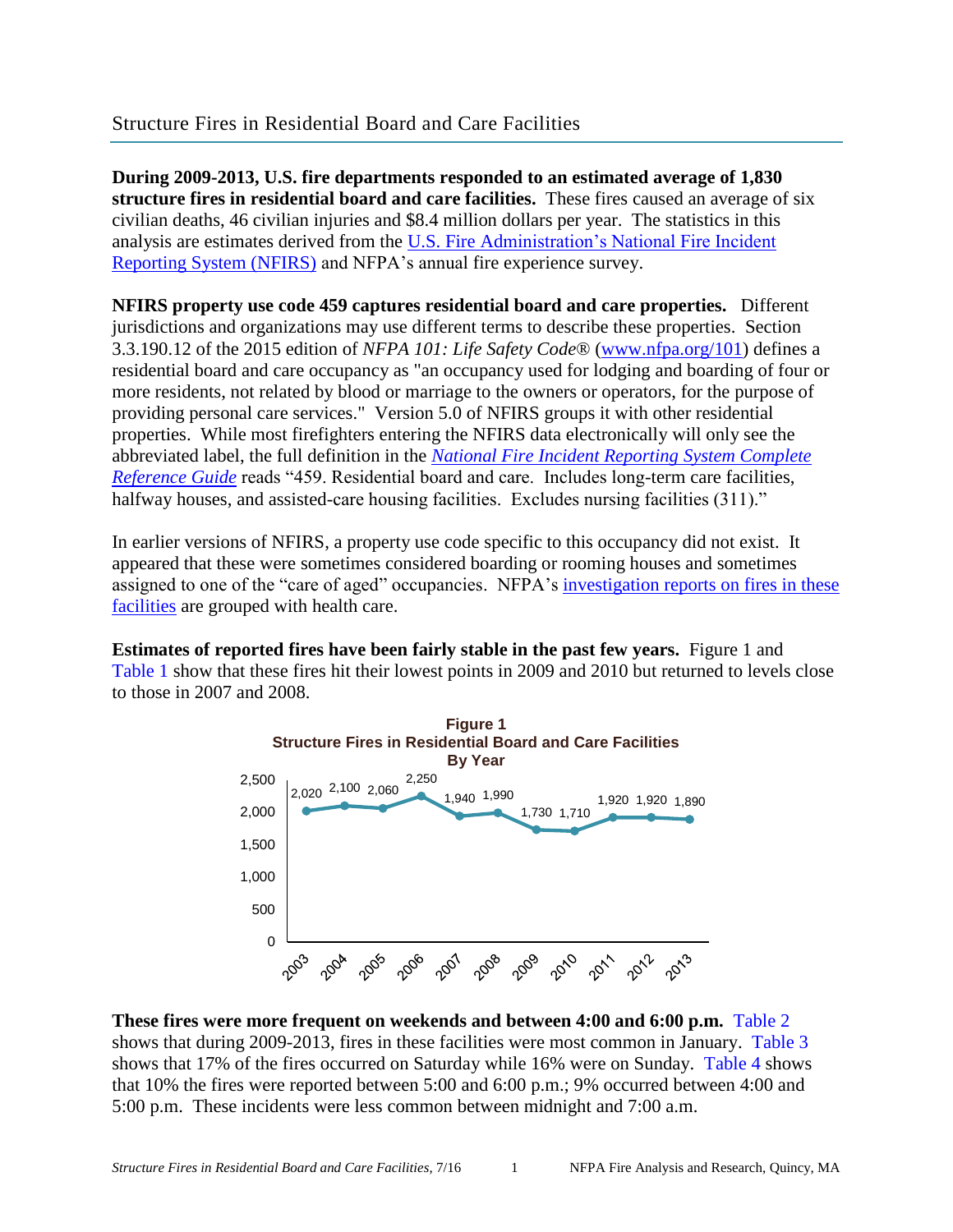<span id="page-5-0"></span>**During 2009-2013, U.S. fire departments responded to an estimated average of 1,830 structure fires in residential board and care facilities.** These fires caused an average of six civilian deaths, 46 civilian injuries and \$8.4 million dollars per year. The statistics in this analysis are estimates derived from the [U.S. Fire Administration's National Fire Incident](https://www.usfa.fema.gov/data/nfirs/)  [Reporting System \(NFIRS\)](https://www.usfa.fema.gov/data/nfirs/) and NFPA's annual fire experience survey.

**NFIRS property use code 459 captures residential board and care properties.** Different jurisdictions and organizations may use different terms to describe these properties. Section 3.3.190.12 of the 2015 edition of *NFPA 101: Life Safety Code*® [\(www.nfpa.org/101\)](http://www.nfpa.org/aboutthecodes/AboutTheCodes.asp?DocNum=101&order_src=C072&lid=C072) defines a residential board and care occupancy as "an occupancy used for lodging and boarding of four or more residents, not related by blood or marriage to the owners or operators, for the purpose of providing personal care services." Version 5.0 of NFIRS groups it with other residential properties. While most firefighters entering the NFIRS data electronically will only see the abbreviated label, the full definition in the *[National Fire Incident Reporting System Complete](https://www.usfa.fema.gov/data/nfirs/support/documentation.html)  [Reference Guide](https://www.usfa.fema.gov/data/nfirs/support/documentation.html)* reads "459. Residential board and care. Includes long-term care facilities, halfway houses, and assisted-care housing facilities. Excludes nursing facilities (311)."

In earlier versions of NFIRS, a property use code specific to this occupancy did not exist. It appeared that these were sometimes considered boarding or rooming houses and sometimes assigned to one of the "care of aged" occupancies. NFPA's [investigation reports on fires in these](http://www.nfpa.org/news-and-research/resources/fire-investigations/health-care)  [facilities](http://www.nfpa.org/news-and-research/resources/fire-investigations/health-care) are grouped with health care.

**Estimates of reported fires have been fairly stable in the past few years.** Figure 1 and [Table](#page-10-0) 1 show that these fires hit their lowest points in 2009 and 2010 but returned to levels close to those in 2007 and 2008.



## **These fires were more frequent on weekends and between 4:00 and 6:00 p.m.** [Table](#page-11-0) 2 shows that during 2009-2013, fires in these facilities were most common in January. [Table](#page-12-0) 3 shows that 17% of the fires occurred on Saturday while 16% were on Sunday. [Table](#page-13-0) 4 shows that 10% the fires were reported between 5:00 and 6:00 p.m.; 9% occurred between 4:00 and 5:00 p.m. These incidents were less common between midnight and 7:00 a.m.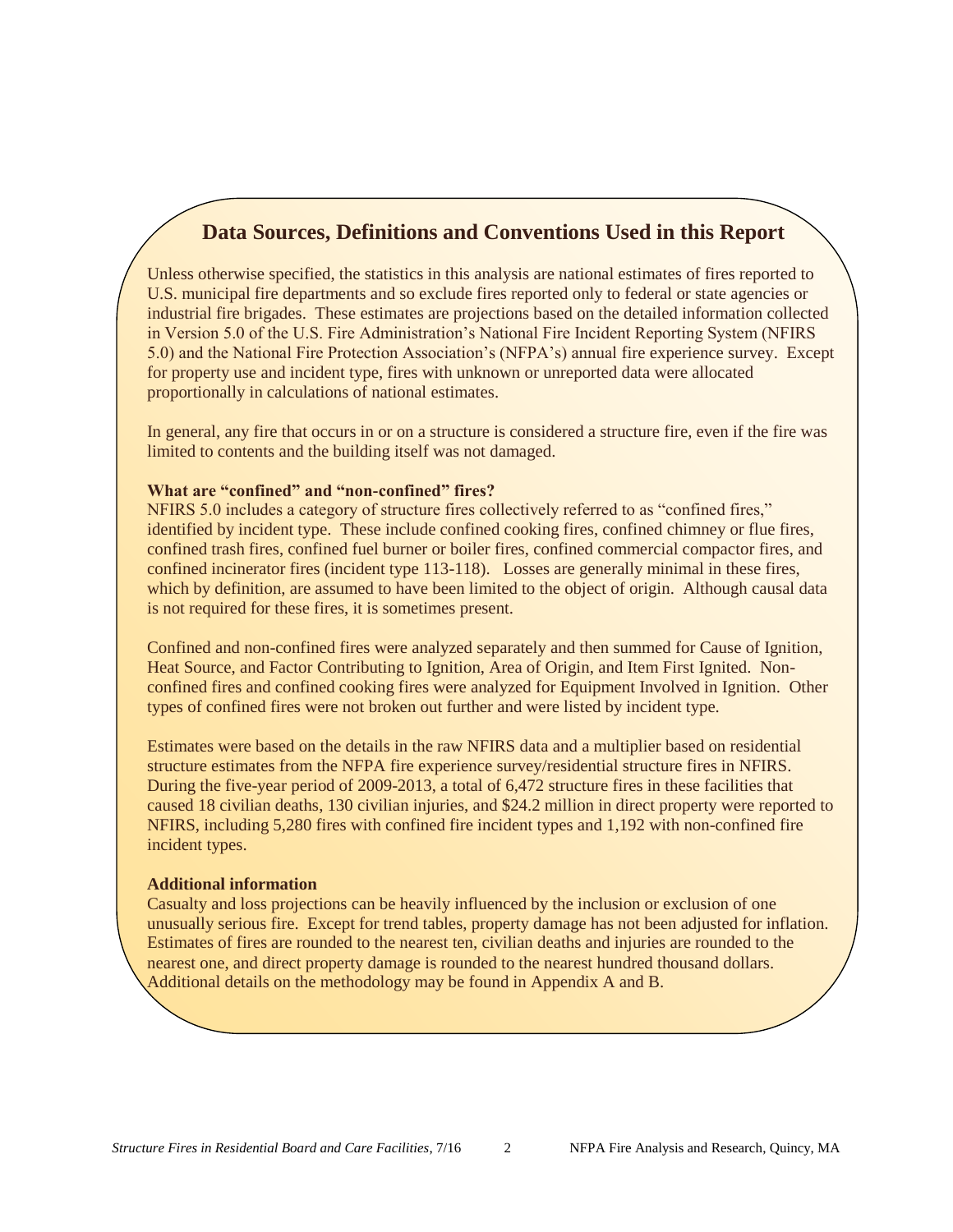# **Data Sources, Definitions and Conventions Used in this Report**

Unless otherwise specified, the statistics in this analysis are national estimates of fires reported to U.S. municipal fire departments and so exclude fires reported only to federal or state agencies or industrial fire brigades. These estimates are projections based on the detailed information collected in Version 5.0 of the U.S. Fire Administration's National Fire Incident Reporting System (NFIRS 5.0) and the National Fire Protection Association's (NFPA's) annual fire experience survey. Except for property use and incident type, fires with unknown or unreported data were allocated proportionally in calculations of national estimates.

In general, any fire that occurs in or on a structure is considered a structure fire, even if the fire was limited to contents and the building itself was not damaged.

#### **What are "confined" and "non-confined" fires?**

NFIRS 5.0 includes a category of structure fires collectively referred to as "confined fires," identified by incident type. These include confined cooking fires, confined chimney or flue fires, confined trash fires, confined fuel burner or boiler fires, confined commercial compactor fires, and confined incinerator fires (incident type 113-118). Losses are generally minimal in these fires, which by definition, are assumed to have been limited to the object of origin. Although causal data is not required for these fires, it is sometimes present.

Confined and non-confined fires were analyzed separately and then summed for Cause of Ignition, Heat Source, and Factor Contributing to Ignition, Area of Origin, and Item First Ignited. Nonconfined fires and confined cooking fires were analyzed for Equipment Involved in Ignition. Other types of confined fires were not broken out further and were listed by incident type.

Estimates were based on the details in the raw NFIRS data and a multiplier based on residential structure estimates from the NFPA fire experience survey/residential structure fires in NFIRS. During the five-year period of 2009-2013, a total of 6,472 structure fires in these facilities that caused 18 civilian deaths, 130 civilian injuries, and \$24.2 million in direct property were reported to NFIRS, including 5,280 fires with confined fire incident types and 1,192 with non-confined fire incident types.

#### **Additional information**

Casualty and loss projections can be heavily influenced by the inclusion or exclusion of one unusually serious fire. Except for trend tables, property damage has not been adjusted for inflation. Estimates of fires are rounded to the nearest ten, civilian deaths and injuries are rounded to the nearest one, and direct property damage is rounded to the nearest hundred thousand dollars. Additional details on the methodology may be found in Appendix A and B.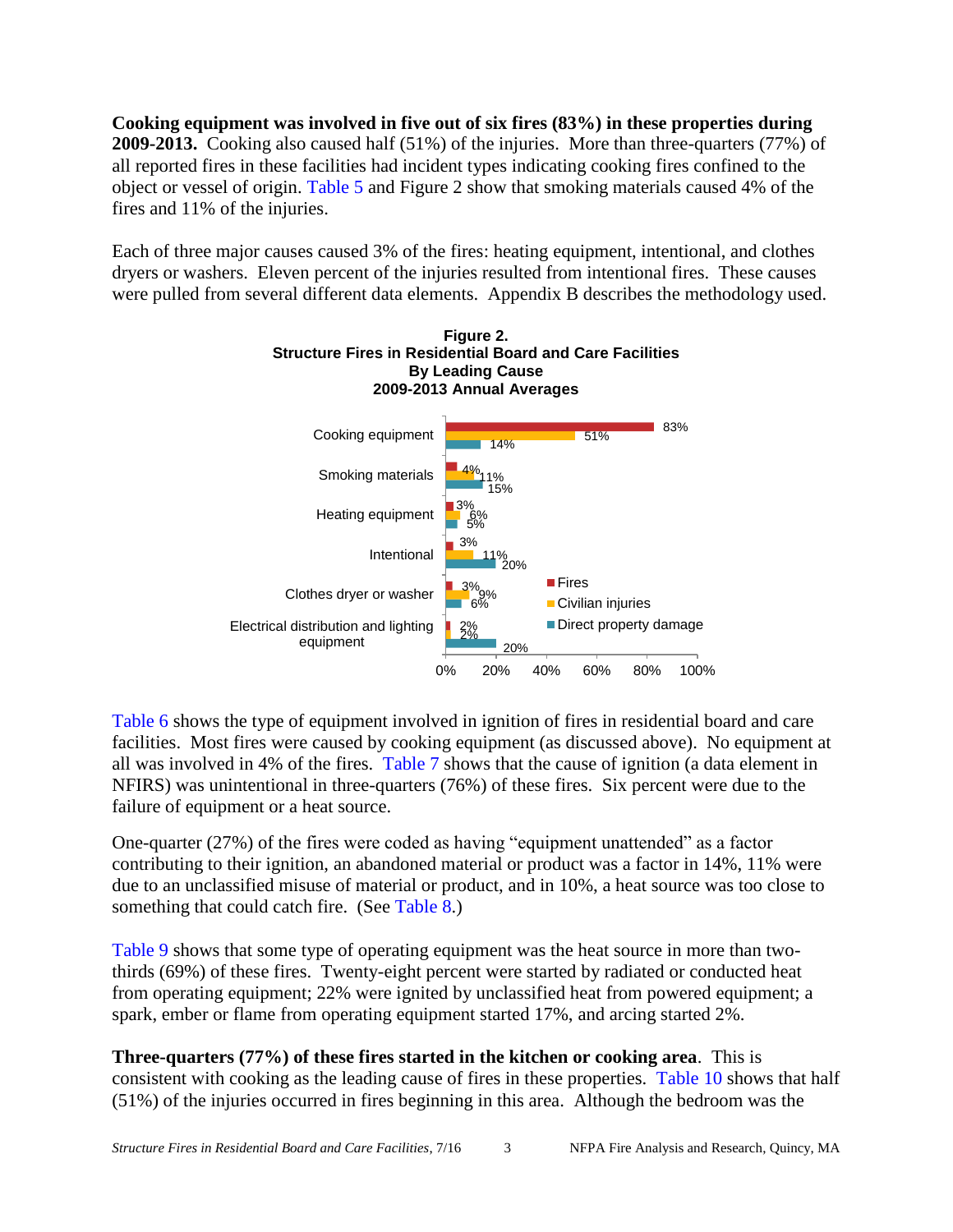<span id="page-7-0"></span>**Cooking equipment was involved in five out of six fires (83%) in these properties during 2009-2013.** Cooking also caused half (51%) of the injuries. More than three-quarters (77%) of all reported fires in these facilities had incident types indicating cooking fires confined to the object or vessel of origin. [Table](#page-14-0) 5 and Figure 2 show that smoking materials caused 4% of the fires and 11% of the injuries.

Each of three major causes caused 3% of the fires: heating equipment, intentional, and clothes dryers or washers. Eleven percent of the injuries resulted from intentional fires. These causes were pulled from several different data elements. Appendix B describes the methodology used.



[Table](#page-15-0) 6 shows the type of equipment involved in ignition of fires in residential board and care facilities. Most fires were caused by cooking equipment (as discussed above). No equipment at all was involved in 4% of the fires. [Table](#page-16-0) 7 shows that the cause of ignition (a data element in NFIRS) was unintentional in three-quarters (76%) of these fires. Six percent were due to the failure of equipment or a heat source.

One-quarter (27%) of the fires were coded as having "equipment unattended" as a factor contributing to their ignition, an abandoned material or product was a factor in 14%, 11% were due to an unclassified misuse of material or product, and in 10%, a heat source was too close to something that could catch fire. (See [Table](#page-17-0) 8.)

[Table](#page-19-0) 9 shows that some type of operating equipment was the heat source in more than twothirds (69%) of these fires. Twenty-eight percent were started by radiated or conducted heat from operating equipment; 22% were ignited by unclassified heat from powered equipment; a spark, ember or flame from operating equipment started 17%, and arcing started 2%.

**Three-quarters (77%) of these fires started in the kitchen or cooking area**. This is consistent with cooking as the leading cause of fires in these properties. [Table](#page-21-0) 10 shows that half (51%) of the injuries occurred in fires beginning in this area. Although the bedroom was the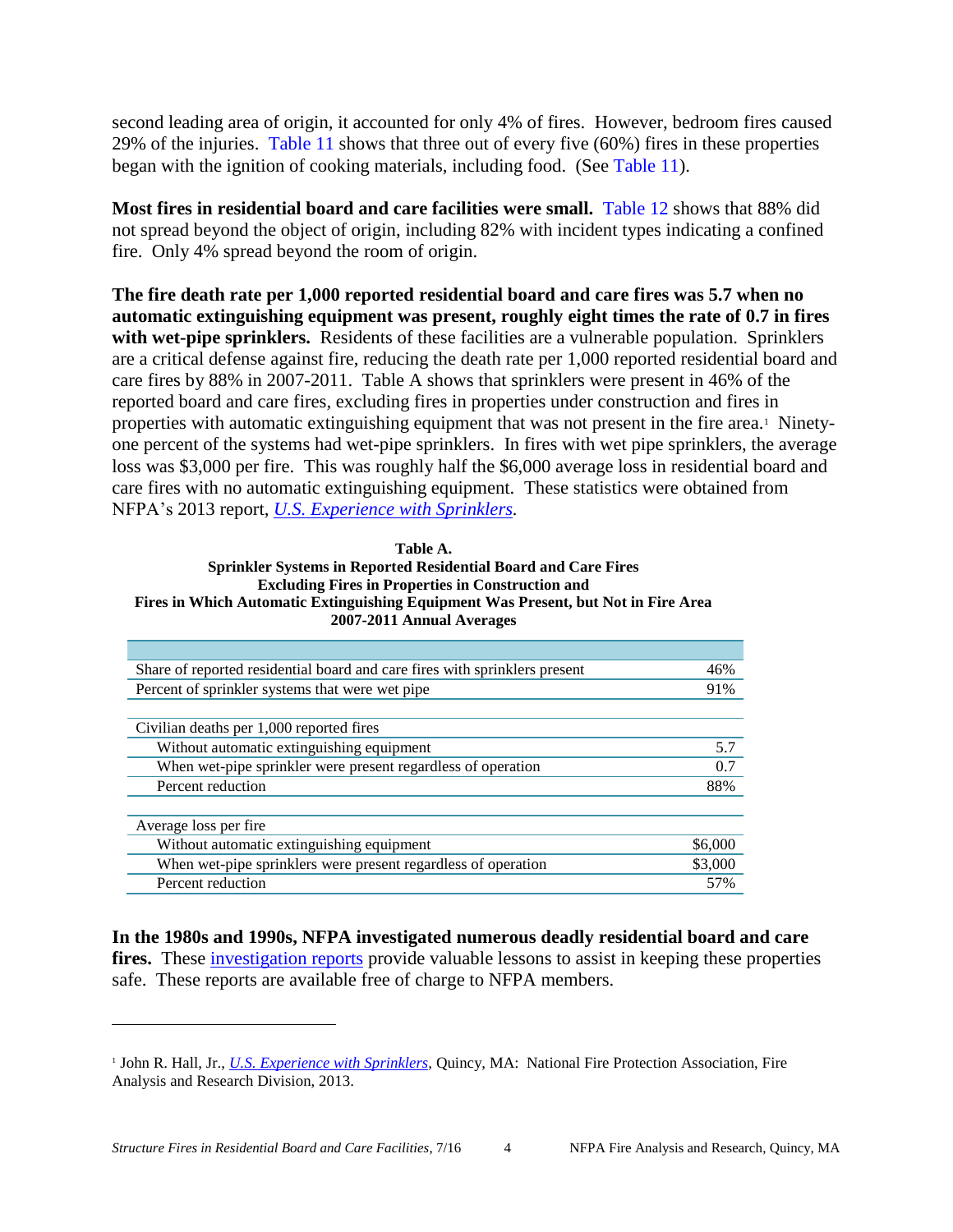<span id="page-8-0"></span>second leading area of origin, it accounted for only 4% of fires. However, bedroom fires caused 29% of the injuries. [Table](#page-22-0) 11 shows that three out of every five (60%) fires in these properties began with the ignition of cooking materials, including food. (See [Table](#page-22-0) 11).

**Most fires in residential board and care facilities were small.** [Table](#page-24-0) 12 shows that 88% did not spread beyond the object of origin, including 82% with incident types indicating a confined fire. Only 4% spread beyond the room of origin.

**The fire death rate per 1,000 reported residential board and care fires was 5.7 when no automatic extinguishing equipment was present, roughly eight times the rate of 0.7 in fires**  with wet-pipe sprinklers. Residents of these facilities are a vulnerable population. Sprinklers are a critical defense against fire, reducing the death rate per 1,000 reported residential board and care fires by 88% in 2007-2011. Table A shows that sprinklers were present in 46% of the reported board and care fires*,* excluding fires in properties under construction and fires in properties with automatic extinguishing equipment that was not present in the fire area.<sup>1</sup> Ninetyone percent of the systems had wet-pipe sprinklers. In fires with wet pipe sprinklers, the average loss was \$3,000 per fire. This was roughly half the \$6,000 average loss in residential board and care fires with no automatic extinguishing equipment. These statistics were obtained from NFPA's 2013 report, *[U.S. Experience with Sprinklers.](http://www.nfpa.org/research/reports-and-statistics/fire-safety-equipment/us-experience-with-sprinklers)* 

| Table A.                                                                           |
|------------------------------------------------------------------------------------|
| <b>Sprinkler Systems in Reported Residential Board and Care Fires</b>              |
| <b>Excluding Fires in Properties in Construction and</b>                           |
| Fires in Which Automatic Extinguishing Equipment Was Present, but Not in Fire Area |
| 2007-2011 Annual Averages                                                          |

| Share of reported residential board and care fires with sprinklers present | 46%     |
|----------------------------------------------------------------------------|---------|
| Percent of sprinkler systems that were wet pipe                            | 91%     |
|                                                                            |         |
| Civilian deaths per 1,000 reported fires                                   |         |
| Without automatic extinguishing equipment                                  | 5.7     |
| When wet-pipe sprinkler were present regardless of operation               | 0.7     |
| Percent reduction                                                          | 88%     |
|                                                                            |         |
| Average loss per fire                                                      |         |
| Without automatic extinguishing equipment                                  | \$6,000 |
| When wet-pipe sprinklers were present regardless of operation              | \$3,000 |
| Percent reduction                                                          | 57%     |
|                                                                            |         |

**In the 1980s and 1990s, NFPA investigated numerous deadly residential board and care**  fires. These [investigation reports](http://www.nfpa.org/news-and-research/resources/fire-investigations/health-care#board) provide valuable lessons to assist in keeping these properties safe. These reports are available free of charge to NFPA members.

 $\overline{a}$ 

<sup>1</sup> John R. Hall, Jr., *[U.S. Experience with Sprinklers,](http://www.nfpa.org/research/reports-and-statistics/fire-safety-equipment/us-experience-with-sprinklers)* Quincy, MA: National Fire Protection Association, Fire Analysis and Research Division, 2013.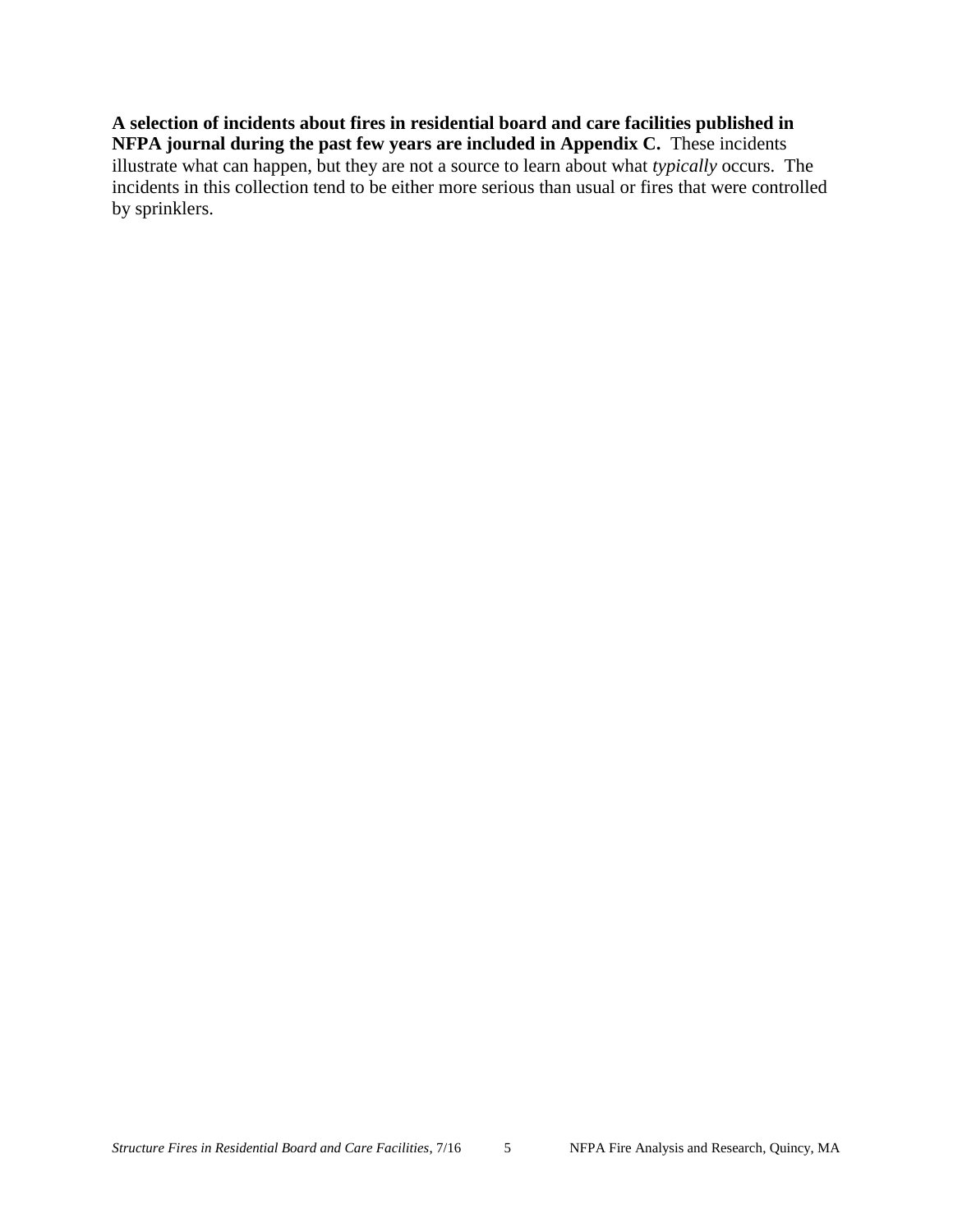**A selection of incidents about fires in residential board and care facilities published in NFPA journal during the past few years are included in Appendix C.** These incidents illustrate what can happen, but they are not a source to learn about what *typically* occurs. The incidents in this collection tend to be either more serious than usual or fires that were controlled by sprinklers.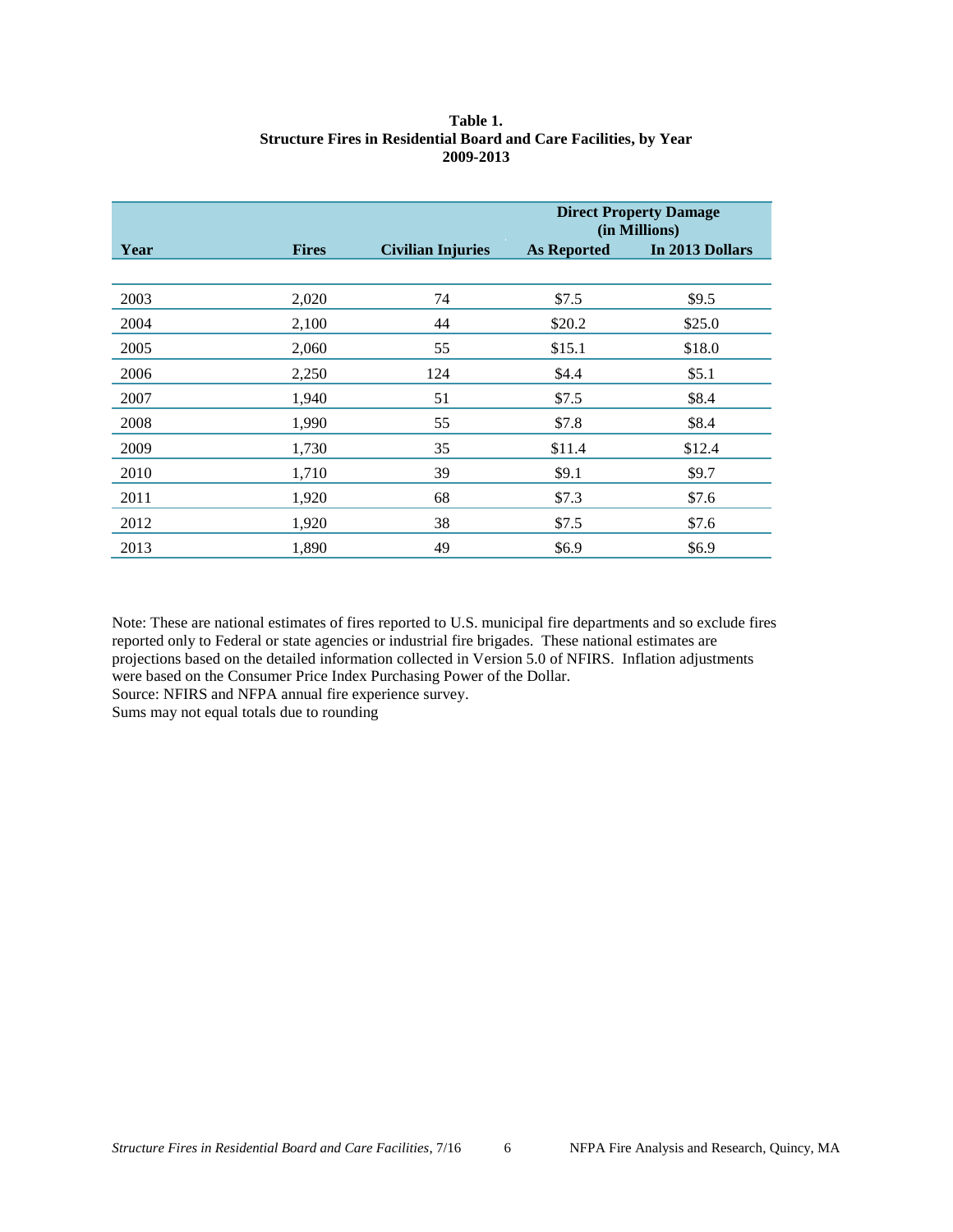<span id="page-10-0"></span>

|      |              | 2002-201J                |                    |                                                |
|------|--------------|--------------------------|--------------------|------------------------------------------------|
|      |              |                          |                    | <b>Direct Property Damage</b><br>(in Millions) |
| Year | <b>Fires</b> | <b>Civilian Injuries</b> | <b>As Reported</b> | In 2013 Dollars                                |
|      |              |                          |                    |                                                |
| 2003 | 2,020        | 74                       | \$7.5              | \$9.5                                          |
| 2004 | 2,100        | 44                       | \$20.2             | \$25.0                                         |
| 2005 | 2,060        | 55                       | \$15.1             | \$18.0                                         |
| 2006 | 2,250        | 124                      | \$4.4              | \$5.1                                          |
| 2007 | 1,940        | 51                       | \$7.5              | \$8.4                                          |
| 2008 | 1,990        | 55                       | \$7.8              | \$8.4                                          |
| 2009 | 1,730        | 35                       | \$11.4             | \$12.4                                         |
| 2010 | 1,710        | 39                       | \$9.1              | \$9.7                                          |
| 2011 | 1,920        | 68                       | \$7.3              | \$7.6                                          |
| 2012 | 1,920        | 38                       | \$7.5              | \$7.6                                          |

#### **Table 1. Structure Fires in Residential Board and Care Facilities, by Year 2009-2013**

Note: These are national estimates of fires reported to U.S. municipal fire departments and so exclude fires reported only to Federal or state agencies or industrial fire brigades. These national estimates are projections based on the detailed information collected in Version 5.0 of NFIRS. Inflation adjustments were based on the Consumer Price Index Purchasing Power of the Dollar. Source: NFIRS and NFPA annual fire experience survey.

2013 1,890 49 \$6.9 \$6.9

Sums may not equal totals due to rounding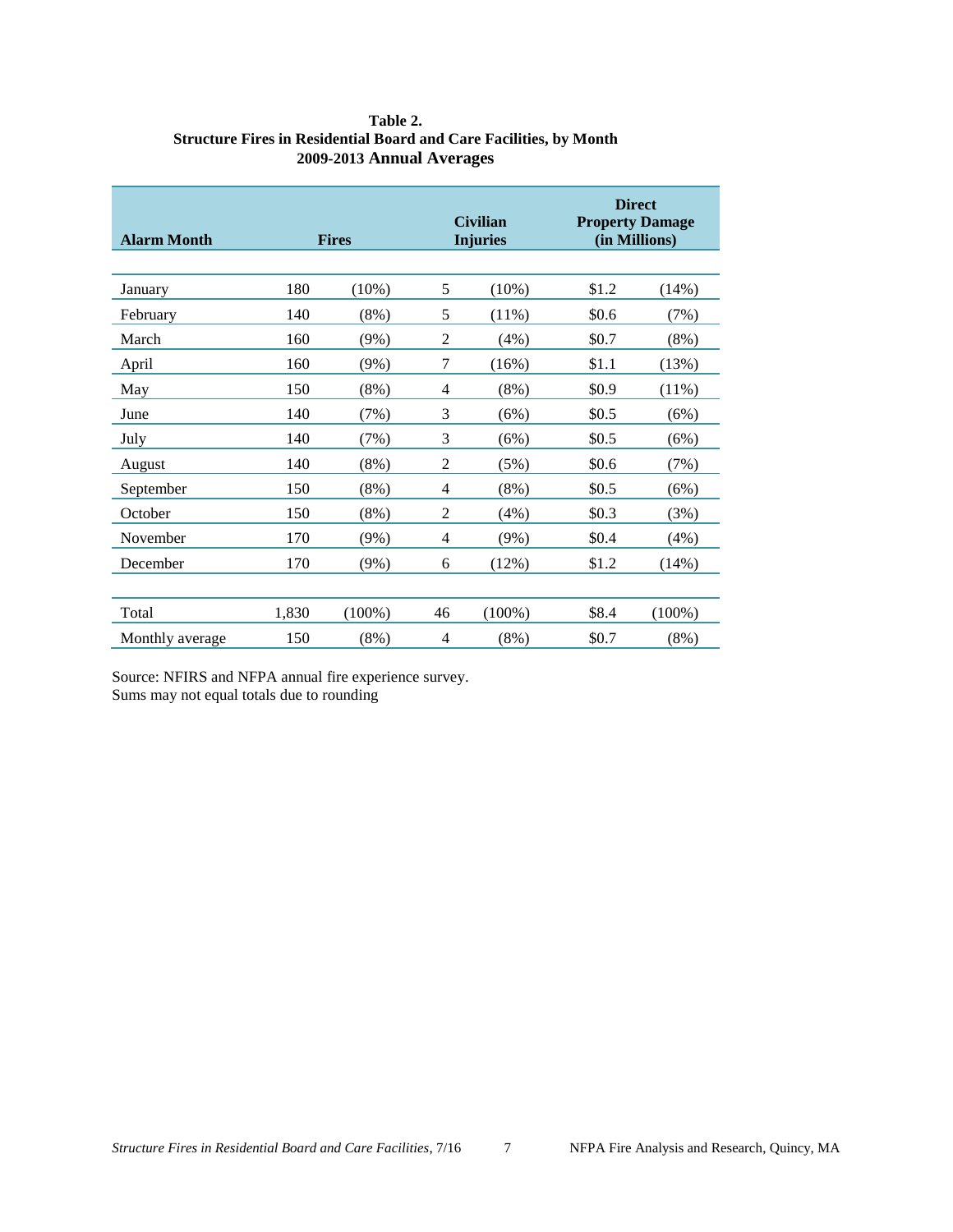| <b>Alarm Month</b> |       | <b>Fires</b> | <b>Civilian</b><br><b>Injuries</b> |           | <b>Direct</b><br><b>Property Damage</b><br>(in Millions) |           |  |
|--------------------|-------|--------------|------------------------------------|-----------|----------------------------------------------------------|-----------|--|
|                    |       |              |                                    |           |                                                          |           |  |
| January            | 180   | (10%)        | 5                                  | $(10\%)$  | \$1.2                                                    | (14%)     |  |
| February           | 140   | (8%)         | 5                                  | $(11\%)$  | \$0.6                                                    | (7%)      |  |
| March              | 160   | $(9\%)$      | $\overline{2}$                     | (4%)      | \$0.7                                                    | $(8\%)$   |  |
| April              | 160   | (9%)         | 7                                  | (16%)     | \$1.1                                                    | (13%)     |  |
| May                | 150   | (8%)         | 4                                  | $(8\%)$   | \$0.9                                                    | $(11\%)$  |  |
| June               | 140   | (7%)         | 3                                  | (6%)      | \$0.5                                                    | (6%)      |  |
| July               | 140   | (7%)         | 3                                  | (6%)      | \$0.5                                                    | (6%)      |  |
| August             | 140   | (8%)         | $\overline{c}$                     | (5%)      | \$0.6                                                    | (7%)      |  |
| September          | 150   | $(8\%)$      | 4                                  | $(8\%)$   | \$0.5                                                    | (6%)      |  |
| October            | 150   | (8%)         | $\overline{2}$                     | (4%)      | \$0.3                                                    | (3%)      |  |
| November           | 170   | (9%)         | 4                                  | $(9\%)$   | \$0.4                                                    | (4%)      |  |
| December           | 170   | (9%)         | 6                                  | (12%)     | \$1.2                                                    | (14%)     |  |
|                    |       |              |                                    |           |                                                          |           |  |
| Total              | 1,830 | $(100\%)$    | 46                                 | $(100\%)$ | \$8.4                                                    | $(100\%)$ |  |
| Monthly average    | 150   | (8%)         | 4                                  | (8%)      | \$0.7                                                    | (8%)      |  |

#### <span id="page-11-0"></span>**Table 2. Structure Fires in Residential Board and Care Facilities, by Month 2009-2013 Annual Averages**

Source: NFIRS and NFPA annual fire experience survey. Sums may not equal totals due to rounding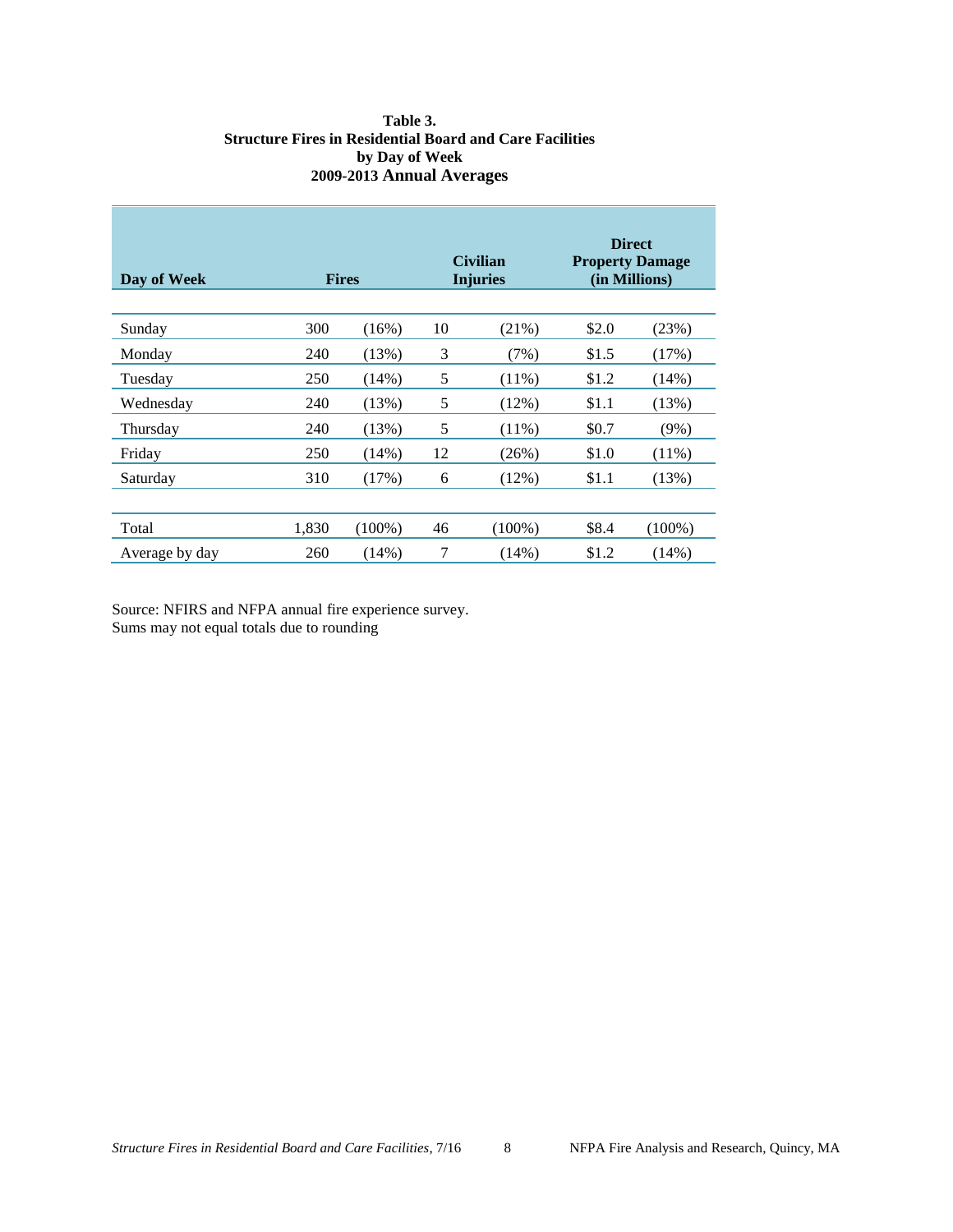| Table 3.                                                 |
|----------------------------------------------------------|
| Structure Fires in Residential Board and Care Facilities |
| by Day of Week                                           |
| 2009-2013 Annual Averages                                |

<span id="page-12-0"></span>

| Day of Week    |       | <b>Fires</b> | <b>Civilian</b><br><b>Injuries</b> |           |       | <b>Direct</b><br><b>Property Damage</b><br>(in Millions) |
|----------------|-------|--------------|------------------------------------|-----------|-------|----------------------------------------------------------|
|                |       |              |                                    |           |       |                                                          |
| Sunday         | 300   | $(16\%)$     | 10                                 | $(21\%)$  | \$2.0 | (23%)                                                    |
| Monday         | 240   | (13%)        | 3                                  | (7%)      | \$1.5 | (17%)                                                    |
| Tuesday        | 250   | $(14\%)$     | 5                                  | $(11\%)$  | \$1.2 | $(14\%)$                                                 |
| Wednesday      | 240   | (13%)        | 5                                  | $(12\%)$  | \$1.1 | (13%)                                                    |
| Thursday       | 240   | (13%)        | 5                                  | $(11\%)$  | \$0.7 | (9%)                                                     |
| Friday         | 250   | $(14\%)$     | 12                                 | (26%)     | \$1.0 | $(11\%)$                                                 |
| Saturday       | 310   | (17%)        | 6                                  | $(12\%)$  | \$1.1 | (13%)                                                    |
|                |       |              |                                    |           |       |                                                          |
| Total          | 1,830 | $(100\%)$    | 46                                 | $(100\%)$ | \$8.4 | $(100\%)$                                                |
| Average by day | 260   | $(14\%)$     | 7                                  | (14%)     | \$1.2 | $(14\%)$                                                 |

Source: NFIRS and NFPA annual fire experience survey. Sums may not equal totals due to rounding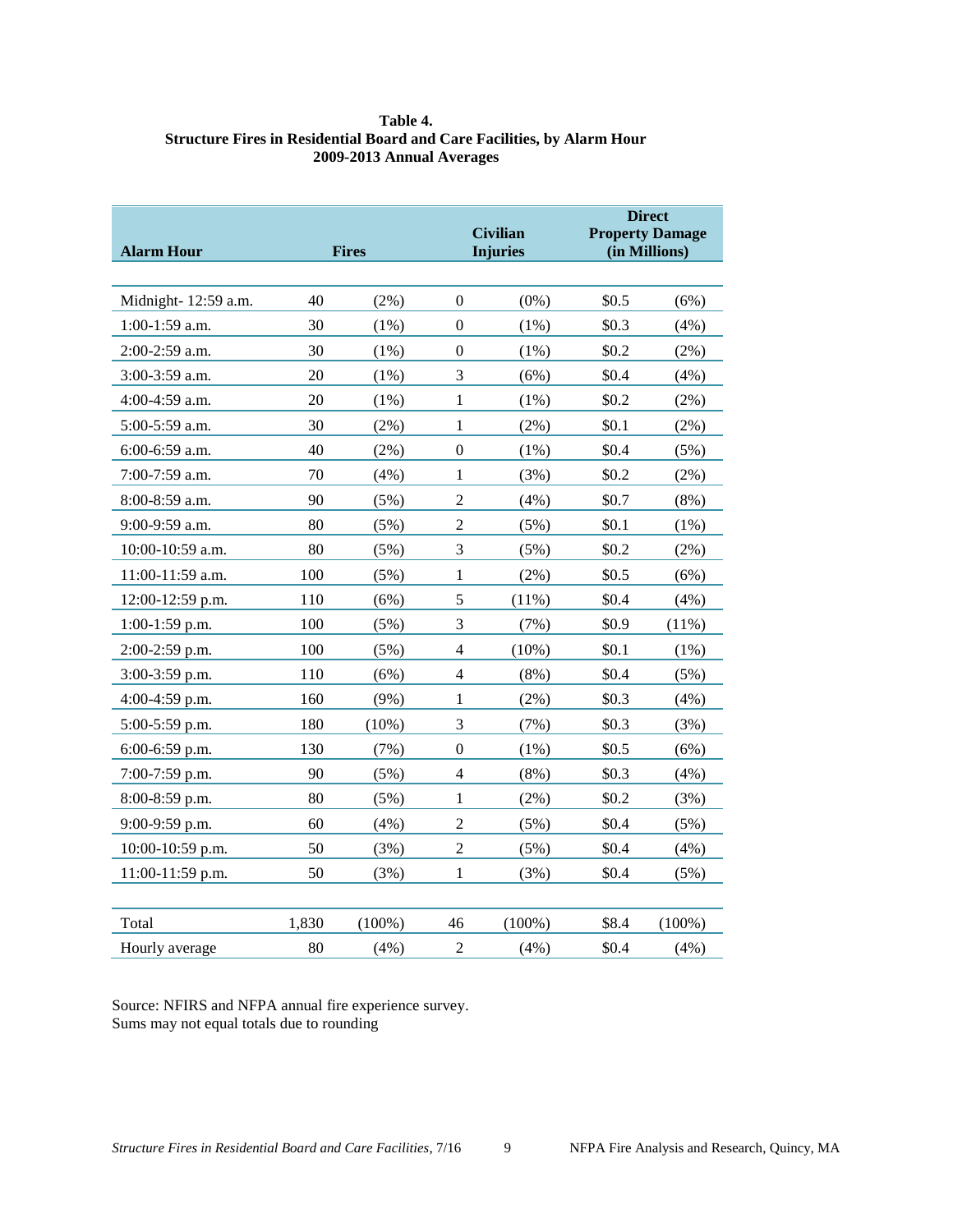<span id="page-13-0"></span>

| Table 4.                                                                |
|-------------------------------------------------------------------------|
| Structure Fires in Residential Board and Care Facilities, by Alarm Hour |
| 2009-2013 Annual Averages                                               |

| <b>Alarm Hour</b>    | <b>Fires</b> |           | <b>Civilian</b><br><b>Injuries</b> |           | <b>Direct</b><br><b>Property Damage</b><br>(in Millions) |           |
|----------------------|--------------|-----------|------------------------------------|-----------|----------------------------------------------------------|-----------|
|                      |              |           |                                    |           |                                                          |           |
| Midnight- 12:59 a.m. | 40           | $(2\%)$   | $\boldsymbol{0}$                   | $(0\%)$   | \$0.5                                                    | (6%)      |
| 1:00-1:59 a.m.       | 30           | $(1\%)$   | $\boldsymbol{0}$                   | $(1\%)$   | \$0.3\$                                                  | (4%)      |
| 2:00-2:59 a.m.       | 30           | $(1\%)$   | $\boldsymbol{0}$                   | $(1\%)$   | \$0.2                                                    | $(2\%)$   |
| 3:00-3:59 a.m.       | 20           | $(1\%)$   | 3                                  | (6%)      | \$0.4                                                    | (4%)      |
| 4:00-4:59 a.m.       | 20           | $(1\%)$   | $\mathbf{1}$                       | (1%)      | \$0.2                                                    | (2%)      |
| 5:00-5:59 a.m.       | 30           | (2%)      | $\mathbf{1}$                       | $(2\%)$   | \$0.1                                                    | $(2\%)$   |
| 6:00-6:59 a.m.       | 40           | $(2\%)$   | $\boldsymbol{0}$                   | $(1\%)$   | \$0.4                                                    | $(5\%)$   |
| 7:00-7:59 a.m.       | 70           | (4% )     | 1                                  | (3%)      | \$0.2                                                    | $(2\%)$   |
| 8:00-8:59 a.m.       | 90           | (5%)      | $\overline{c}$                     | (4%)      | \$0.7                                                    | (8%)      |
| 9:00-9:59 a.m.       | 80           | (5%)      | $\overline{c}$                     | (5%)      | \$0.1                                                    | $(1\%)$   |
| 10:00-10:59 a.m.     | 80           | (5%)      | 3                                  | (5%)      | \$0.2                                                    | $(2\%)$   |
| 11:00-11:59 a.m.     | 100          | (5%)      | $\mathbf{1}$                       | $(2\%)$   | \$0.5                                                    | (6%)      |
| 12:00-12:59 p.m.     | 110          | (6%)      | 5                                  | (11%)     | \$0.4                                                    | (4%)      |
| $1:00-1:59$ p.m.     | 100          | (5%)      | 3                                  | (7%)      | \$0.9                                                    | (11%)     |
| 2:00-2:59 p.m.       | 100          | (5%)      | $\overline{4}$                     | $(10\%)$  | \$0.1                                                    | $(1\%)$   |
| 3:00-3:59 p.m.       | 110          | (6%)      | $\overline{4}$                     | $(8\%)$   | \$0.4                                                    | (5%)      |
| 4:00-4:59 p.m.       | 160          | (9%)      | 1                                  | $(2\%)$   | \$0.3                                                    | (4%)      |
| 5:00-5:59 p.m.       | 180          | (10%)     | 3                                  | (7%)      | \$0.3\$                                                  | (3%)      |
| 6:00-6:59 p.m.       | 130          | (7%)      | $\boldsymbol{0}$                   | $(1\%)$   | \$0.5                                                    | (6%)      |
| 7:00-7:59 p.m.       | 90           | (5%)      | $\overline{4}$                     | (8%)      | \$0.3\$                                                  | (4%)      |
| 8:00-8:59 p.m.       | 80           | (5%)      | $\mathbf{1}$                       | $(2\%)$   | \$0.2                                                    | (3%)      |
| 9:00-9:59 p.m.       | 60           | (4%)      | $\overline{2}$                     | (5%)      | \$0.4                                                    | (5%)      |
| 10:00-10:59 p.m.     | 50           | (3%)      | $\sqrt{2}$                         | (5%)      | \$0.4                                                    | (4%)      |
| 11:00-11:59 p.m.     | 50           | (3%)      | 1                                  | (3%)      | \$0.4                                                    | (5%)      |
|                      |              |           |                                    |           |                                                          |           |
| Total                | 1,830        | $(100\%)$ | 46                                 | $(100\%)$ | \$8.4                                                    | $(100\%)$ |
| Hourly average       | 80           | (4%)      | $\overline{2}$                     | (4%)      | \$0.4                                                    | (4%)      |

Source: NFIRS and NFPA annual fire experience survey. Sums may not equal totals due to rounding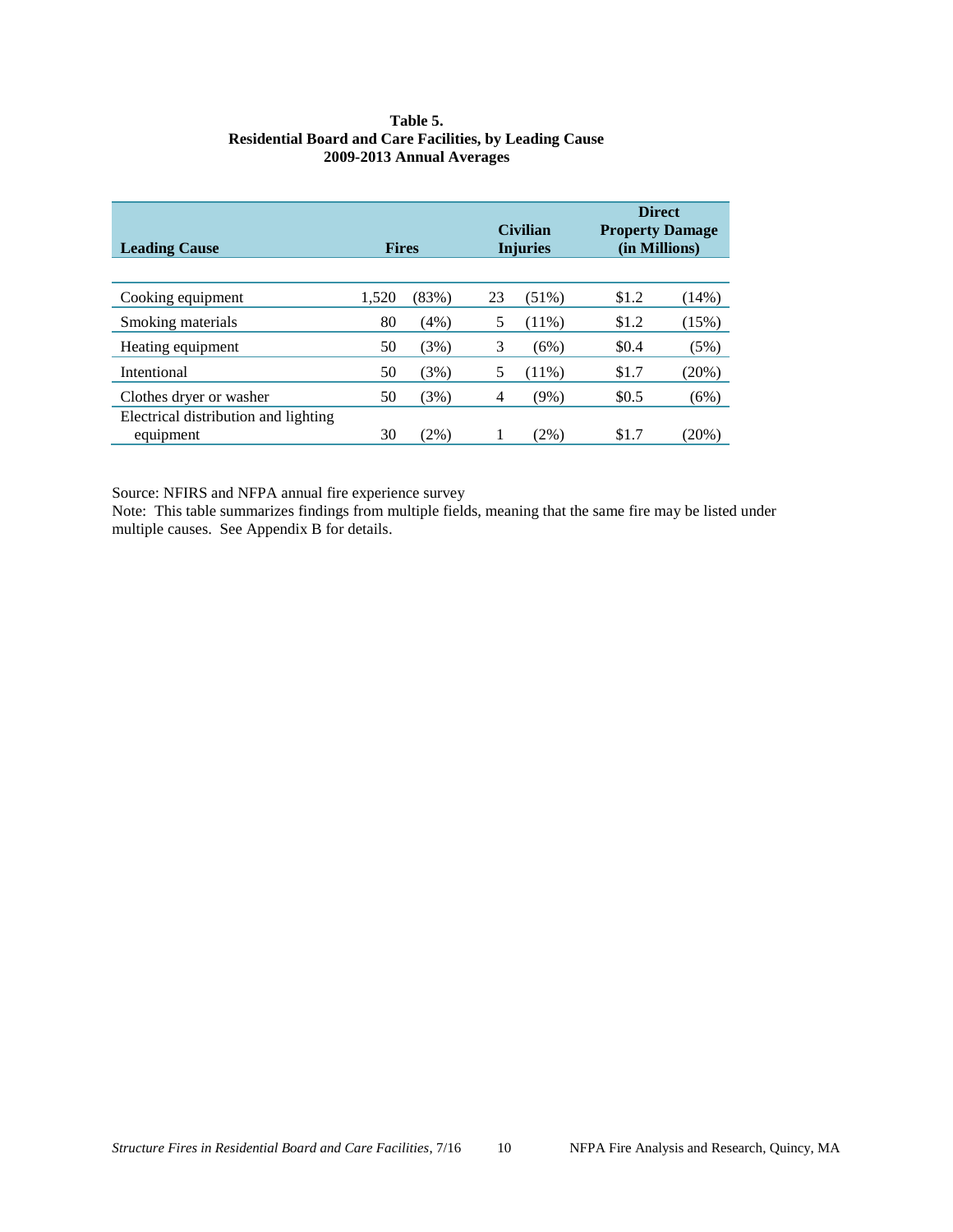#### **Table 5. Residential Board and Care Facilities, by Leading Cause 2009-2013 Annual Averages**

<span id="page-14-0"></span>

| <b>Leading Cause</b>                              | <b>Fires</b> |         |    | <b>Civilian</b><br><b>Injuries</b> | <b>Direct</b><br><b>Property Damage</b><br>(in Millions) |       |
|---------------------------------------------------|--------------|---------|----|------------------------------------|----------------------------------------------------------|-------|
|                                                   |              |         |    |                                    |                                                          |       |
| Cooking equipment                                 | 1,520        | (83%)   | 23 | $(51\%)$                           | \$1.2                                                    | (14%) |
| Smoking materials                                 | 80           | (4%)    |    | $(11\%)$                           | \$1.2                                                    | (15%) |
| Heating equipment                                 | 50           | (3%)    | 3  | (6%)                               | \$0.4                                                    | (5%)  |
| Intentional                                       | 50           | (3%)    |    | $(11\%)$                           | \$1.7                                                    | (20%) |
| Clothes dryer or washer                           | 50           | (3%)    | 4  | $(9\%)$                            | \$0.5                                                    | (6%)  |
| Electrical distribution and lighting<br>equipment | 30           | $(2\%)$ |    | (2%)                               | \$1.7                                                    | (20%) |

Source: NFIRS and NFPA annual fire experience survey

Note: This table summarizes findings from multiple fields, meaning that the same fire may be listed under multiple causes. See Appendix B for details.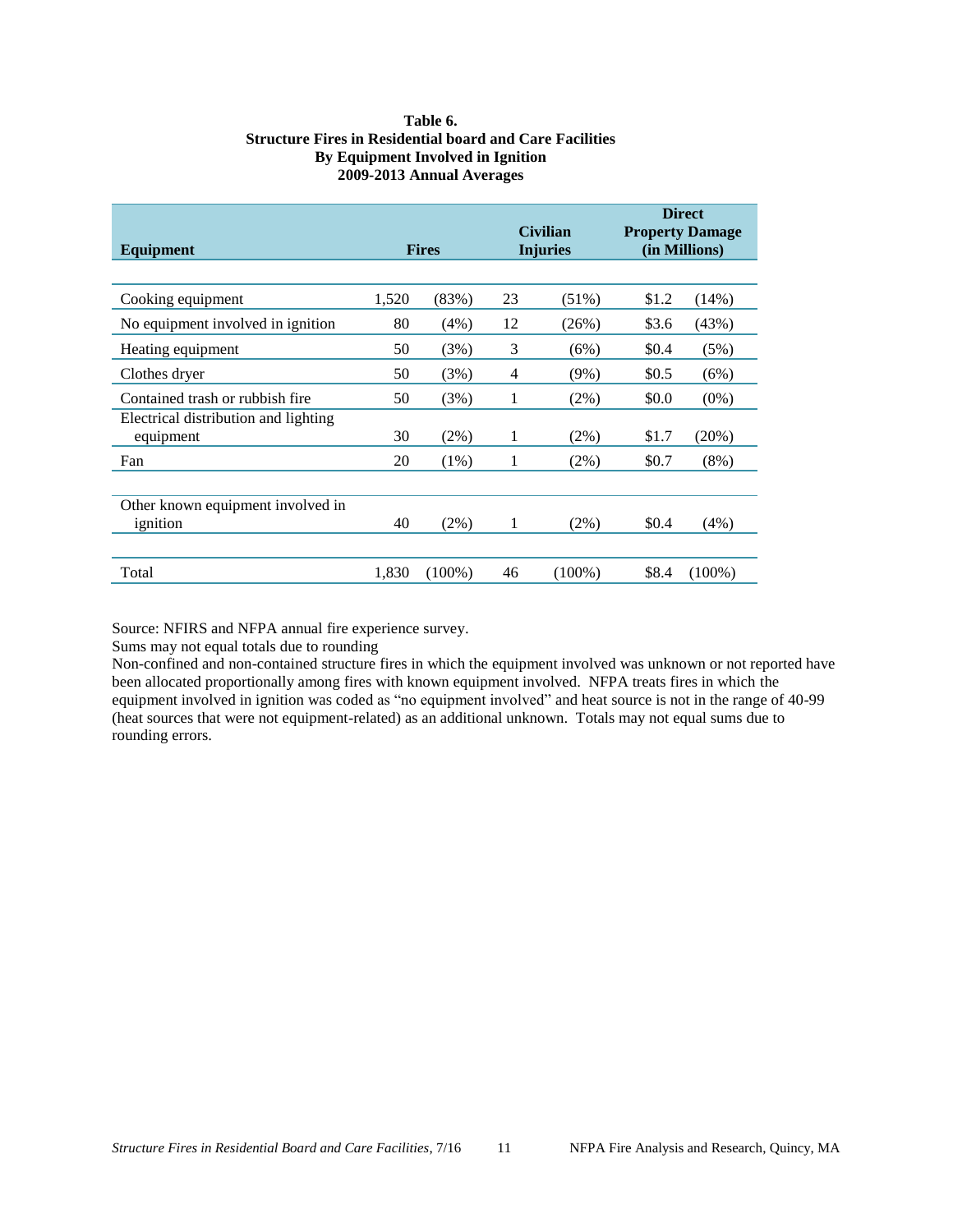#### **Table 6. Structure Fires in Residential board and Care Facilities By Equipment Involved in Ignition 2009-2013 Annual Averages**

<span id="page-15-0"></span>

| <b>Equipment</b>                                  | <b>Fires</b> |           | <b>Civilian</b><br><b>Injuries</b> |           | <b>Direct</b><br><b>Property Damage</b><br>(in Millions) |           |
|---------------------------------------------------|--------------|-----------|------------------------------------|-----------|----------------------------------------------------------|-----------|
|                                                   |              |           |                                    |           |                                                          |           |
| Cooking equipment                                 | 1,520        | (83%)     | 23                                 | (51%)     | \$1.2                                                    | (14%)     |
| No equipment involved in ignition                 | 80           | $(4\%)$   | 12                                 | (26%)     | \$3.6                                                    | (43%)     |
| Heating equipment                                 | 50           | (3%)      | 3                                  | (6%)      | \$0.4                                                    | (5%)      |
| Clothes dryer                                     | 50           | (3%)      | 4                                  | (9%)      | \$0.5                                                    | (6%)      |
| Contained trash or rubbish fire                   | 50           | (3%)      | 1                                  | (2%)      | \$0.0                                                    | $(0\%)$   |
| Electrical distribution and lighting<br>equipment | 30           | $(2\%)$   | 1                                  | (2%)      | \$1.7                                                    | (20%)     |
| Fan                                               | 20           | $(1\%)$   | $\mathbf{1}$                       | (2%)      | \$0.7                                                    | $(8\%)$   |
|                                                   |              |           |                                    |           |                                                          |           |
| Other known equipment involved in<br>ignition     | 40           | $(2\%)$   | 1                                  | $(2\%)$   | \$0.4                                                    | $(4\%)$   |
| Total                                             | 1,830        | $(100\%)$ | 46                                 | $(100\%)$ | \$8.4                                                    | $(100\%)$ |

Source: NFIRS and NFPA annual fire experience survey.

Sums may not equal totals due to rounding

Non-confined and non-contained structure fires in which the equipment involved was unknown or not reported have been allocated proportionally among fires with known equipment involved. NFPA treats fires in which the equipment involved in ignition was coded as "no equipment involved" and heat source is not in the range of 40-99 (heat sources that were not equipment-related) as an additional unknown. Totals may not equal sums due to rounding errors.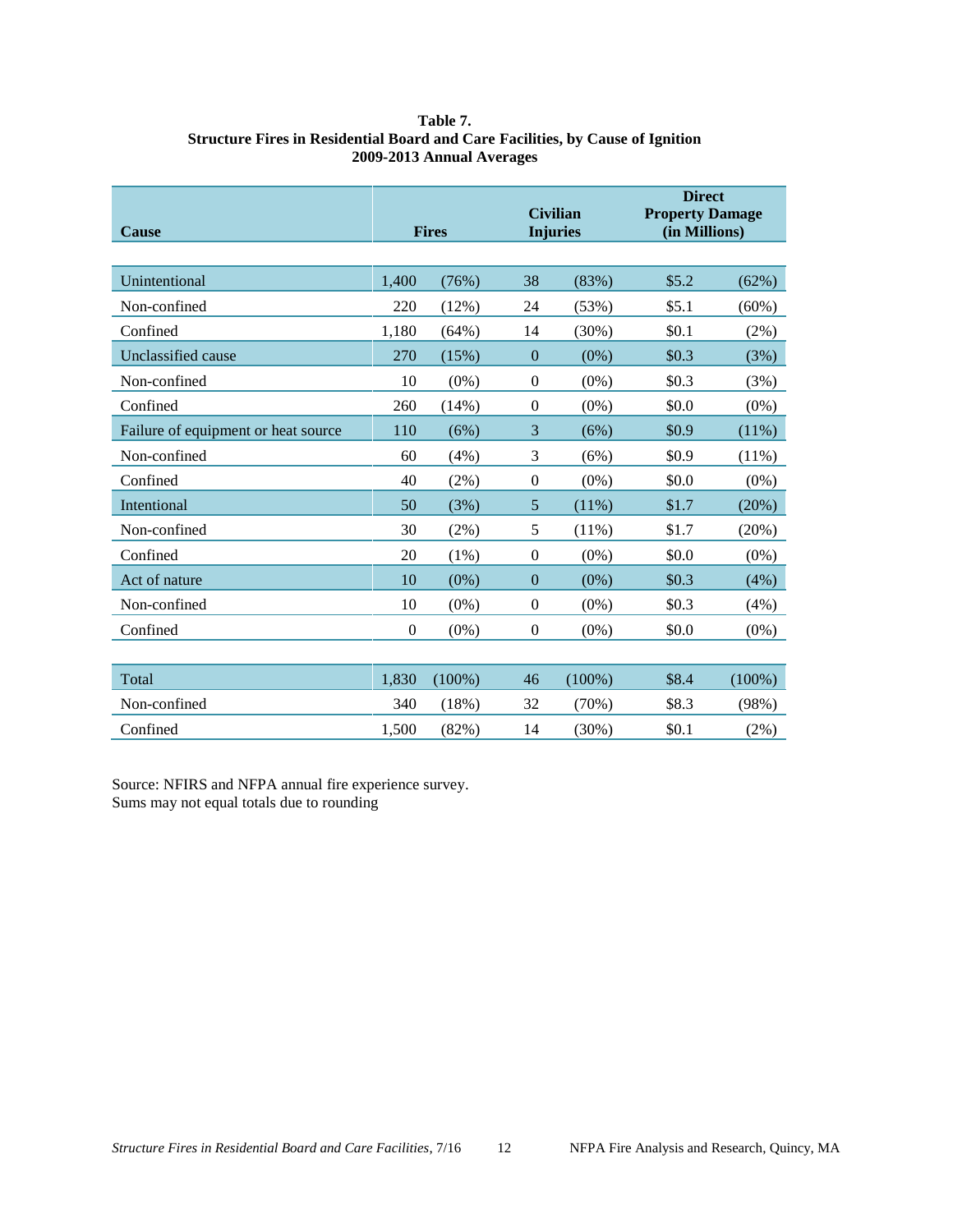| Table 7.                                                                       |
|--------------------------------------------------------------------------------|
| Structure Fires in Residential Board and Care Facilities, by Cause of Ignition |
| 2009-2013 Annual Averages                                                      |

<span id="page-16-0"></span>

| <b>Cause</b>                        | <b>Fires</b> |           | <b>Civilian</b><br><b>Injuries</b> |           | <b>Direct</b><br><b>Property Damage</b><br>(in Millions) |           |
|-------------------------------------|--------------|-----------|------------------------------------|-----------|----------------------------------------------------------|-----------|
|                                     |              |           |                                    |           |                                                          |           |
| Unintentional                       | 1,400        | (76%)     | 38                                 | (83%)     | \$5.2                                                    | (62%)     |
| Non-confined                        | 220          | (12%)     | 24                                 | (53%)     | \$5.1                                                    | $(60\%)$  |
| Confined                            | 1,180        | (64%)     | 14                                 | $(30\%)$  | \$0.1                                                    | $(2\%)$   |
| Unclassified cause                  | 270          | (15%)     | $\mathbf{0}$                       | $(0\%)$   | \$0.3\$                                                  | (3%)      |
| Non-confined                        | 10           | $(0\%)$   | $\boldsymbol{0}$                   | $(0\%)$   | \$0.3\$                                                  | (3%)      |
| Confined                            | 260          | (14%)     | $\boldsymbol{0}$                   | $(0\%)$   | \$0.0                                                    | $(0\%)$   |
| Failure of equipment or heat source | 110          | (6%)      | 3                                  | (6%)      | \$0.9                                                    | $(11\%)$  |
| Non-confined                        | 60           | (4%)      | 3                                  | (6%)      | \$0.9                                                    | (11%)     |
| Confined                            | 40           | (2%)      | $\theta$                           | $(0\%)$   | \$0.0                                                    | $(0\%)$   |
| Intentional                         | 50           | (3%)      | 5                                  | $(11\%)$  | \$1.7                                                    | (20%)     |
| Non-confined                        | 30           | (2%)      | 5                                  | $(11\%)$  | \$1.7                                                    | (20%)     |
| Confined                            | 20           | $(1\%)$   | $\mathbf{0}$                       | $(0\%)$   | \$0.0                                                    | $(0\%)$   |
| Act of nature                       | 10           | $(0\%)$   | $\mathbf{0}$                       | $(0\%)$   | \$0.3\$                                                  | (4%)      |
| Non-confined                        | 10           | $(0\%)$   | $\boldsymbol{0}$                   | $(0\%)$   | \$0.3\$                                                  | (4%)      |
| Confined                            | $\mathbf{0}$ | $(0\%)$   | $\boldsymbol{0}$                   | $(0\%)$   | \$0.0                                                    | $(0\%)$   |
|                                     |              |           |                                    |           |                                                          |           |
| Total                               | 1,830        | $(100\%)$ | 46                                 | $(100\%)$ | \$8.4                                                    | $(100\%)$ |
| Non-confined                        | 340          | (18%)     | 32                                 | (70%)     | \$8.3                                                    | (98%)     |
| Confined                            | 1,500        | (82%)     | 14                                 | $(30\%)$  | \$0.1                                                    | $(2\%)$   |

Source: NFIRS and NFPA annual fire experience survey. Sums may not equal totals due to rounding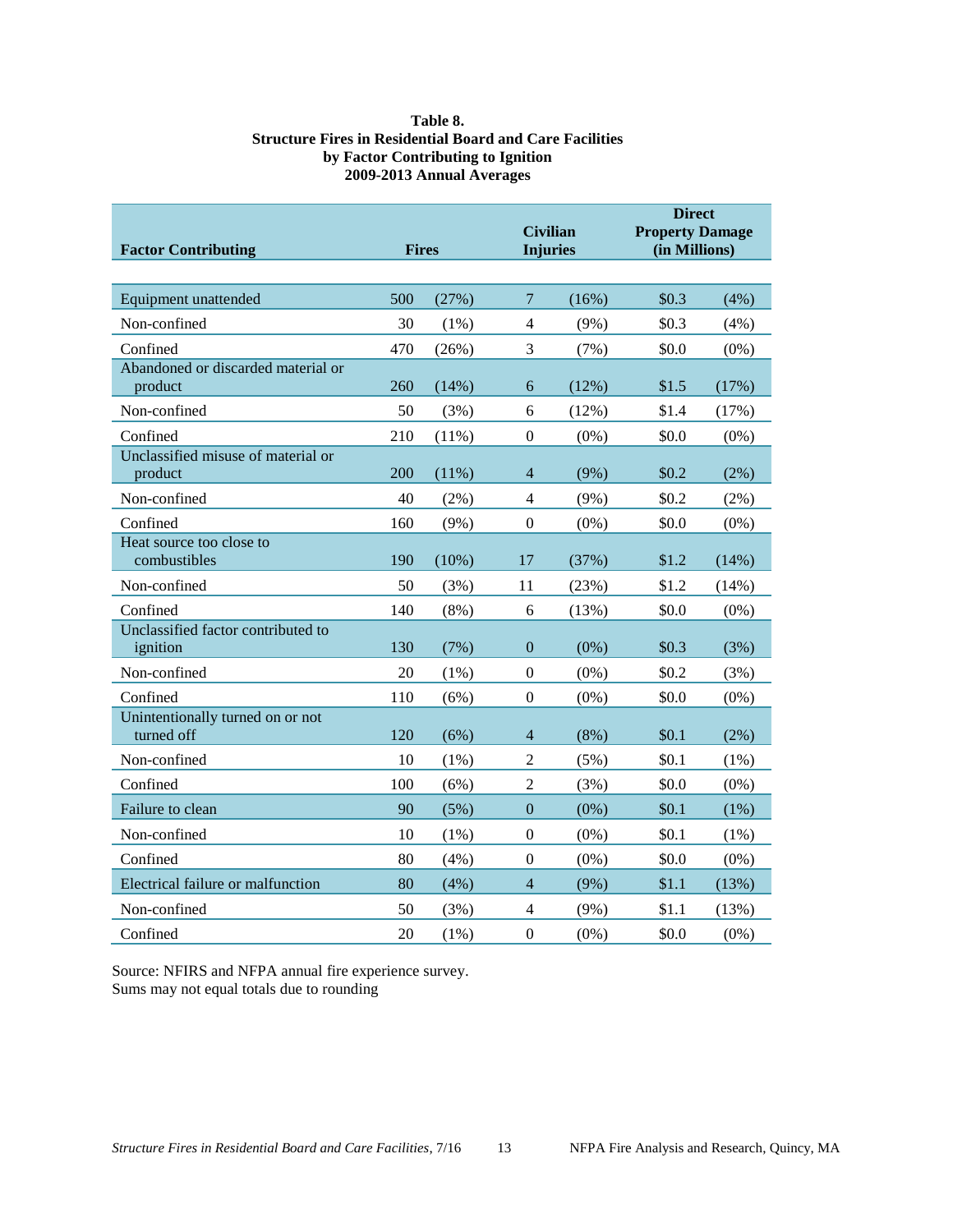#### **Table 8. Structure Fires in Residential Board and Care Facilities by Factor Contributing to Ignition 2009-2013 Annual Averages**

<span id="page-17-0"></span>

| <b>Factor Contributing</b>                     | <b>Fires</b> |          | <b>Civilian</b><br><b>Injuries</b> |         | <b>Direct</b><br><b>Property Damage</b><br>(in Millions) |         |
|------------------------------------------------|--------------|----------|------------------------------------|---------|----------------------------------------------------------|---------|
| Equipment unattended                           | 500          | (27%)    | $\overline{7}$                     | (16%)   | \$0.3\$                                                  | (4%)    |
| Non-confined                                   | 30           | $(1\%)$  | $\overline{4}$                     | $(9\%)$ | \$0.3\$                                                  | (4%)    |
| Confined                                       | 470          | (26%)    | 3                                  | (7%)    | \$0.0                                                    | $(0\%)$ |
| Abandoned or discarded material or<br>product  | 260          | (14%)    | 6                                  | (12%)   | \$1.5                                                    | (17%)   |
| Non-confined                                   | 50           | (3%)     | 6                                  | (12%)   | \$1.4                                                    | (17%)   |
| Confined                                       | 210          | (11%)    | $\overline{0}$                     | $(0\%)$ | \$0.0                                                    | $(0\%)$ |
| Unclassified misuse of material or<br>product  | 200          | $(11\%)$ | 4                                  | (9%)    | \$0.2\$                                                  | (2%)    |
| Non-confined                                   | 40           | $(2\%)$  | 4                                  | $(9\%)$ | \$0.2                                                    | $(2\%)$ |
| Confined                                       | 160          | (9%)     | $\theta$                           | (0%)    | \$0.0                                                    | $(0\%)$ |
| Heat source too close to<br>combustibles       | 190          | (10%)    | 17                                 | (37%)   | \$1.2                                                    | (14%)   |
| Non-confined                                   | 50           | (3%)     | 11                                 | (23%)   | \$1.2                                                    | (14%)   |
| Confined                                       | 140          | (8%)     | 6                                  | (13%)   | \$0.0                                                    | $(0\%)$ |
| Unclassified factor contributed to<br>ignition | 130          | (7%)     | $\theta$                           | $(0\%)$ | \$0.3\$                                                  | (3%)    |
| Non-confined                                   | 20           | (1%)     | $\theta$                           | $(0\%)$ | \$0.2                                                    | (3%)    |
| Confined                                       | 110          | (6%)     | $\theta$                           | $(0\%)$ | \$0.0                                                    | $(0\%)$ |
| Unintentionally turned on or not<br>turned off | 120          | (6%)     | 4                                  | (8%)    | \$0.1                                                    | (2%)    |
| Non-confined                                   | 10           | (1%)     | $\overline{2}$                     | (5%)    | \$0.1                                                    | $(1\%)$ |
| Confined                                       | 100          | (6%)     | $\overline{2}$                     | (3%)    | \$0.0                                                    | $(0\%)$ |
| Failure to clean                               | 90           | (5%)     | $\overline{0}$                     | (0%)    | \$0.1                                                    | (1%)    |
| Non-confined                                   | 10           | (1%)     | 0                                  | $(0\%)$ | \$0.1                                                    | $(1\%)$ |
| Confined                                       | 80           | (4%)     | $\overline{0}$                     | $(0\%)$ | \$0.0                                                    | $(0\%)$ |
| Electrical failure or malfunction              | 80           | (4%)     | $\overline{4}$                     | (9%)    | \$1.1                                                    | (13%)   |
| Non-confined                                   | 50           | (3%)     | $\overline{4}$                     | $(9\%)$ | \$1.1                                                    | (13%)   |
| Confined                                       | 20           | (1%)     | $\theta$                           | $(0\%)$ | \$0.0                                                    | $(0\%)$ |

Source: NFIRS and NFPA annual fire experience survey. Sums may not equal totals due to rounding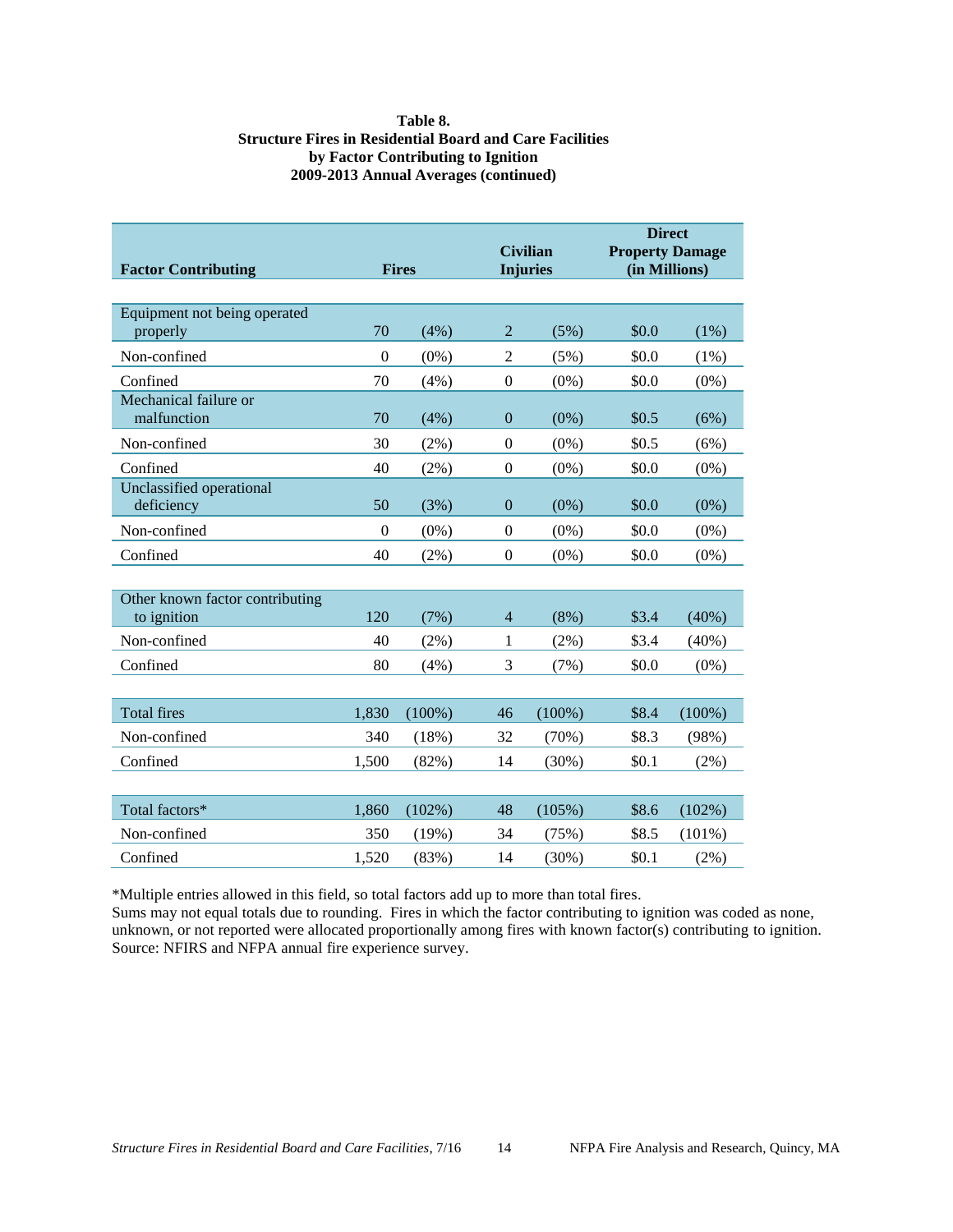#### **Table 8. Structure Fires in Residential Board and Care Facilities by Factor Contributing to Ignition 2009-2013 Annual Averages (continued)**

| <b>Factor Contributing</b>                     | <b>Fires</b>     |           |                          | <b>Civilian</b><br><b>Injuries</b> |       | <b>Direct</b><br><b>Property Damage</b><br>(in Millions) |
|------------------------------------------------|------------------|-----------|--------------------------|------------------------------------|-------|----------------------------------------------------------|
|                                                |                  |           |                          |                                    |       |                                                          |
| Equipment not being operated<br>properly       | 70               | (4%)      | $\overline{2}$           | (5%)                               | \$0.0 | (1%)                                                     |
| Non-confined                                   | $\mathbf{0}$     | $(0\%)$   | 2                        | (5%)                               | \$0.0 | (1%)                                                     |
| Confined                                       | 70               | (4%)      | $\theta$                 | $(0\%)$                            | \$0.0 | $(0\%)$                                                  |
| Mechanical failure or<br>malfunction           | 70               | (4%)      | $\mathbf{0}$             | $(0\%)$                            | \$0.5 | (6%)                                                     |
| Non-confined                                   | 30               | $(2\%)$   | $\boldsymbol{0}$         | $(0\%)$                            | \$0.5 | (6%)                                                     |
| Confined                                       | 40               | $(2\%)$   | $\boldsymbol{0}$         | $(0\%)$                            | \$0.0 | $(0\%)$                                                  |
| Unclassified operational<br>deficiency         | 50               | (3%)      | $\overline{0}$           | (0%)                               | \$0.0 | $(0\%)$                                                  |
| Non-confined                                   | $\boldsymbol{0}$ | $(0\%)$   | $\mathbf{0}$             | $(0\%)$                            | \$0.0 | $(0\%)$                                                  |
| Confined                                       | 40               | $(2\%)$   | $\Omega$                 | $(0\%)$                            | \$0.0 | $(0\%)$                                                  |
|                                                |                  |           |                          |                                    |       |                                                          |
| Other known factor contributing<br>to ignition | 120              | (7%)      | $\overline{\mathcal{A}}$ | (8%)                               | \$3.4 | (40%)                                                    |
| Non-confined                                   | 40               | $(2\%)$   | 1                        | $(2\%)$                            | \$3.4 | $(40\%)$                                                 |
| Confined                                       | 80               | (4%)      | 3                        | (7%)                               | \$0.0 | $(0\%)$                                                  |
|                                                |                  |           |                          |                                    |       |                                                          |
| <b>Total fires</b>                             | 1,830            | $(100\%)$ | 46                       | $(100\%)$                          | \$8.4 | $(100\%)$                                                |
| Non-confined                                   | 340              | (18%)     | 32                       | (70%)                              | \$8.3 | (98%)                                                    |
| Confined                                       | 1,500            | (82%)     | 14                       | (30%)                              | \$0.1 | (2%)                                                     |
|                                                |                  |           |                          |                                    |       |                                                          |
| Total factors*                                 | 1,860            | (102%)    | 48                       | (105%)                             | \$8.6 | (102%)                                                   |
| Non-confined                                   | 350              | (19%)     | 34                       | (75%)                              | \$8.5 | $(101\%)$                                                |
| Confined                                       | 1,520            | (83%)     | 14                       | (30%)                              | \$0.1 | (2%)                                                     |

\*Multiple entries allowed in this field, so total factors add up to more than total fires.

Sums may not equal totals due to rounding. Fires in which the factor contributing to ignition was coded as none, unknown, or not reported were allocated proportionally among fires with known factor(s) contributing to ignition. Source: NFIRS and NFPA annual fire experience survey.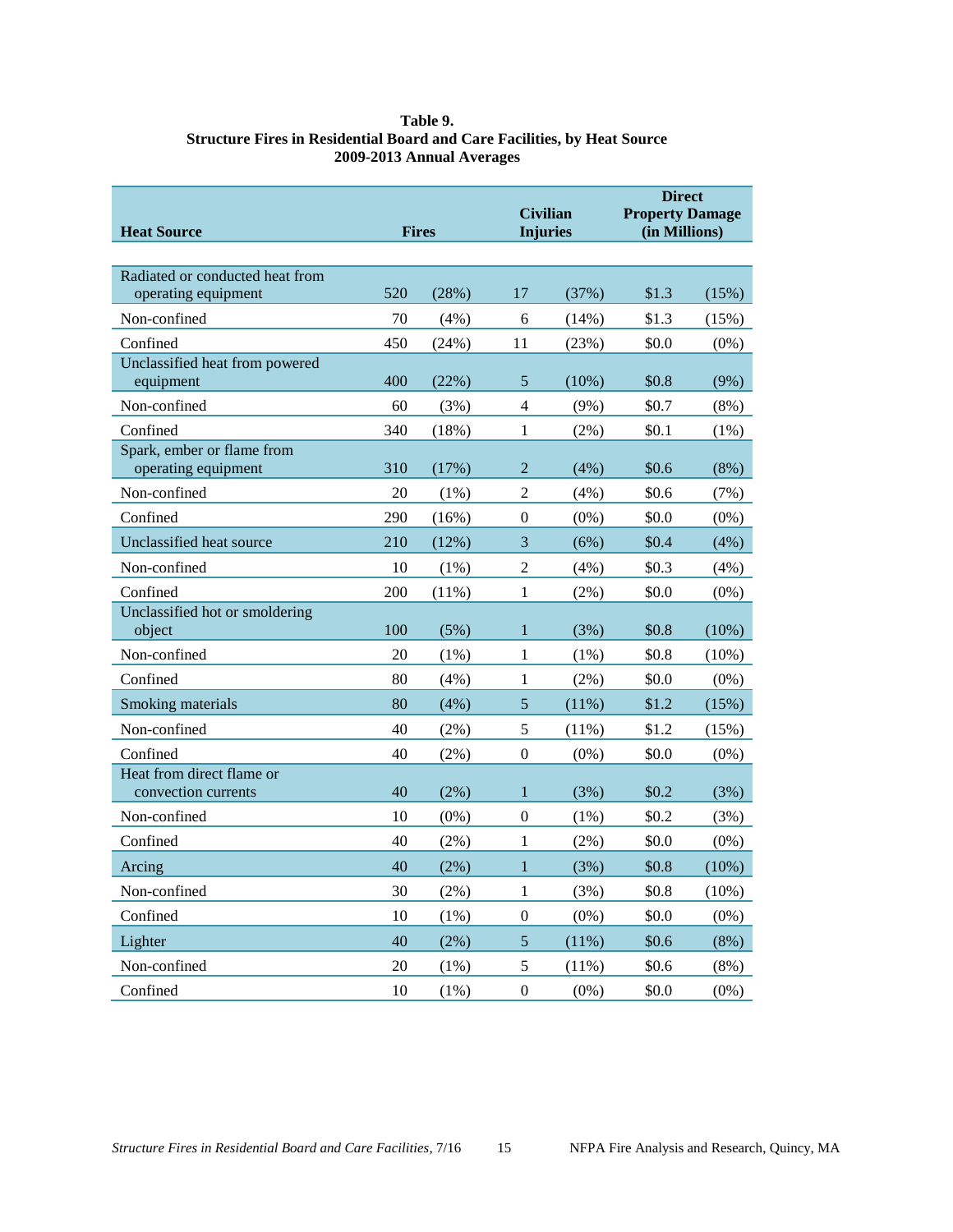#### **Table 9. Structure Fires in Residential Board and Care Facilities, by Heat Source 2009-2013 Annual Averages**

<span id="page-19-0"></span>

| <b>Heat Source</b>                                | <b>Fires</b> |          | <b>Civilian</b><br><b>Injuries</b> |         | <b>Direct</b><br><b>Property Damage</b><br>(in Millions) |          |
|---------------------------------------------------|--------------|----------|------------------------------------|---------|----------------------------------------------------------|----------|
| Radiated or conducted heat from                   |              |          |                                    |         |                                                          |          |
| operating equipment                               | 520          | (28%)    | 17                                 | (37%)   | \$1.3                                                    | (15%)    |
| Non-confined                                      | 70           | (4%)     | 6                                  | (14%)   | \$1.3                                                    | (15%)    |
| Confined                                          | 450          | (24%)    | 11                                 | (23%)   | \$0.0                                                    | $(0\%)$  |
| Unclassified heat from powered                    |              |          |                                    |         |                                                          |          |
| equipment                                         | 400          | (22%)    | 5                                  | (10%)   | \$0.8\$                                                  | (9%)     |
| Non-confined                                      | 60           | (3%)     | 4                                  | (9%)    | \$0.7                                                    | (8%)     |
| Confined                                          | 340          | (18%)    | 1                                  | (2%)    | \$0.1                                                    | (1%)     |
| Spark, ember or flame from<br>operating equipment | 310          | (17%)    | $\overline{2}$                     | (4%)    | \$0.6                                                    | (8%)     |
| Non-confined                                      | 20           | $(1\%)$  | $\overline{2}$                     | (4%)    | \$0.6                                                    | (7%)     |
| Confined                                          | 290          | (16%)    | $\theta$                           | $(0\%)$ | \$0.0                                                    | $(0\%)$  |
| Unclassified heat source                          | 210          | (12%)    | 3                                  | (6%)    | \$0.4                                                    | (4%)     |
| Non-confined                                      | 10           | $(1\%)$  | $\overline{c}$                     | (4%)    | \$0.3\$                                                  | (4%)     |
| Confined                                          | 200          | $(11\%)$ | 1                                  | $(2\%)$ | \$0.0                                                    | $(0\%)$  |
| Unclassified hot or smoldering<br>object          | 100          | (5%)     | $\mathbf{1}$                       | (3%)    | \$0.8\$                                                  | (10%)    |
| Non-confined                                      | 20           | $(1\%)$  | 1                                  | $(1\%)$ | \$0.8                                                    | $(10\%)$ |
| Confined                                          | 80           | (4%)     | 1                                  | $(2\%)$ | \$0.0                                                    | $(0\%)$  |
| Smoking materials                                 | 80           | (4%)     | 5                                  | (11%)   | \$1.2                                                    | (15%)    |
| Non-confined                                      | 40           | (2%)     | 5                                  | (11%)   | \$1.2                                                    | (15%)    |
| Confined                                          | 40           | (2%)     | $\boldsymbol{0}$                   | $(0\%)$ | \$0.0                                                    | $(0\%)$  |
| Heat from direct flame or<br>convection currents  | 40           | (2%)     | 1                                  | (3%)    | \$0.2\$                                                  | (3%)     |
| Non-confined                                      | 10           | $(0\%)$  | $\boldsymbol{0}$                   | $(1\%)$ | \$0.2                                                    | (3%)     |
| Confined                                          | 40           | $(2\%)$  | 1                                  | $(2\%)$ | \$0.0                                                    | $(0\%)$  |
| Arcing                                            | 40           | (2%)     | $\mathbf{1}$                       | (3%)    | \$0.8\$                                                  | (10%)    |
| Non-confined                                      | 30           | $(2\%)$  | $\mathbf{1}$                       | (3%)    | \$0.8                                                    | $(10\%)$ |
| Confined                                          | 10           | $(1\%)$  | $\boldsymbol{0}$                   | $(0\%)$ | \$0.0                                                    | $(0\%)$  |
| Lighter                                           | 40           | (2%)     | $\sqrt{5}$                         | (11%)   | \$0.6                                                    | (8%)     |
| Non-confined                                      | 20           | (1%)     | $\mathfrak s$                      | (11%)   | \$0.6                                                    | (8%)     |
| Confined                                          | 10           | (1%)     | $\boldsymbol{0}$                   | $(0\%)$ | \$0.0                                                    | $(0\%)$  |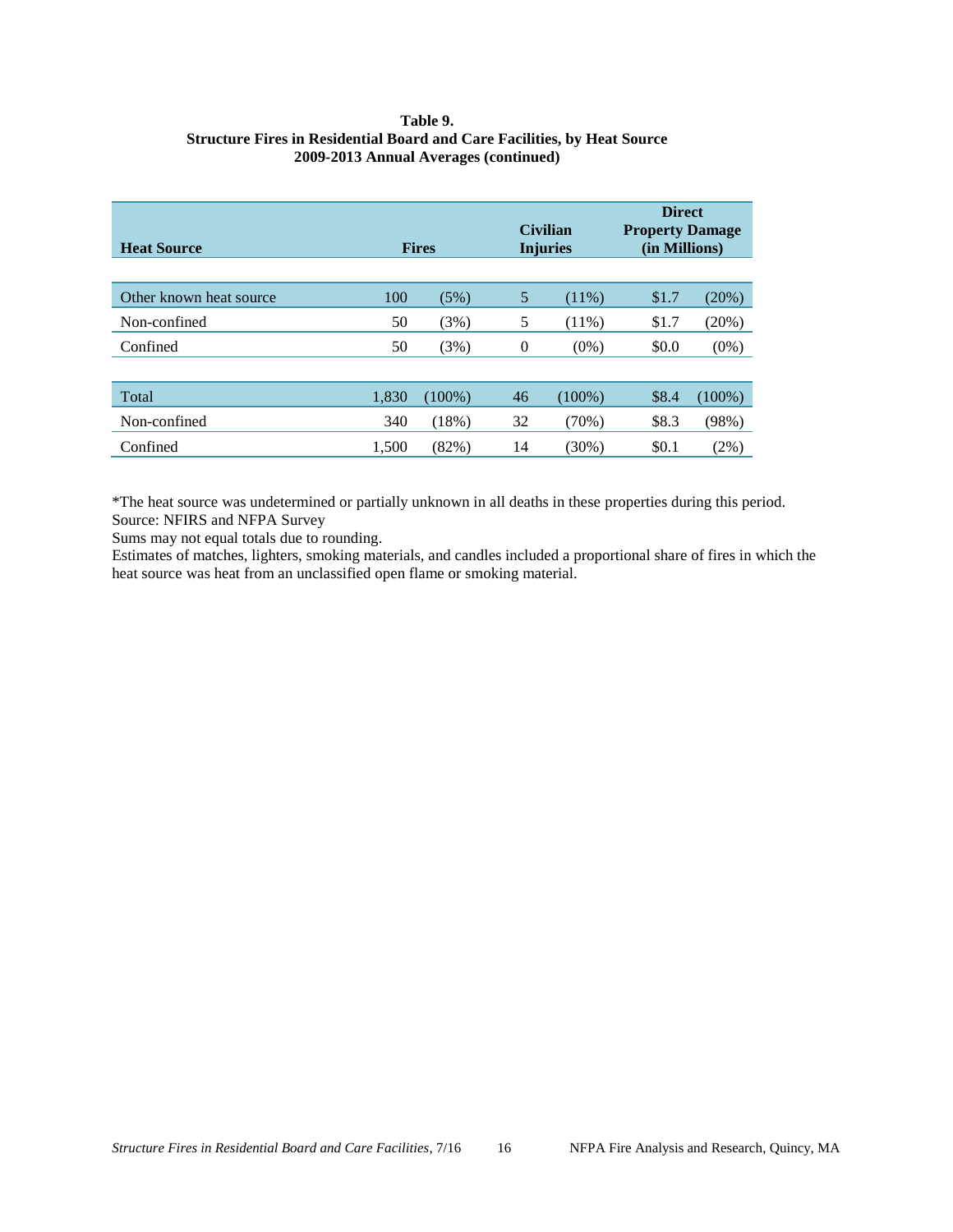#### **Table 9. Structure Fires in Residential Board and Care Facilities, by Heat Source 2009-2013 Annual Averages (continued)**

| <b>Heat Source</b>      | <b>Fires</b> |           | <b>Civilian</b><br><b>Injuries</b> |           | <b>Direct</b><br><b>Property Damage</b><br>(in Millions) |           |
|-------------------------|--------------|-----------|------------------------------------|-----------|----------------------------------------------------------|-----------|
|                         |              |           |                                    |           |                                                          |           |
| Other known heat source | 100          | (5%)      | 5                                  | $(11\%)$  | \$1.7                                                    | $(20\%)$  |
| Non-confined            | 50           | (3%)      | 5                                  | $(11\%)$  | \$1.7                                                    | (20%)     |
| Confined                | 50           | (3%)      | $\boldsymbol{0}$                   | $(0\%)$   | \$0.0                                                    | $(0\%)$   |
|                         |              |           |                                    |           |                                                          |           |
| Total                   | 1,830        | $(100\%)$ | 46                                 | $(100\%)$ | \$8.4                                                    | $(100\%)$ |
| Non-confined            | 340          | (18%)     | 32                                 | $(70\%)$  | \$8.3                                                    | (98%)     |
| Confined                | 1,500        | (82%)     | 14                                 | $(30\%)$  | \$0.1                                                    | $(2\%)$   |

\*The heat source was undetermined or partially unknown in all deaths in these properties during this period. Source: NFIRS and NFPA Survey

Sums may not equal totals due to rounding.

Estimates of matches, lighters, smoking materials, and candles included a proportional share of fires in which the heat source was heat from an unclassified open flame or smoking material.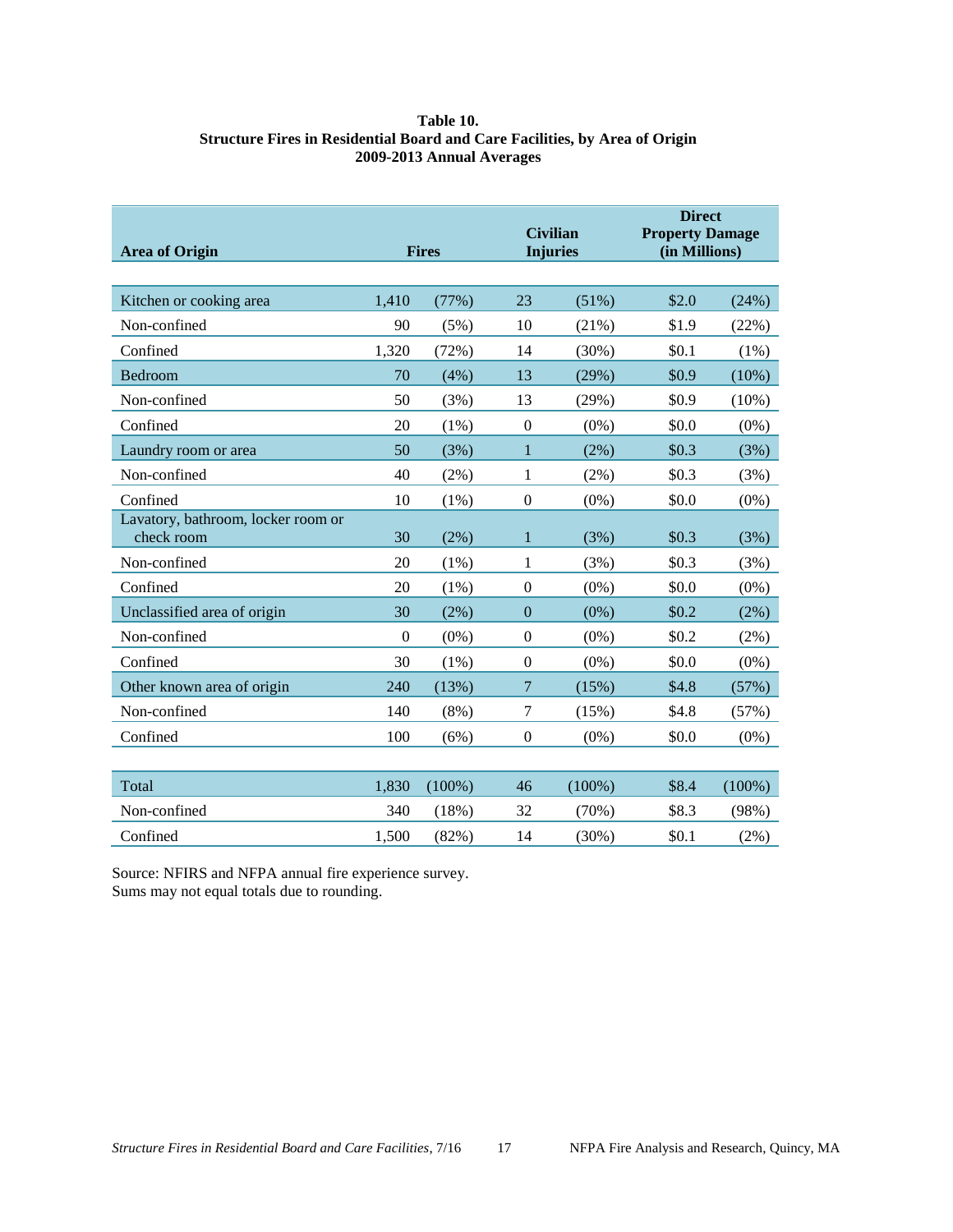#### <span id="page-21-0"></span>**Table 10. Structure Fires in Residential Board and Care Facilities, by Area of Origin 2009-2013 Annual Averages**

| <b>Area of Origin</b>                            | <b>Fires</b> |           |                  | <b>Civilian</b><br><b>Injuries</b> | <b>Direct</b><br><b>Property Damage</b><br>(in Millions) |           |
|--------------------------------------------------|--------------|-----------|------------------|------------------------------------|----------------------------------------------------------|-----------|
|                                                  |              |           |                  |                                    |                                                          |           |
| Kitchen or cooking area                          | 1,410        | (77%)     | 23               | (51%)                              | \$2.0                                                    | (24%)     |
| Non-confined                                     | 90           | (5%)      | 10               | (21%)                              | \$1.9                                                    | (22%)     |
| Confined                                         | 1,320        | (72%)     | 14               | (30%)                              | \$0.1                                                    | $(1\%)$   |
| Bedroom                                          | 70           | (4%)      | 13               | (29%)                              | \$0.9                                                    | (10%)     |
| Non-confined                                     | 50           | (3%)      | 13               | (29%)                              | \$0.9                                                    | $(10\%)$  |
| Confined                                         | 20           | $(1\%)$   | $\mathbf{0}$     | $(0\%)$                            | \$0.0                                                    | $(0\%)$   |
| Laundry room or area                             | 50           | (3%)      | 1                | (2%)                               | \$0.3\$                                                  | (3%)      |
| Non-confined                                     | 40           | $(2\%)$   | 1                | $(2\%)$                            | \$0.3                                                    | (3%)      |
| Confined                                         | 10           | $(1\%)$   | $\boldsymbol{0}$ | $(0\%)$                            | \$0.0                                                    | $(0\%)$   |
| Lavatory, bathroom, locker room or<br>check room | 30           | (2%)      | 1                | (3%)                               | \$0.3                                                    | (3%)      |
| Non-confined                                     | 20           | $(1\%)$   | 1                | (3%)                               | \$0.3\$                                                  | (3%)      |
| Confined                                         | 20           | (1%)      | $\Omega$         | $(0\%)$                            | \$0.0                                                    | $(0\%)$   |
| Unclassified area of origin                      | 30           | $(2\%)$   | $\overline{0}$   | $(0\%)$                            | \$0.2\$                                                  | (2%)      |
| Non-confined                                     | $\theta$     | $(0\%)$   | $\boldsymbol{0}$ | $(0\%)$                            | \$0.2\$                                                  | (2%)      |
| Confined                                         | 30           | $(1\%)$   | $\boldsymbol{0}$ | $(0\%)$                            | \$0.0                                                    | $(0\%)$   |
| Other known area of origin                       | 240          | (13%)     | 7                | (15%)                              | \$4.8                                                    | (57%)     |
| Non-confined                                     | 140          | $(8\%)$   | 7                | (15%)                              | \$4.8                                                    | (57%)     |
| Confined                                         | 100          | (6%)      | $\boldsymbol{0}$ | $(0\%)$                            | \$0.0                                                    | $(0\%)$   |
|                                                  |              |           |                  |                                    |                                                          |           |
| Total                                            | 1,830        | $(100\%)$ | 46               | $(100\%)$                          | \$8.4                                                    | $(100\%)$ |
| Non-confined                                     | 340          | (18%)     | 32               | (70%)                              | \$8.3                                                    | (98%)     |
| Confined                                         | 1,500        | (82%)     | 14               | (30%)                              | \$0.1                                                    | (2%)      |

Source: NFIRS and NFPA annual fire experience survey. Sums may not equal totals due to rounding.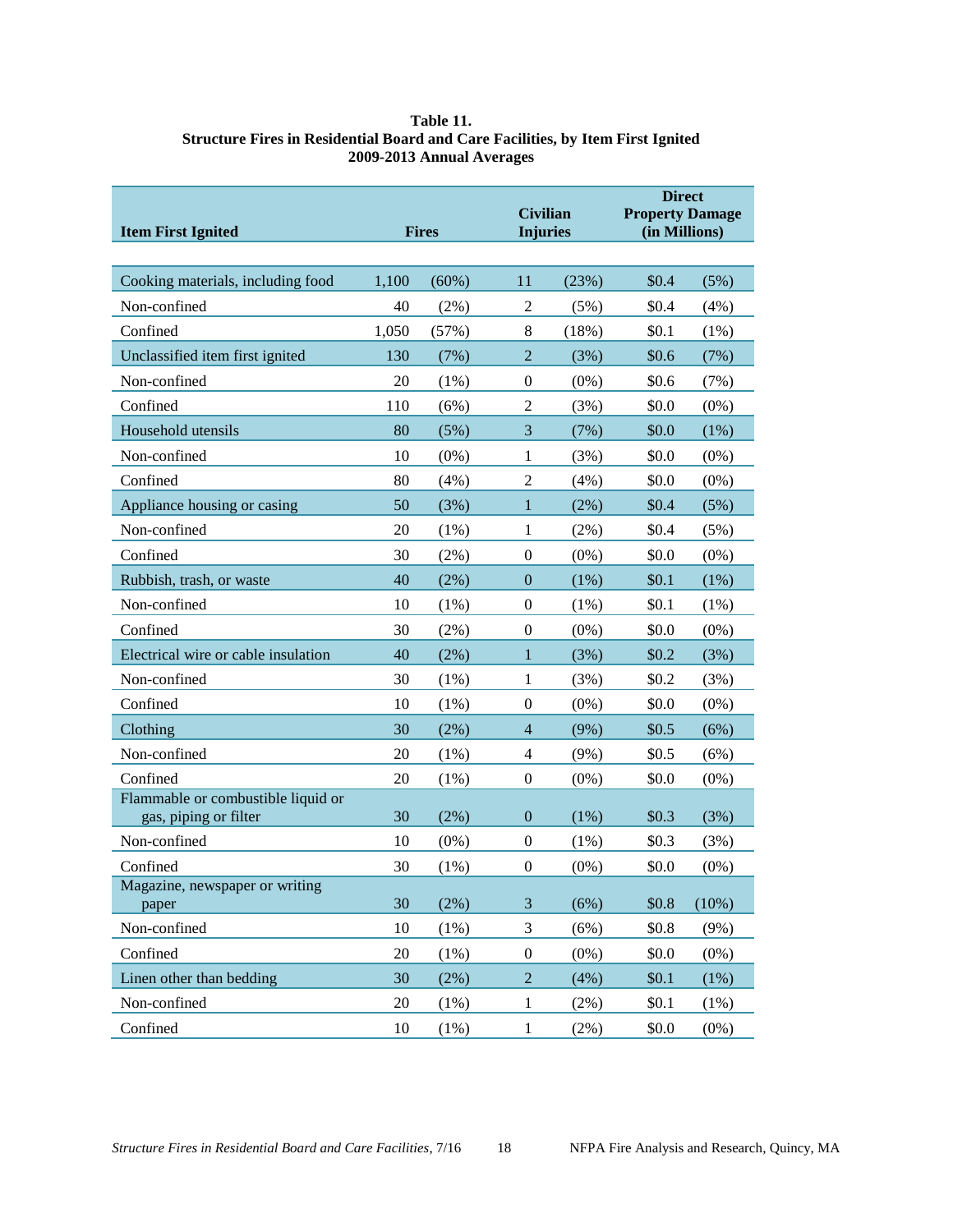#### **Table 11. Structure Fires in Residential Board and Care Facilities, by Item First Ignited 2009-2013 Annual Averages**

<span id="page-22-0"></span>

| <b>Item First Ignited</b>                                   |       | <b>Fires</b> | <b>Civilian</b><br><b>Injuries</b>                               |         | <b>Direct</b><br><b>Property Damage</b><br>(in Millions) |         |
|-------------------------------------------------------------|-------|--------------|------------------------------------------------------------------|---------|----------------------------------------------------------|---------|
| Cooking materials, including food                           | 1,100 | (60%)        | 11                                                               | (23%)   | \$0.4                                                    | (5%)    |
| Non-confined                                                | 40    | (2%)         | $\overline{2}$                                                   | (5%)    | \$0.4                                                    | (4%)    |
| Confined                                                    | 1,050 | (57%)        | $\,8$                                                            | (18%)   | \$0.1                                                    | (1%)    |
| Unclassified item first ignited                             | 130   | (7%)         | $\overline{2}$                                                   | (3%)    | \$0.6                                                    | (7%)    |
| Non-confined                                                | 20    | (1%)         | $\boldsymbol{0}$                                                 | $(0\%)$ | \$0.6                                                    | (7%)    |
| Confined                                                    | 110   | (6%)         | $\overline{2}$                                                   | (3%)    | \$0.0                                                    | $(0\%)$ |
| Household utensils                                          | 80    | (5%)         | 3                                                                | (7%)    | \$0.0                                                    | (1%)    |
| Non-confined                                                | 10    | $(0\%)$      | 1                                                                | (3%)    | \$0.0                                                    | $(0\%)$ |
| Confined                                                    | 80    | (4%)         | $\mathfrak{2}% _{T}=\mathfrak{2}_{T}\!\left( T_{T_{1}}\right) ,$ | (4%)    | \$0.0                                                    | $(0\%)$ |
| Appliance housing or casing                                 | 50    | (3%)         | $\mathbf{1}$                                                     | (2%)    | \$0.4                                                    | (5%)    |
| Non-confined                                                | 20    | (1%)         | 1                                                                | (2%)    | \$0.4                                                    | (5%)    |
| Confined                                                    | 30    | (2%)         | $\boldsymbol{0}$                                                 | $(0\%)$ | \$0.0                                                    | $(0\%)$ |
| Rubbish, trash, or waste                                    | 40    | (2%)         | $\boldsymbol{0}$                                                 | (1%)    | \$0.1                                                    | (1%)    |
| Non-confined                                                | 10    | (1%)         | $\boldsymbol{0}$                                                 | (1%)    | \$0.1                                                    | $(1\%)$ |
| Confined                                                    | 30    | (2%)         | $\boldsymbol{0}$                                                 | $(0\%)$ | \$0.0                                                    | $(0\%)$ |
| Electrical wire or cable insulation                         | 40    | (2%)         | $\mathbf{1}$                                                     | (3%)    | \$0.2\$                                                  | (3%)    |
| Non-confined                                                | 30    | (1%)         | 1                                                                | (3%)    | \$0.2                                                    | (3%)    |
| Confined                                                    | 10    | $(1\%)$      | $\boldsymbol{0}$                                                 | $(0\%)$ | \$0.0                                                    | $(0\%)$ |
| Clothing                                                    | 30    | (2%)         | $\overline{4}$                                                   | (9%)    | \$0.5                                                    | (6%)    |
| Non-confined                                                | 20    | $(1\%)$      | $\overline{4}$                                                   | (9%)    | \$0.5                                                    | (6%)    |
| Confined                                                    | 20    | $(1\%)$      | $\boldsymbol{0}$                                                 | $(0\%)$ | \$0.0                                                    | $(0\%)$ |
| Flammable or combustible liquid or<br>gas, piping or filter | 30    | (2%)         | $\boldsymbol{0}$                                                 | (1%)    | \$0.3\$                                                  | (3%)    |
| Non-confined                                                | 10    | $(0\%)$      | $\boldsymbol{0}$                                                 | (1%)    | \$0.3                                                    | (3%)    |
| Confined                                                    | 30    | (1%)         | $\boldsymbol{0}$                                                 | $(0\%)$ | \$0.0                                                    | $(0\%)$ |
| Magazine, newspaper or writing<br>paper                     | 30    | (2%)         | 3                                                                | (6%)    | \$0.8                                                    | (10%)   |
| Non-confined                                                | 10    | (1%)         | 3                                                                | (6%)    | \$0.8                                                    | (9%)    |
| Confined                                                    | 20    | $(1\%)$      | $\boldsymbol{0}$                                                 | $(0\%)$ | \$0.0                                                    | $(0\%)$ |
| Linen other than bedding                                    | 30    | (2%)         | $\sqrt{2}$                                                       | (4%)    | \$0.1                                                    | (1%)    |
| Non-confined                                                | 20    | (1%)         | 1                                                                | $(2\%)$ | \$0.1                                                    | $(1\%)$ |
| Confined                                                    | 10    | (1%)         | $\mathbf{1}$                                                     | $(2\%)$ | \$0.0                                                    | $(0\%)$ |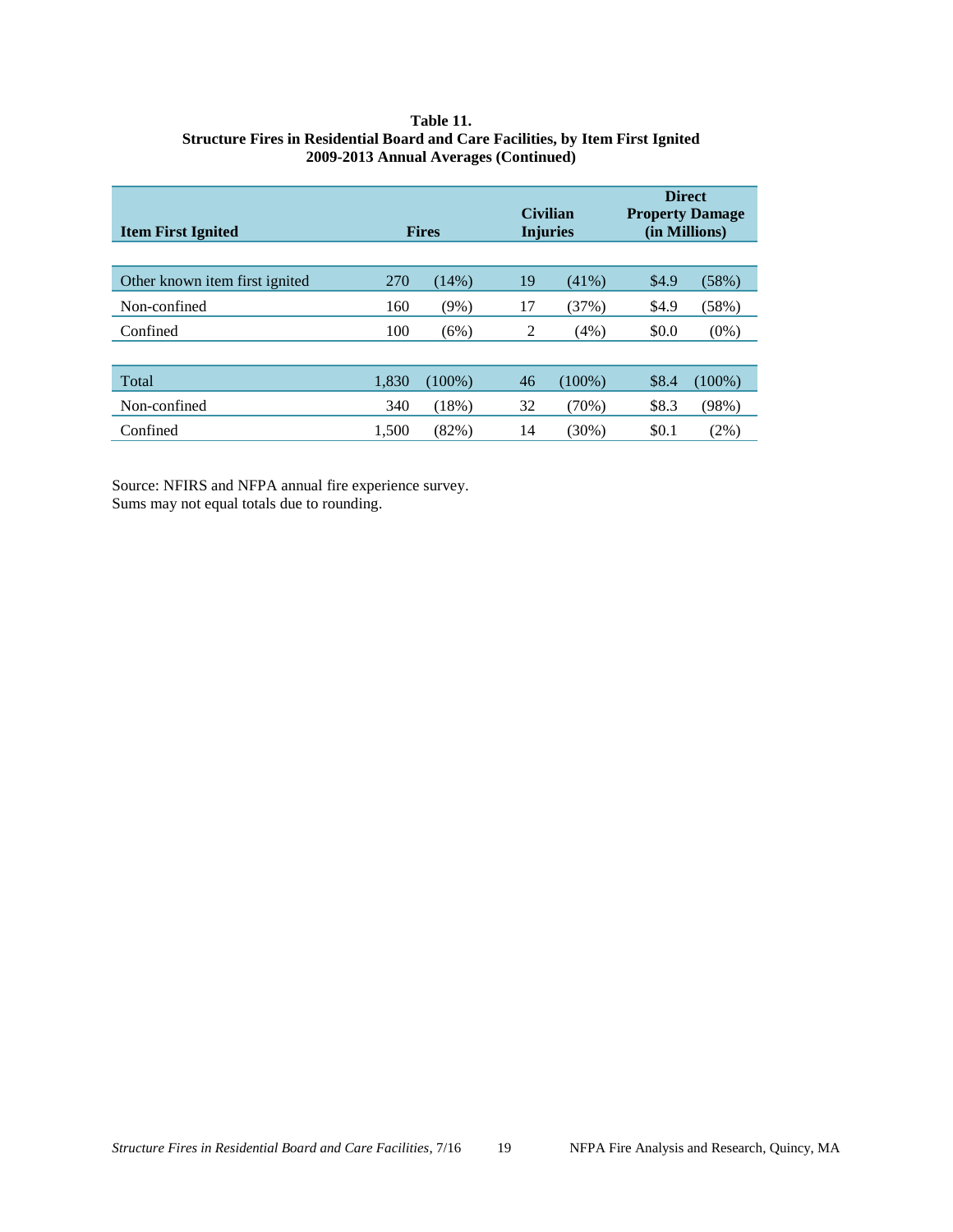#### **Table 11. Structure Fires in Residential Board and Care Facilities, by Item First Ignited 2009-2013 Annual Averages (Continued)**

| <b>Item First Ignited</b>      | <b>Fires</b> |           | <b>Civilian</b><br><b>Injuries</b> |           | <b>Direct</b><br><b>Property Damage</b><br>(in Millions) |           |
|--------------------------------|--------------|-----------|------------------------------------|-----------|----------------------------------------------------------|-----------|
|                                |              |           |                                    |           |                                                          |           |
| Other known item first ignited | 270          | $(14\%)$  | 19                                 | $(41\%)$  | \$4.9                                                    | (58%)     |
| Non-confined                   | 160          | $(9\%)$   | 17                                 | (37%)     | \$4.9                                                    | (58%)     |
| Confined                       | 100          | (6%)      | 2                                  | (4%)      | \$0.0                                                    | $(0\%)$   |
|                                |              |           |                                    |           |                                                          |           |
| Total                          | 1,830        | $(100\%)$ | 46                                 | $(100\%)$ | \$8.4                                                    | $(100\%)$ |
| Non-confined                   | 340          | (18%)     | 32                                 | $(70\%)$  | \$8.3                                                    | (98%)     |
| Confined                       | 1,500        | (82%)     | 14                                 | $(30\%)$  | \$0.1                                                    | (2%)      |

Source: NFIRS and NFPA annual fire experience survey. Sums may not equal totals due to rounding.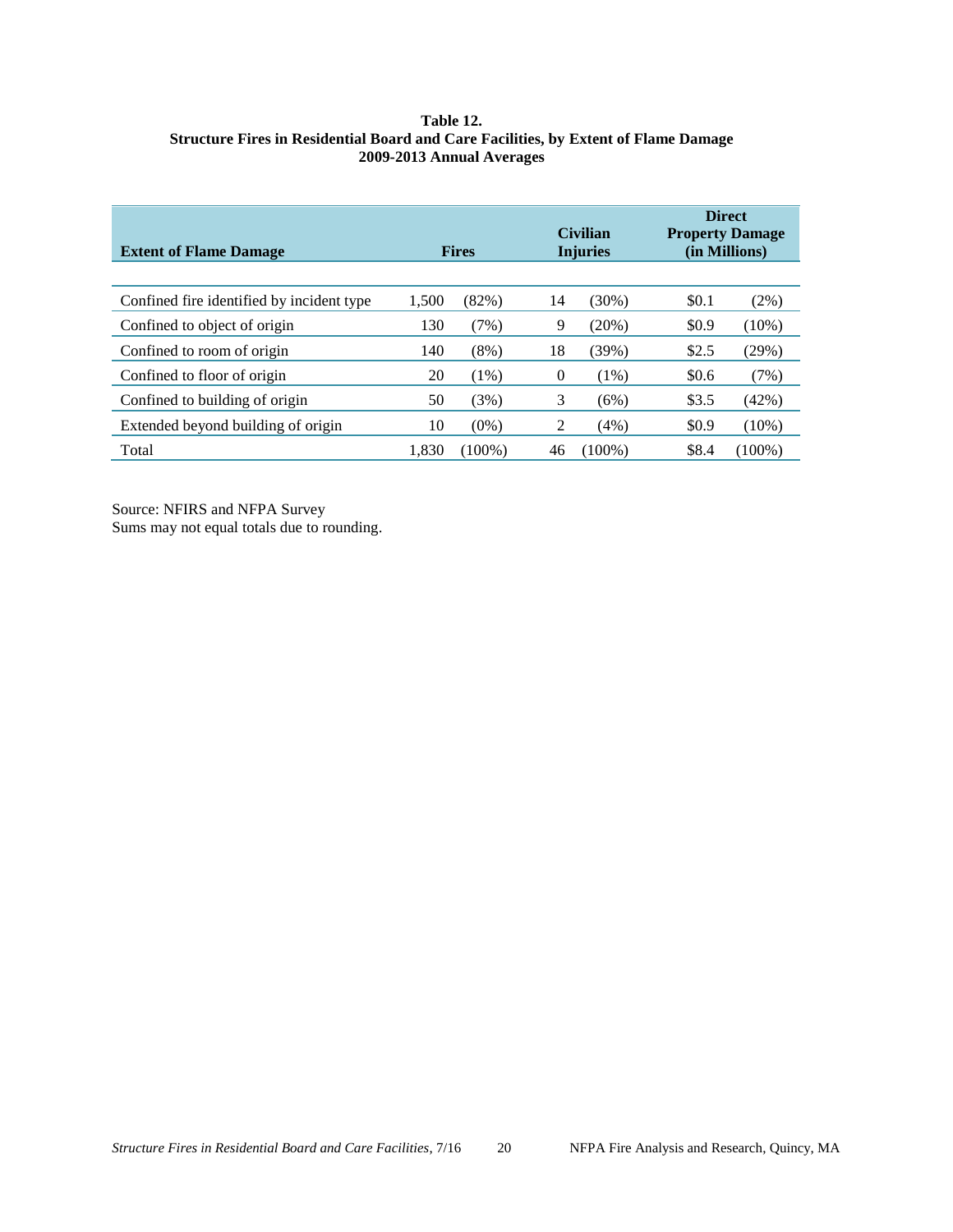#### <span id="page-24-0"></span>**Table 12. Structure Fires in Residential Board and Care Facilities, by Extent of Flame Damage 2009-2013 Annual Averages**

| <b>Extent of Flame Damage</b>             | <b>Fires</b> |           |          | <b>Civilian</b><br><b>Injuries</b> |       | <b>Direct</b><br><b>Property Damage</b><br>(in Millions) |
|-------------------------------------------|--------------|-----------|----------|------------------------------------|-------|----------------------------------------------------------|
| Confined fire identified by incident type | 1,500        | (82%)     | 14       | (30%)                              | \$0.1 | $(2\%)$                                                  |
| Confined to object of origin              | 130          | (7%)      | 9        | $(20\%)$                           | \$0.9 | $(10\%)$                                                 |
| Confined to room of origin                | 140          | $(8\%)$   | 18       | (39%)                              | \$2.5 | (29%)                                                    |
| Confined to floor of origin               | 20           | $(1\%)$   | $\theta$ | $(1\%)$                            | \$0.6 | (7%)                                                     |
| Confined to building of origin            | 50           | (3%)      | 3        | (6%)                               | \$3.5 | (42%)                                                    |
| Extended beyond building of origin        | 10           | $(0\%)$   | 2        | (4%)                               | \$0.9 | $(10\%)$                                                 |
| Total                                     | 1.830        | $(100\%)$ | 46       | (100%)                             | \$8.4 | $(100\%)$                                                |

Source: NFIRS and NFPA Survey Sums may not equal totals due to rounding.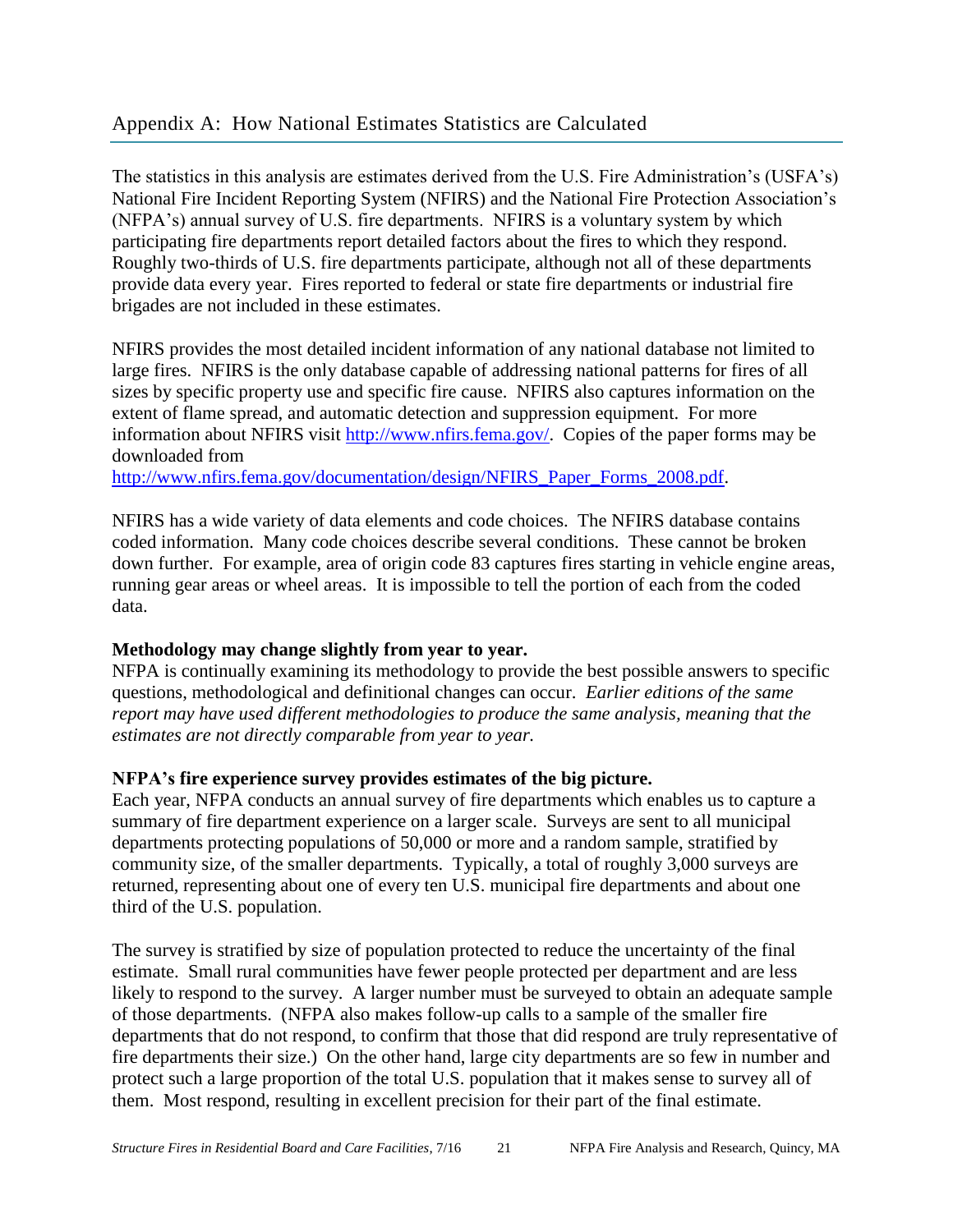The statistics in this analysis are estimates derived from the U.S. Fire Administration's (USFA's) National Fire Incident Reporting System (NFIRS) and the National Fire Protection Association's (NFPA's) annual survey of U.S. fire departments. NFIRS is a voluntary system by which participating fire departments report detailed factors about the fires to which they respond. Roughly two-thirds of U.S. fire departments participate, although not all of these departments provide data every year. Fires reported to federal or state fire departments or industrial fire brigades are not included in these estimates.

NFIRS provides the most detailed incident information of any national database not limited to large fires. NFIRS is the only database capable of addressing national patterns for fires of all sizes by specific property use and specific fire cause. NFIRS also captures information on the extent of flame spread, and automatic detection and suppression equipment. For more information about NFIRS visit [http://www.nfirs.fema.gov/.](http://www.nfirs.fema.gov/) Copies of the paper forms may be downloaded from

[http://www.nfirs.fema.gov/documentation/design/NFIRS\\_Paper\\_Forms\\_2008.pdf.](http://www.nfirs.fema.gov/documentation/design/NFIRS_Paper_Forms_2008.pdf)

NFIRS has a wide variety of data elements and code choices. The NFIRS database contains coded information. Many code choices describe several conditions. These cannot be broken down further. For example, area of origin code 83 captures fires starting in vehicle engine areas, running gear areas or wheel areas. It is impossible to tell the portion of each from the coded data.

## **Methodology may change slightly from year to year.**

NFPA is continually examining its methodology to provide the best possible answers to specific questions, methodological and definitional changes can occur. *Earlier editions of the same report may have used different methodologies to produce the same analysis, meaning that the estimates are not directly comparable from year to year.* 

## **NFPA's fire experience survey provides estimates of the big picture.**

Each year, NFPA conducts an annual survey of fire departments which enables us to capture a summary of fire department experience on a larger scale. Surveys are sent to all municipal departments protecting populations of 50,000 or more and a random sample, stratified by community size, of the smaller departments. Typically, a total of roughly 3,000 surveys are returned, representing about one of every ten U.S. municipal fire departments and about one third of the U.S. population.

The survey is stratified by size of population protected to reduce the uncertainty of the final estimate. Small rural communities have fewer people protected per department and are less likely to respond to the survey. A larger number must be surveyed to obtain an adequate sample of those departments. (NFPA also makes follow-up calls to a sample of the smaller fire departments that do not respond, to confirm that those that did respond are truly representative of fire departments their size.) On the other hand, large city departments are so few in number and protect such a large proportion of the total U.S. population that it makes sense to survey all of them. Most respond, resulting in excellent precision for their part of the final estimate.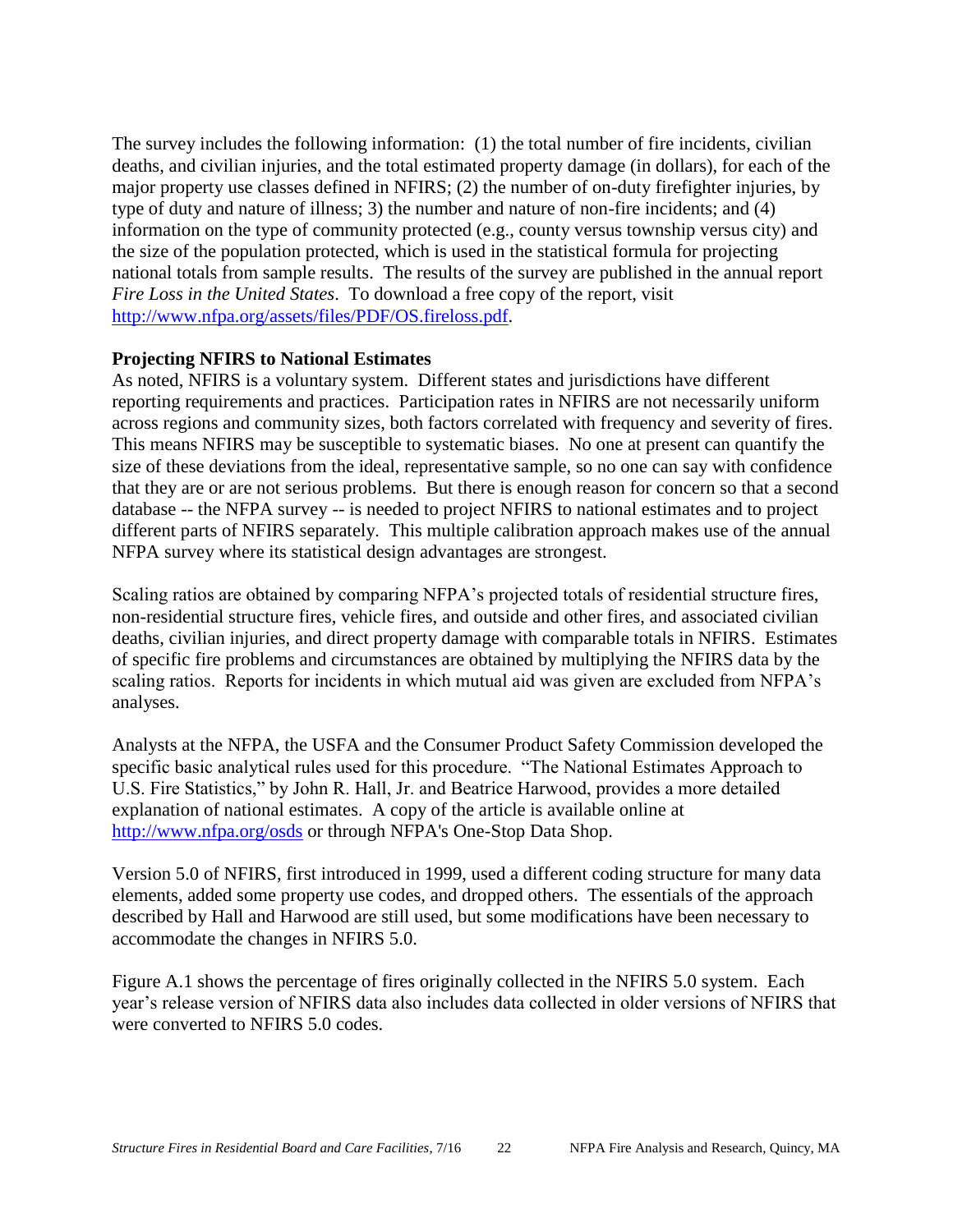The survey includes the following information: (1) the total number of fire incidents, civilian deaths, and civilian injuries, and the total estimated property damage (in dollars), for each of the major property use classes defined in NFIRS; (2) the number of on-duty firefighter injuries, by type of duty and nature of illness; 3) the number and nature of non-fire incidents; and (4) information on the type of community protected (e.g., county versus township versus city) and the size of the population protected, which is used in the statistical formula for projecting national totals from sample results. The results of the survey are published in the annual report *Fire Loss in the United States*. To download a free copy of the report, visit [http://www.nfpa.org/assets/files/PDF/OS.fireloss.pdf.](http://www.nfpa.org/assets/files/PDF/OS.fireloss.pdf)

## **Projecting NFIRS to National Estimates**

As noted, NFIRS is a voluntary system. Different states and jurisdictions have different reporting requirements and practices. Participation rates in NFIRS are not necessarily uniform across regions and community sizes, both factors correlated with frequency and severity of fires. This means NFIRS may be susceptible to systematic biases. No one at present can quantify the size of these deviations from the ideal, representative sample, so no one can say with confidence that they are or are not serious problems. But there is enough reason for concern so that a second database -- the NFPA survey -- is needed to project NFIRS to national estimates and to project different parts of NFIRS separately. This multiple calibration approach makes use of the annual NFPA survey where its statistical design advantages are strongest.

Scaling ratios are obtained by comparing NFPA's projected totals of residential structure fires, non-residential structure fires, vehicle fires, and outside and other fires, and associated civilian deaths, civilian injuries, and direct property damage with comparable totals in NFIRS. Estimates of specific fire problems and circumstances are obtained by multiplying the NFIRS data by the scaling ratios. Reports for incidents in which mutual aid was given are excluded from NFPA's analyses.

Analysts at the NFPA, the USFA and the Consumer Product Safety Commission developed the specific basic analytical rules used for this procedure. "The National Estimates Approach to U.S. Fire Statistics," by John R. Hall, Jr. and Beatrice Harwood, provides a more detailed explanation of national estimates. A copy of the article is available online at <http://www.nfpa.org/osds> or through NFPA's One-Stop Data Shop.

Version 5.0 of NFIRS, first introduced in 1999, used a different coding structure for many data elements, added some property use codes, and dropped others. The essentials of the approach described by Hall and Harwood are still used, but some modifications have been necessary to accommodate the changes in NFIRS 5.0.

Figure A.1 shows the percentage of fires originally collected in the NFIRS 5.0 system. Each year's release version of NFIRS data also includes data collected in older versions of NFIRS that were converted to NFIRS 5.0 codes.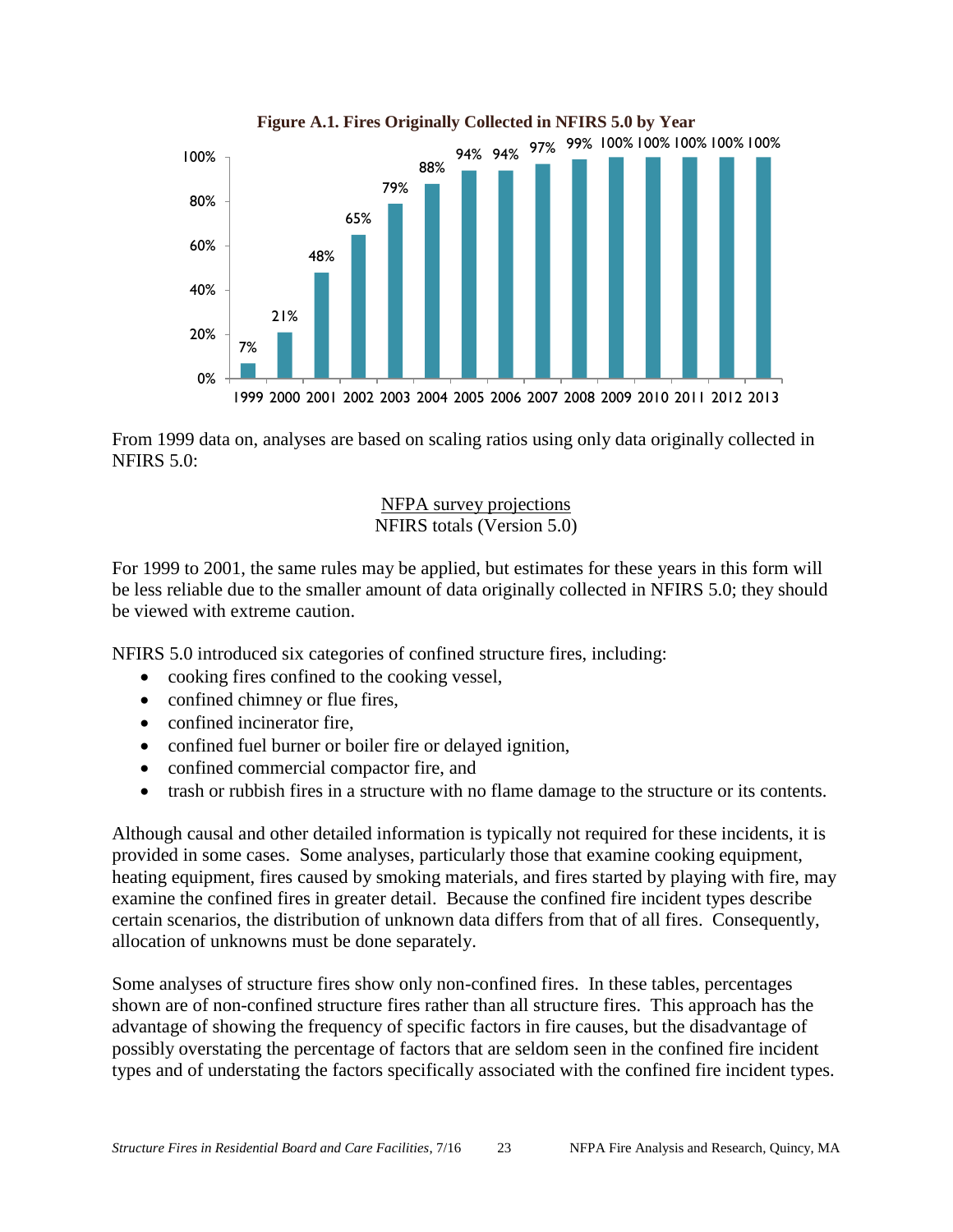

From 1999 data on, analyses are based on scaling ratios using only data originally collected in NFIRS 5.0:

> NFPA survey projections NFIRS totals (Version 5.0)

For 1999 to 2001, the same rules may be applied, but estimates for these years in this form will be less reliable due to the smaller amount of data originally collected in NFIRS 5.0; they should be viewed with extreme caution.

NFIRS 5.0 introduced six categories of confined structure fires, including:

- cooking fires confined to the cooking vessel,
- confined chimney or flue fires,
- confined incinerator fire,
- confined fuel burner or boiler fire or delayed ignition,
- confined commercial compactor fire, and
- trash or rubbish fires in a structure with no flame damage to the structure or its contents.

Although causal and other detailed information is typically not required for these incidents, it is provided in some cases. Some analyses, particularly those that examine cooking equipment, heating equipment, fires caused by smoking materials, and fires started by playing with fire, may examine the confined fires in greater detail. Because the confined fire incident types describe certain scenarios, the distribution of unknown data differs from that of all fires. Consequently, allocation of unknowns must be done separately.

Some analyses of structure fires show only non-confined fires. In these tables, percentages shown are of non-confined structure fires rather than all structure fires. This approach has the advantage of showing the frequency of specific factors in fire causes, but the disadvantage of possibly overstating the percentage of factors that are seldom seen in the confined fire incident types and of understating the factors specifically associated with the confined fire incident types.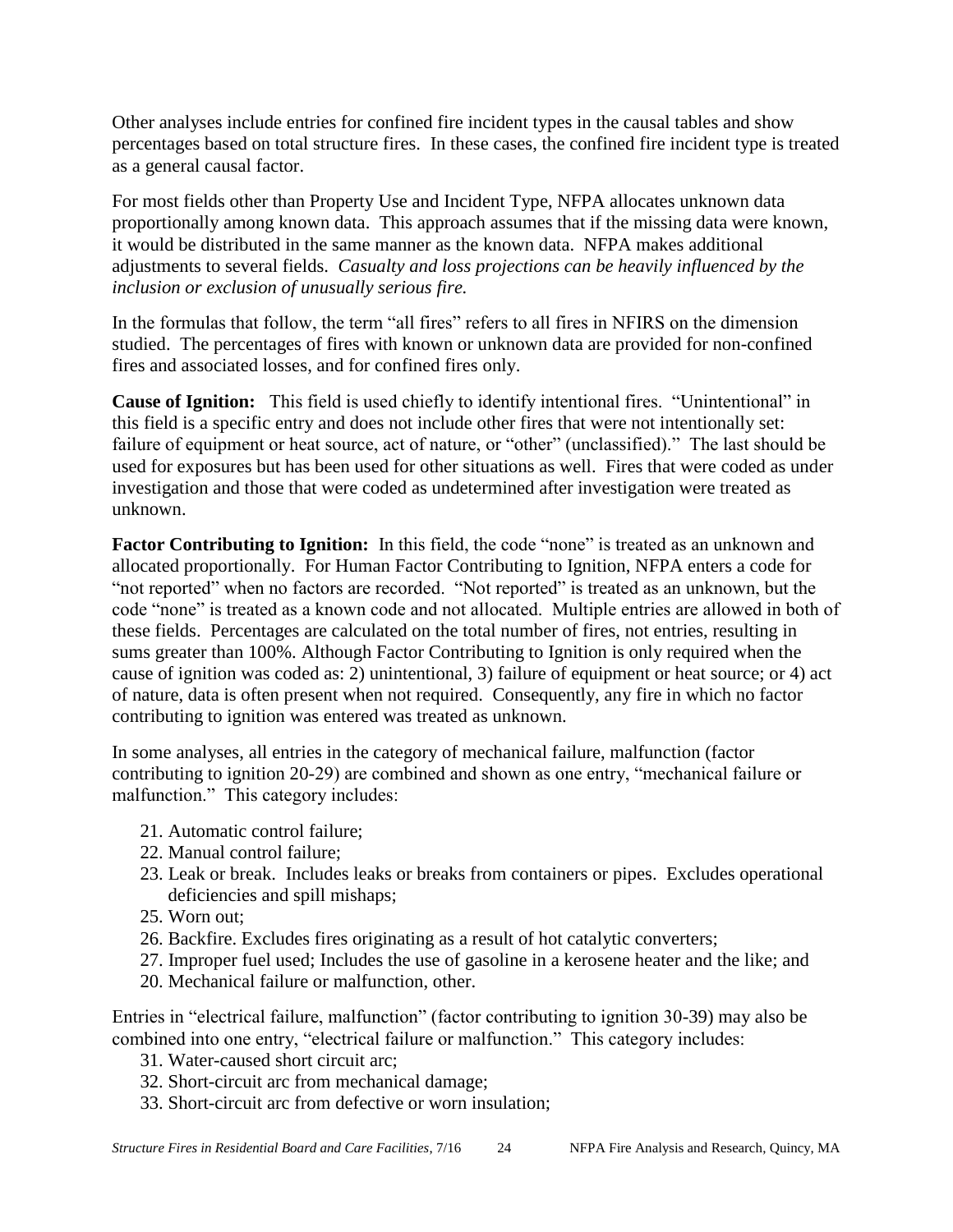Other analyses include entries for confined fire incident types in the causal tables and show percentages based on total structure fires. In these cases, the confined fire incident type is treated as a general causal factor.

For most fields other than Property Use and Incident Type, NFPA allocates unknown data proportionally among known data. This approach assumes that if the missing data were known, it would be distributed in the same manner as the known data. NFPA makes additional adjustments to several fields. *Casualty and loss projections can be heavily influenced by the inclusion or exclusion of unusually serious fire.* 

In the formulas that follow, the term "all fires" refers to all fires in NFIRS on the dimension studied. The percentages of fires with known or unknown data are provided for non-confined fires and associated losses, and for confined fires only.

**Cause of Ignition:** This field is used chiefly to identify intentional fires. "Unintentional" in this field is a specific entry and does not include other fires that were not intentionally set: failure of equipment or heat source, act of nature, or "other" (unclassified)." The last should be used for exposures but has been used for other situations as well. Fires that were coded as under investigation and those that were coded as undetermined after investigation were treated as unknown.

Factor Contributing to Ignition: In this field, the code "none" is treated as an unknown and allocated proportionally. For Human Factor Contributing to Ignition, NFPA enters a code for "not reported" when no factors are recorded. "Not reported" is treated as an unknown, but the code "none" is treated as a known code and not allocated. Multiple entries are allowed in both of these fields. Percentages are calculated on the total number of fires, not entries, resulting in sums greater than 100%. Although Factor Contributing to Ignition is only required when the cause of ignition was coded as: 2) unintentional, 3) failure of equipment or heat source; or 4) act of nature, data is often present when not required. Consequently, any fire in which no factor contributing to ignition was entered was treated as unknown.

In some analyses, all entries in the category of mechanical failure, malfunction (factor contributing to ignition 20-29) are combined and shown as one entry, "mechanical failure or malfunction." This category includes:

- 21. Automatic control failure;
- 22. Manual control failure;
- 23. Leak or break. Includes leaks or breaks from containers or pipes. Excludes operational deficiencies and spill mishaps;
- 25. Worn out;
- 26. Backfire. Excludes fires originating as a result of hot catalytic converters;
- 27. Improper fuel used; Includes the use of gasoline in a kerosene heater and the like; and
- 20. Mechanical failure or malfunction, other.

Entries in "electrical failure, malfunction" (factor contributing to ignition 30-39) may also be combined into one entry, "electrical failure or malfunction." This category includes:

- 31. Water-caused short circuit arc;
- 32. Short-circuit arc from mechanical damage;
- 33. Short-circuit arc from defective or worn insulation;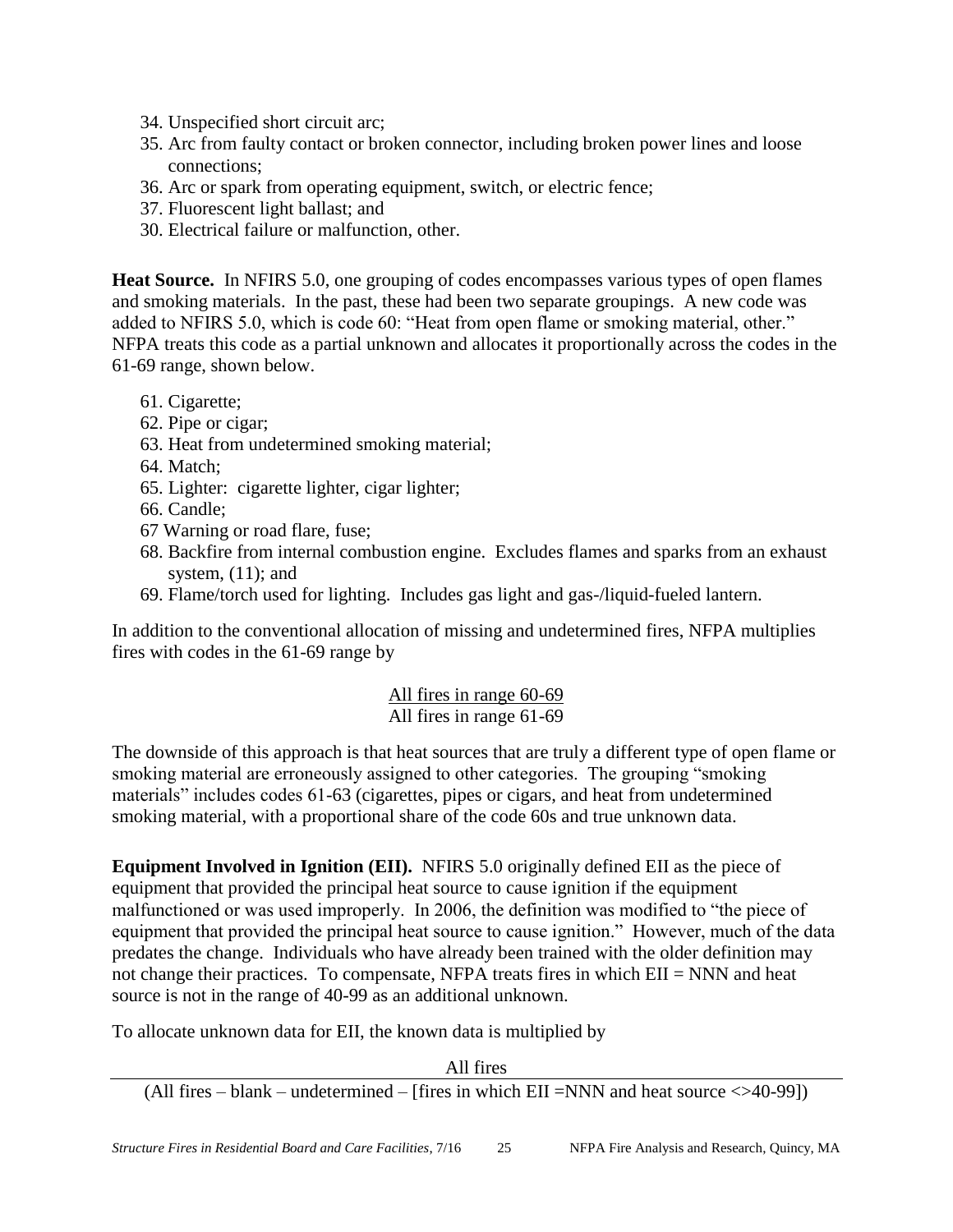- 34. Unspecified short circuit arc;
- 35. Arc from faulty contact or broken connector, including broken power lines and loose connections;
- 36. Arc or spark from operating equipment, switch, or electric fence;
- 37. Fluorescent light ballast; and
- 30. Electrical failure or malfunction, other.

**Heat Source.** In NFIRS 5.0, one grouping of codes encompasses various types of open flames and smoking materials. In the past, these had been two separate groupings. A new code was added to NFIRS 5.0, which is code 60: "Heat from open flame or smoking material, other." NFPA treats this code as a partial unknown and allocates it proportionally across the codes in the 61-69 range, shown below.

- 61. Cigarette;
- 62. Pipe or cigar;
- 63. Heat from undetermined smoking material;
- 64. Match;
- 65. Lighter: cigarette lighter, cigar lighter;
- 66. Candle;
- 67 Warning or road flare, fuse;
- 68. Backfire from internal combustion engine. Excludes flames and sparks from an exhaust system,  $(11)$ ; and
- 69. Flame/torch used for lighting. Includes gas light and gas-/liquid-fueled lantern.

In addition to the conventional allocation of missing and undetermined fires, NFPA multiplies fires with codes in the 61-69 range by

## All fires in range 60-69 All fires in range 61-69

The downside of this approach is that heat sources that are truly a different type of open flame or smoking material are erroneously assigned to other categories. The grouping "smoking materials" includes codes 61-63 (cigarettes, pipes or cigars, and heat from undetermined smoking material, with a proportional share of the code 60s and true unknown data.

**Equipment Involved in Ignition (EII).** NFIRS 5.0 originally defined EII as the piece of equipment that provided the principal heat source to cause ignition if the equipment malfunctioned or was used improperly. In 2006, the definition was modified to "the piece of equipment that provided the principal heat source to cause ignition." However, much of the data predates the change. Individuals who have already been trained with the older definition may not change their practices. To compensate, NFPA treats fires in which EII = NNN and heat source is not in the range of 40-99 as an additional unknown.

To allocate unknown data for EII, the known data is multiplied by

All fires

(All fires – blank – undetermined – [fires in which EII = NNN and heat source  $\langle$  >40-99])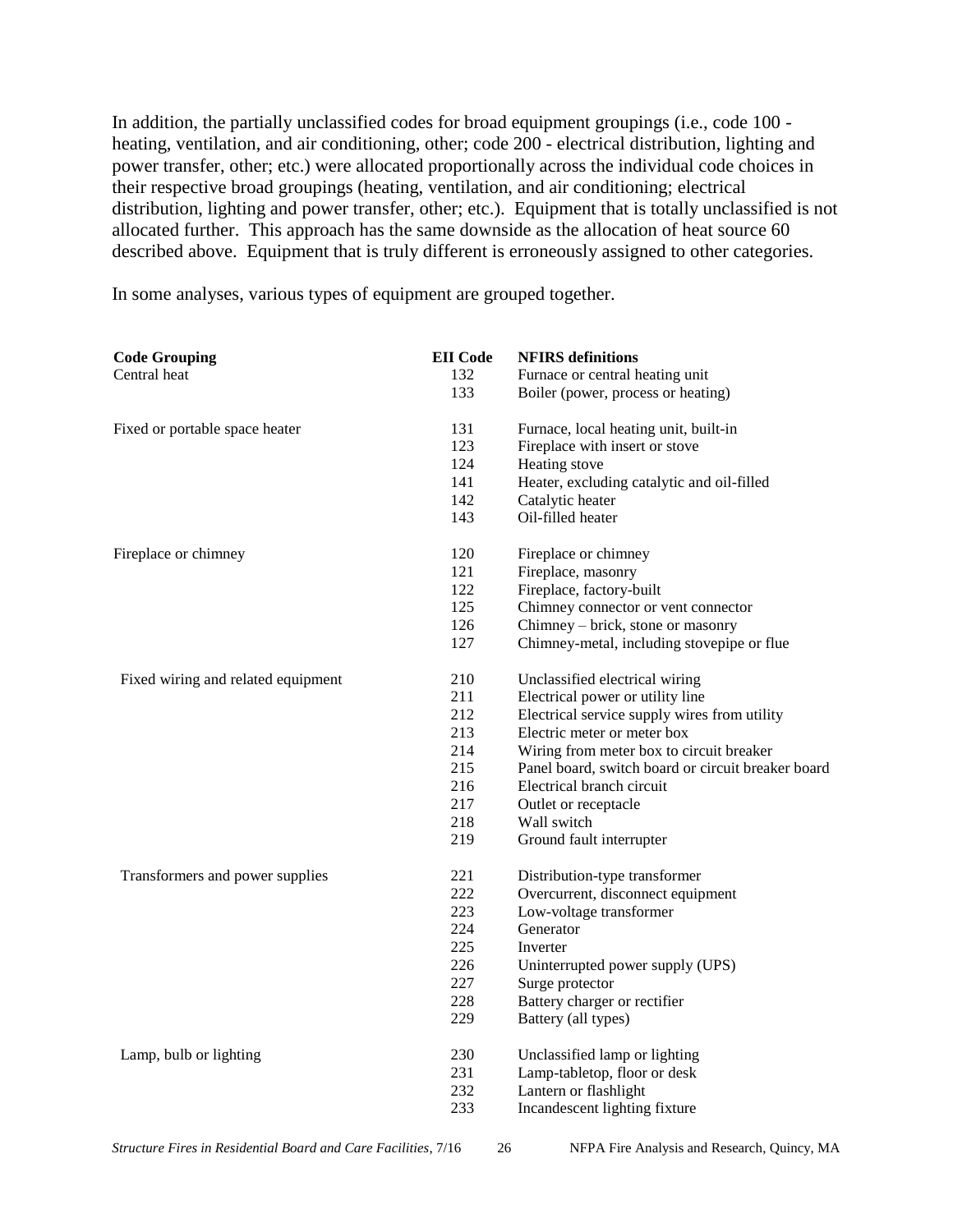In addition, the partially unclassified codes for broad equipment groupings (i.e., code 100 heating, ventilation, and air conditioning, other; code 200 - electrical distribution, lighting and power transfer, other; etc.) were allocated proportionally across the individual code choices in their respective broad groupings (heating, ventilation, and air conditioning; electrical distribution, lighting and power transfer, other; etc.). Equipment that is totally unclassified is not allocated further. This approach has the same downside as the allocation of heat source 60 described above. Equipment that is truly different is erroneously assigned to other categories.

In some analyses, various types of equipment are grouped together.

| <b>Code Grouping</b>               | <b>EII</b> Code | <b>NFIRS</b> definitions                           |
|------------------------------------|-----------------|----------------------------------------------------|
| Central heat                       | 132             | Furnace or central heating unit                    |
|                                    | 133             | Boiler (power, process or heating)                 |
| Fixed or portable space heater     | 131             | Furnace, local heating unit, built-in              |
|                                    | 123             | Fireplace with insert or stove                     |
|                                    | 124             | Heating stove                                      |
|                                    | 141             | Heater, excluding catalytic and oil-filled         |
|                                    | 142             | Catalytic heater                                   |
|                                    | 143             | Oil-filled heater                                  |
| Fireplace or chimney               | 120             | Fireplace or chimney                               |
|                                    | 121             | Fireplace, masonry                                 |
|                                    | 122             | Fireplace, factory-built                           |
|                                    | 125             | Chimney connector or vent connector                |
|                                    | 126             | Chimney – brick, stone or masonry                  |
|                                    | 127             | Chimney-metal, including stovepipe or flue         |
| Fixed wiring and related equipment | 210             | Unclassified electrical wiring                     |
|                                    | 211             | Electrical power or utility line                   |
|                                    | 212             | Electrical service supply wires from utility       |
|                                    | 213             | Electric meter or meter box                        |
|                                    | 214             | Wiring from meter box to circuit breaker           |
|                                    | 215             | Panel board, switch board or circuit breaker board |
|                                    | 216             | Electrical branch circuit                          |
|                                    | 217             | Outlet or receptacle                               |
|                                    | 218             | Wall switch                                        |
|                                    | 219             | Ground fault interrupter                           |
| Transformers and power supplies    | 221             | Distribution-type transformer                      |
|                                    | 222             | Overcurrent, disconnect equipment                  |
|                                    | 223             | Low-voltage transformer                            |
|                                    | 224             | Generator                                          |
|                                    | 225             | Inverter                                           |
|                                    | 226             | Uninterrupted power supply (UPS)                   |
|                                    | 227             | Surge protector                                    |
|                                    | 228             | Battery charger or rectifier                       |
|                                    | 229             | Battery (all types)                                |
| Lamp, bulb or lighting             | 230             | Unclassified lamp or lighting                      |
|                                    | 231             | Lamp-tabletop, floor or desk                       |
|                                    | 232             | Lantern or flashlight                              |
|                                    | 233             | Incandescent lighting fixture                      |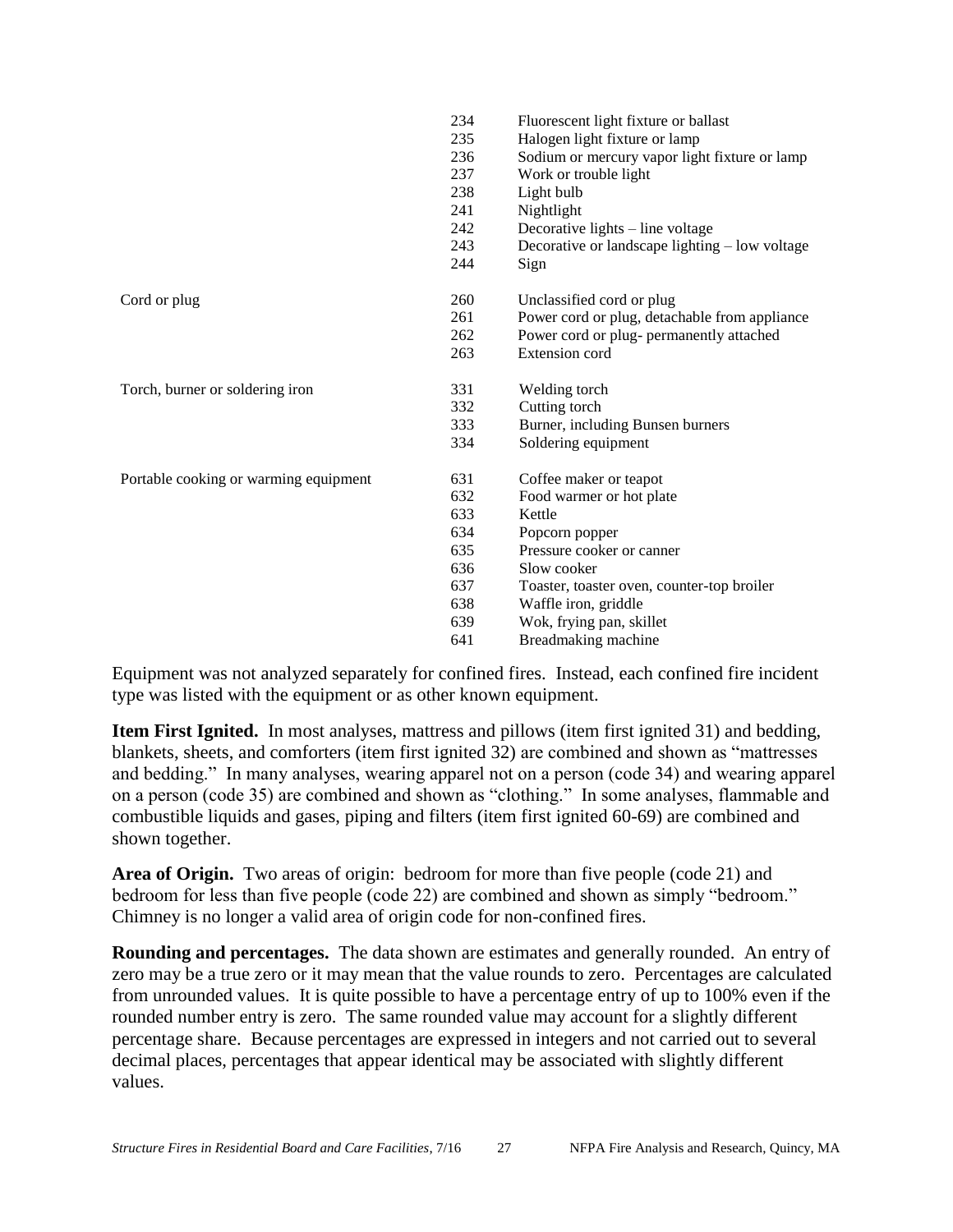|                                       | 234 | Fluorescent light fixture or ballast           |
|---------------------------------------|-----|------------------------------------------------|
|                                       | 235 | Halogen light fixture or lamp                  |
|                                       | 236 | Sodium or mercury vapor light fixture or lamp  |
|                                       | 237 | Work or trouble light                          |
|                                       | 238 | Light bulb                                     |
|                                       | 241 | Nightlight                                     |
|                                       | 242 | Decorative lights - line voltage               |
|                                       | 243 | Decorative or landscape lighting - low voltage |
|                                       | 244 | Sign                                           |
| Cord or plug                          | 260 | Unclassified cord or plug                      |
|                                       | 261 | Power cord or plug, detachable from appliance  |
|                                       | 262 | Power cord or plug- permanently attached       |
|                                       | 263 | Extension cord                                 |
| Torch, burner or soldering iron       | 331 | Welding torch                                  |
|                                       | 332 | Cutting torch                                  |
|                                       | 333 | Burner, including Bunsen burners               |
|                                       | 334 | Soldering equipment                            |
| Portable cooking or warming equipment | 631 | Coffee maker or teapot                         |
|                                       | 632 | Food warmer or hot plate                       |
|                                       | 633 | Kettle                                         |
|                                       | 634 | Popcorn popper                                 |
|                                       | 635 | Pressure cooker or canner                      |
|                                       | 636 | Slow cooker                                    |
|                                       | 637 | Toaster, toaster oven, counter-top broiler     |
|                                       | 638 | Waffle iron, griddle                           |
|                                       | 639 | Wok, frying pan, skillet                       |
|                                       | 641 | Breadmaking machine                            |

Equipment was not analyzed separately for confined fires. Instead, each confined fire incident type was listed with the equipment or as other known equipment.

**Item First Ignited.** In most analyses, mattress and pillows (item first ignited 31) and bedding, blankets, sheets, and comforters (item first ignited 32) are combined and shown as "mattresses and bedding." In many analyses, wearing apparel not on a person (code 34) and wearing apparel on a person (code 35) are combined and shown as "clothing." In some analyses, flammable and combustible liquids and gases, piping and filters (item first ignited 60-69) are combined and shown together.

**Area of Origin.** Two areas of origin: bedroom for more than five people (code 21) and bedroom for less than five people (code 22) are combined and shown as simply "bedroom." Chimney is no longer a valid area of origin code for non-confined fires.

**Rounding and percentages.** The data shown are estimates and generally rounded. An entry of zero may be a true zero or it may mean that the value rounds to zero. Percentages are calculated from unrounded values. It is quite possible to have a percentage entry of up to 100% even if the rounded number entry is zero. The same rounded value may account for a slightly different percentage share. Because percentages are expressed in integers and not carried out to several decimal places, percentages that appear identical may be associated with slightly different values.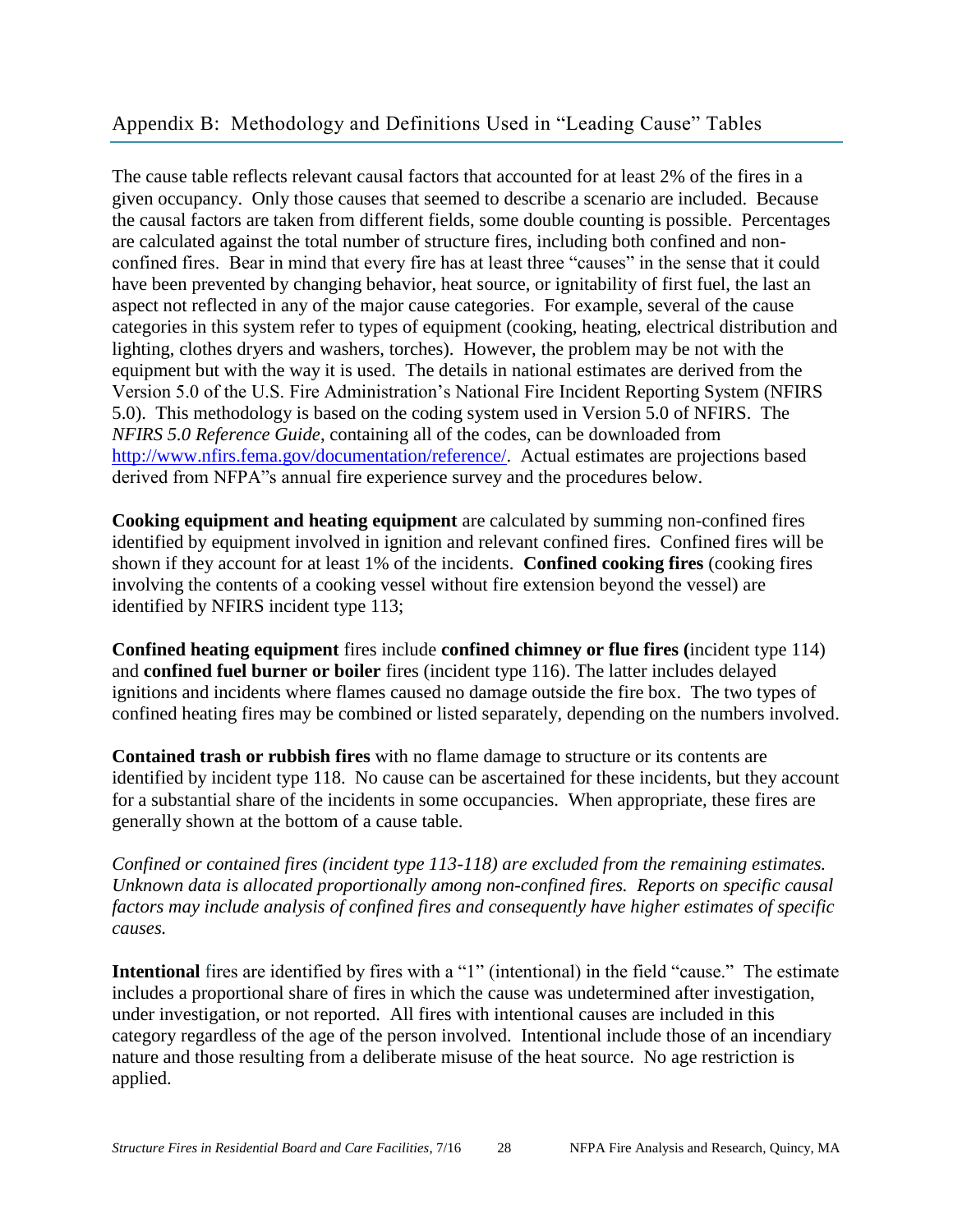The cause table reflects relevant causal factors that accounted for at least 2% of the fires in a given occupancy. Only those causes that seemed to describe a scenario are included. Because the causal factors are taken from different fields, some double counting is possible. Percentages are calculated against the total number of structure fires, including both confined and nonconfined fires. Bear in mind that every fire has at least three "causes" in the sense that it could have been prevented by changing behavior, heat source, or ignitability of first fuel, the last an aspect not reflected in any of the major cause categories. For example, several of the cause categories in this system refer to types of equipment (cooking, heating, electrical distribution and lighting, clothes dryers and washers, torches). However, the problem may be not with the equipment but with the way it is used. The details in national estimates are derived from the Version 5.0 of the U.S. Fire Administration's National Fire Incident Reporting System (NFIRS 5.0). This methodology is based on the coding system used in Version 5.0 of NFIRS. The *NFIRS 5.0 Reference Guide*, containing all of the codes, can be downloaded from [http://www.nfirs.fema.gov/documentation/reference/.](http://www.nfirs.fema.gov/documentation/reference/) Actual estimates are projections based derived from NFPA"s annual fire experience survey and the procedures below.

**Cooking equipment and heating equipment** are calculated by summing non-confined fires identified by equipment involved in ignition and relevant confined fires. Confined fires will be shown if they account for at least 1% of the incidents. **Confined cooking fires** (cooking fires involving the contents of a cooking vessel without fire extension beyond the vessel) are identified by NFIRS incident type 113;

**Confined heating equipment** fires include **confined chimney or flue fires (**incident type 114) and **confined fuel burner or boiler** fires (incident type 116). The latter includes delayed ignitions and incidents where flames caused no damage outside the fire box. The two types of confined heating fires may be combined or listed separately, depending on the numbers involved.

**Contained trash or rubbish fires** with no flame damage to structure or its contents are identified by incident type 118. No cause can be ascertained for these incidents, but they account for a substantial share of the incidents in some occupancies. When appropriate, these fires are generally shown at the bottom of a cause table.

*Confined or contained fires (incident type 113-118) are excluded from the remaining estimates. Unknown data is allocated proportionally among non-confined fires. Reports on specific causal factors may include analysis of confined fires and consequently have higher estimates of specific causes.* 

**Intentional** fires are identified by fires with a "1" (intentional) in the field "cause." The estimate includes a proportional share of fires in which the cause was undetermined after investigation, under investigation, or not reported. All fires with intentional causes are included in this category regardless of the age of the person involved. Intentional include those of an incendiary nature and those resulting from a deliberate misuse of the heat source. No age restriction is applied.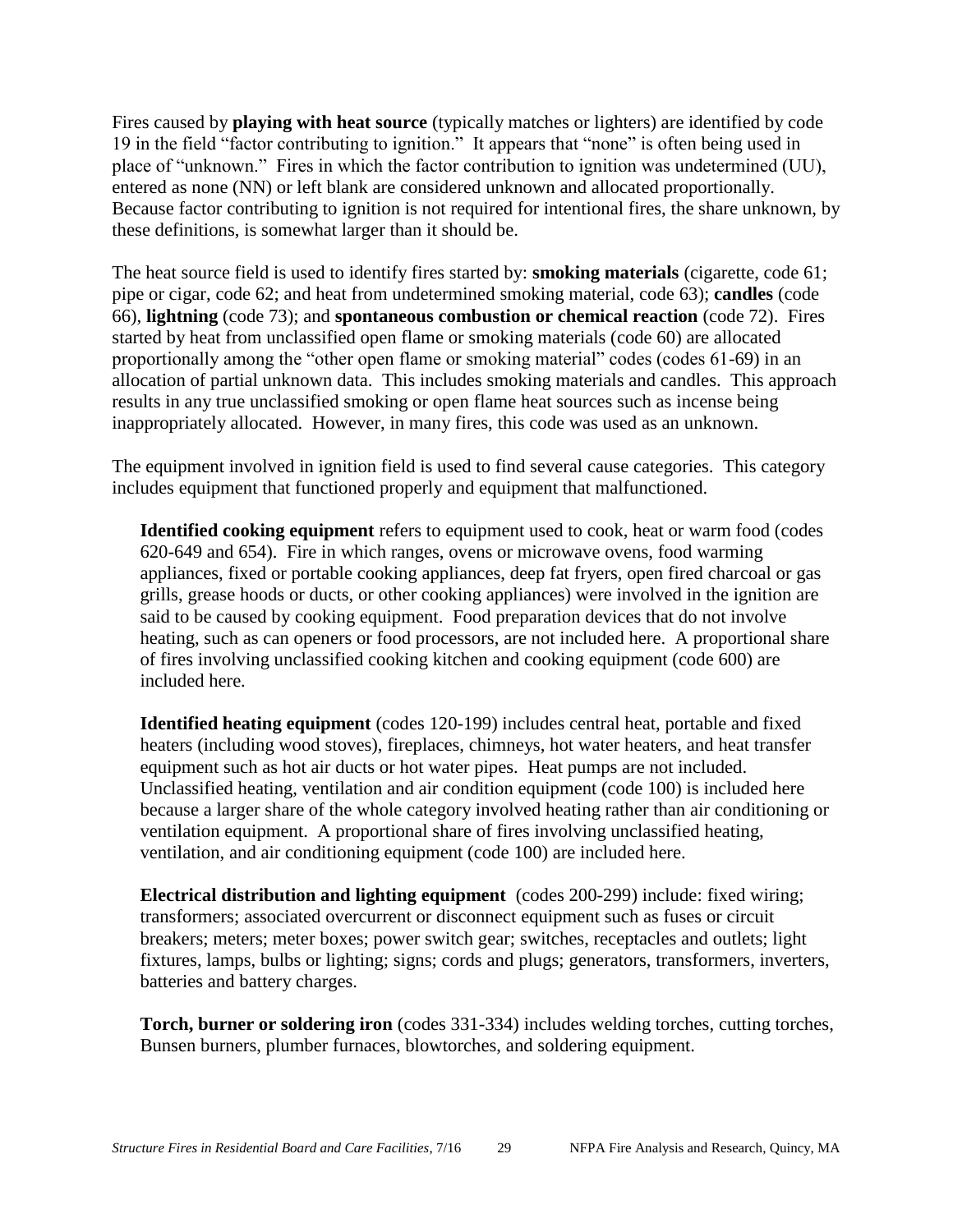Fires caused by **playing with heat source** (typically matches or lighters) are identified by code 19 in the field "factor contributing to ignition." It appears that "none" is often being used in place of "unknown." Fires in which the factor contribution to ignition was undetermined (UU), entered as none (NN) or left blank are considered unknown and allocated proportionally. Because factor contributing to ignition is not required for intentional fires, the share unknown, by these definitions, is somewhat larger than it should be.

The heat source field is used to identify fires started by: **smoking materials** (cigarette, code 61; pipe or cigar, code 62; and heat from undetermined smoking material, code 63); **candles** (code 66), **lightning** (code 73); and **spontaneous combustion or chemical reaction** (code 72). Fires started by heat from unclassified open flame or smoking materials (code 60) are allocated proportionally among the "other open flame or smoking material" codes (codes 61-69) in an allocation of partial unknown data. This includes smoking materials and candles. This approach results in any true unclassified smoking or open flame heat sources such as incense being inappropriately allocated. However, in many fires, this code was used as an unknown.

The equipment involved in ignition field is used to find several cause categories. This category includes equipment that functioned properly and equipment that malfunctioned.

**Identified cooking equipment** refers to equipment used to cook, heat or warm food (codes 620-649 and 654). Fire in which ranges, ovens or microwave ovens, food warming appliances, fixed or portable cooking appliances, deep fat fryers, open fired charcoal or gas grills, grease hoods or ducts, or other cooking appliances) were involved in the ignition are said to be caused by cooking equipment. Food preparation devices that do not involve heating, such as can openers or food processors, are not included here. A proportional share of fires involving unclassified cooking kitchen and cooking equipment (code 600) are included here.

**Identified heating equipment** (codes 120-199) includes central heat, portable and fixed heaters (including wood stoves), fireplaces, chimneys, hot water heaters, and heat transfer equipment such as hot air ducts or hot water pipes. Heat pumps are not included. Unclassified heating, ventilation and air condition equipment (code 100) is included here because a larger share of the whole category involved heating rather than air conditioning or ventilation equipment. A proportional share of fires involving unclassified heating, ventilation, and air conditioning equipment (code 100) are included here.

**Electrical distribution and lighting equipment** (codes 200-299) include: fixed wiring; transformers; associated overcurrent or disconnect equipment such as fuses or circuit breakers; meters; meter boxes; power switch gear; switches, receptacles and outlets; light fixtures, lamps, bulbs or lighting; signs; cords and plugs; generators, transformers, inverters, batteries and battery charges.

**Torch, burner or soldering iron** (codes 331-334) includes welding torches, cutting torches, Bunsen burners, plumber furnaces, blowtorches, and soldering equipment.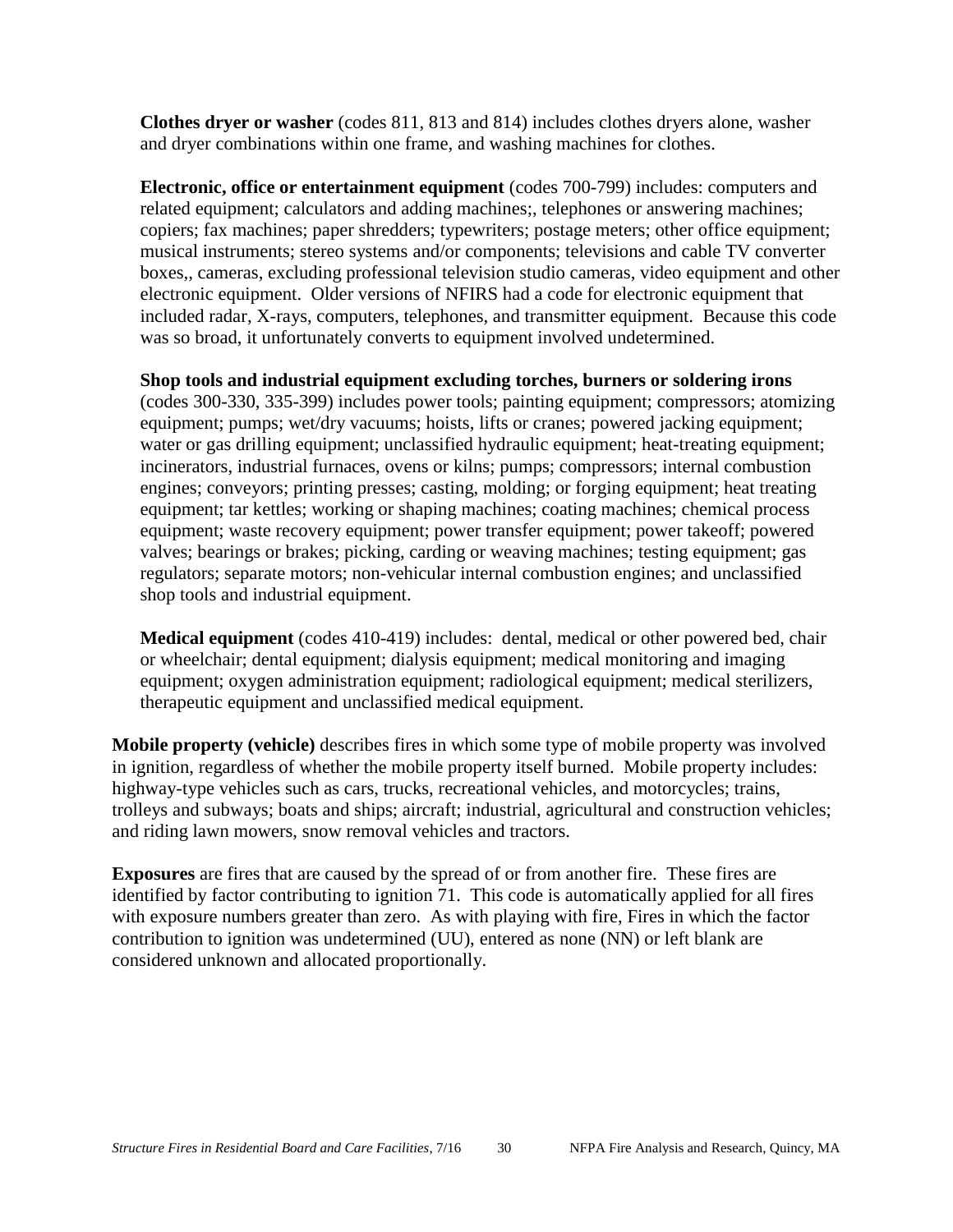**Clothes dryer or washer** (codes 811, 813 and 814) includes clothes dryers alone, washer and dryer combinations within one frame, and washing machines for clothes.

**Electronic, office or entertainment equipment** (codes 700-799) includes: computers and related equipment; calculators and adding machines;, telephones or answering machines; copiers; fax machines; paper shredders; typewriters; postage meters; other office equipment; musical instruments; stereo systems and/or components; televisions and cable TV converter boxes,, cameras, excluding professional television studio cameras, video equipment and other electronic equipment. Older versions of NFIRS had a code for electronic equipment that included radar, X-rays, computers, telephones, and transmitter equipment. Because this code was so broad, it unfortunately converts to equipment involved undetermined.

**Shop tools and industrial equipment excluding torches, burners or soldering irons** (codes 300-330, 335-399) includes power tools; painting equipment; compressors; atomizing equipment; pumps; wet/dry vacuums; hoists, lifts or cranes; powered jacking equipment; water or gas drilling equipment; unclassified hydraulic equipment; heat-treating equipment; incinerators, industrial furnaces, ovens or kilns; pumps; compressors; internal combustion engines; conveyors; printing presses; casting, molding; or forging equipment; heat treating equipment; tar kettles; working or shaping machines; coating machines; chemical process equipment; waste recovery equipment; power transfer equipment; power takeoff; powered valves; bearings or brakes; picking, carding or weaving machines; testing equipment; gas regulators; separate motors; non-vehicular internal combustion engines; and unclassified shop tools and industrial equipment.

**Medical equipment** (codes 410-419) includes: dental, medical or other powered bed, chair or wheelchair; dental equipment; dialysis equipment; medical monitoring and imaging equipment; oxygen administration equipment; radiological equipment; medical sterilizers, therapeutic equipment and unclassified medical equipment.

**Mobile property (vehicle)** describes fires in which some type of mobile property was involved in ignition, regardless of whether the mobile property itself burned. Mobile property includes: highway-type vehicles such as cars, trucks, recreational vehicles, and motorcycles; trains, trolleys and subways; boats and ships; aircraft; industrial, agricultural and construction vehicles; and riding lawn mowers, snow removal vehicles and tractors.

**Exposures** are fires that are caused by the spread of or from another fire. These fires are identified by factor contributing to ignition 71. This code is automatically applied for all fires with exposure numbers greater than zero. As with playing with fire, Fires in which the factor contribution to ignition was undetermined (UU), entered as none (NN) or left blank are considered unknown and allocated proportionally.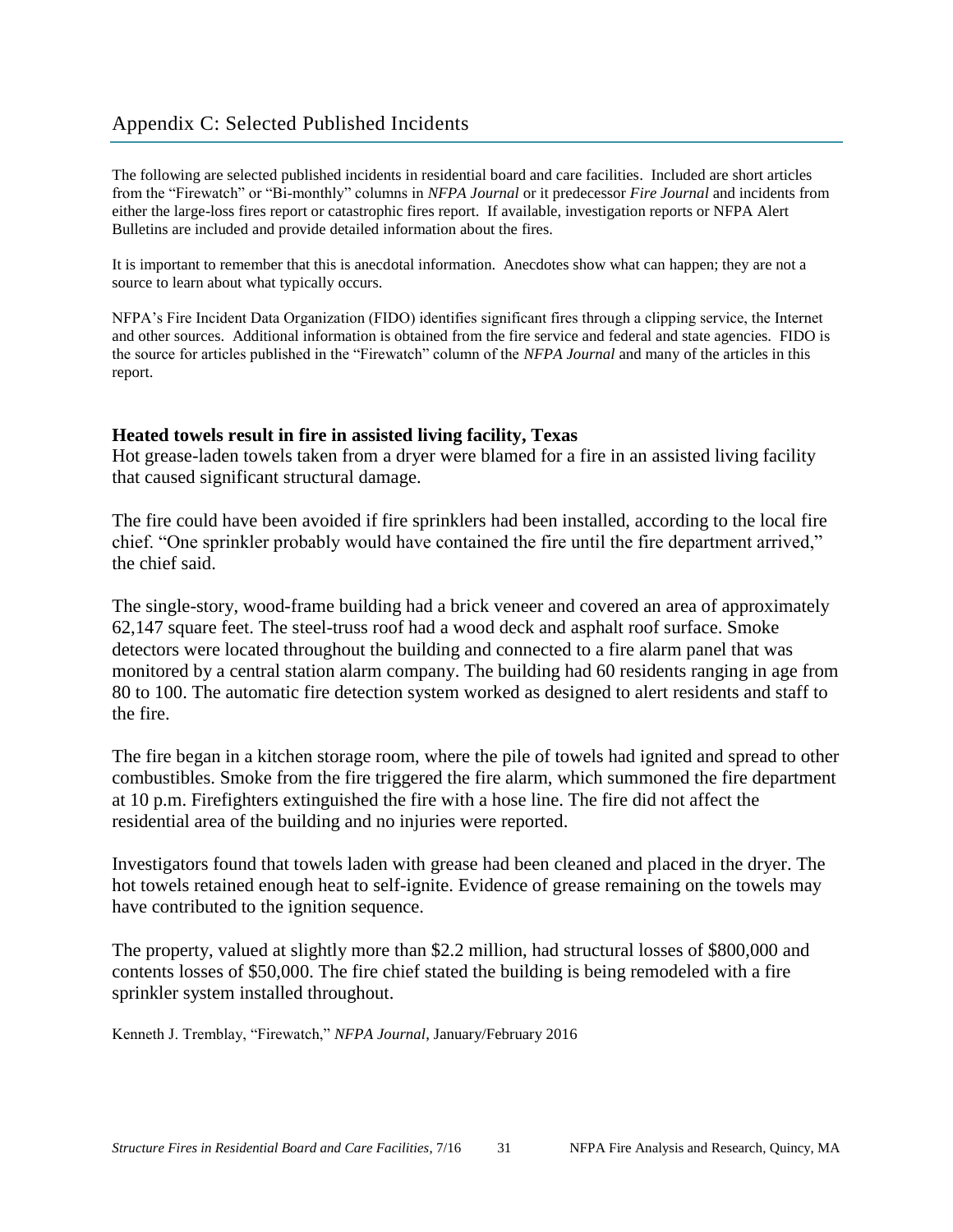The following are selected published incidents in residential board and care facilities. Included are short articles from the "Firewatch" or "Bi-monthly" columns in *NFPA Journal* or it predecessor *Fire Journal* and incidents from either the large-loss fires report or catastrophic fires report. If available, investigation reports or NFPA Alert Bulletins are included and provide detailed information about the fires.

It is important to remember that this is anecdotal information. Anecdotes show what can happen; they are not a source to learn about what typically occurs.

NFPA's Fire Incident Data Organization (FIDO) identifies significant fires through a clipping service, the Internet and other sources. Additional information is obtained from the fire service and federal and state agencies. FIDO is the source for articles published in the "Firewatch" column of the *NFPA Journal* and many of the articles in this report.

## **Heated towels result in fire in assisted living facility, Texas**

Hot grease-laden towels taken from a dryer were blamed for a fire in an assisted living facility that caused significant structural damage.

The fire could have been avoided if fire sprinklers had been installed, according to the local fire chief. "One sprinkler probably would have contained the fire until the fire department arrived," the chief said.

The single-story, wood-frame building had a brick veneer and covered an area of approximately 62,147 square feet. The steel-truss roof had a wood deck and asphalt roof surface. Smoke detectors were located throughout the building and connected to a fire alarm panel that was monitored by a central station alarm company. The building had 60 residents ranging in age from 80 to 100. The automatic fire detection system worked as designed to alert residents and staff to the fire.

The fire began in a kitchen storage room, where the pile of towels had ignited and spread to other combustibles. Smoke from the fire triggered the fire alarm, which summoned the fire department at 10 p.m. Firefighters extinguished the fire with a hose line. The fire did not affect the residential area of the building and no injuries were reported.

Investigators found that towels laden with grease had been cleaned and placed in the dryer. The hot towels retained enough heat to self-ignite. Evidence of grease remaining on the towels may have contributed to the ignition sequence.

The property, valued at slightly more than \$2.2 million, had structural losses of \$800,000 and contents losses of \$50,000. The fire chief stated the building is being remodeled with a fire sprinkler system installed throughout.

Kenneth J. Tremblay, "Firewatch," *NFPA Journal*, January/February 2016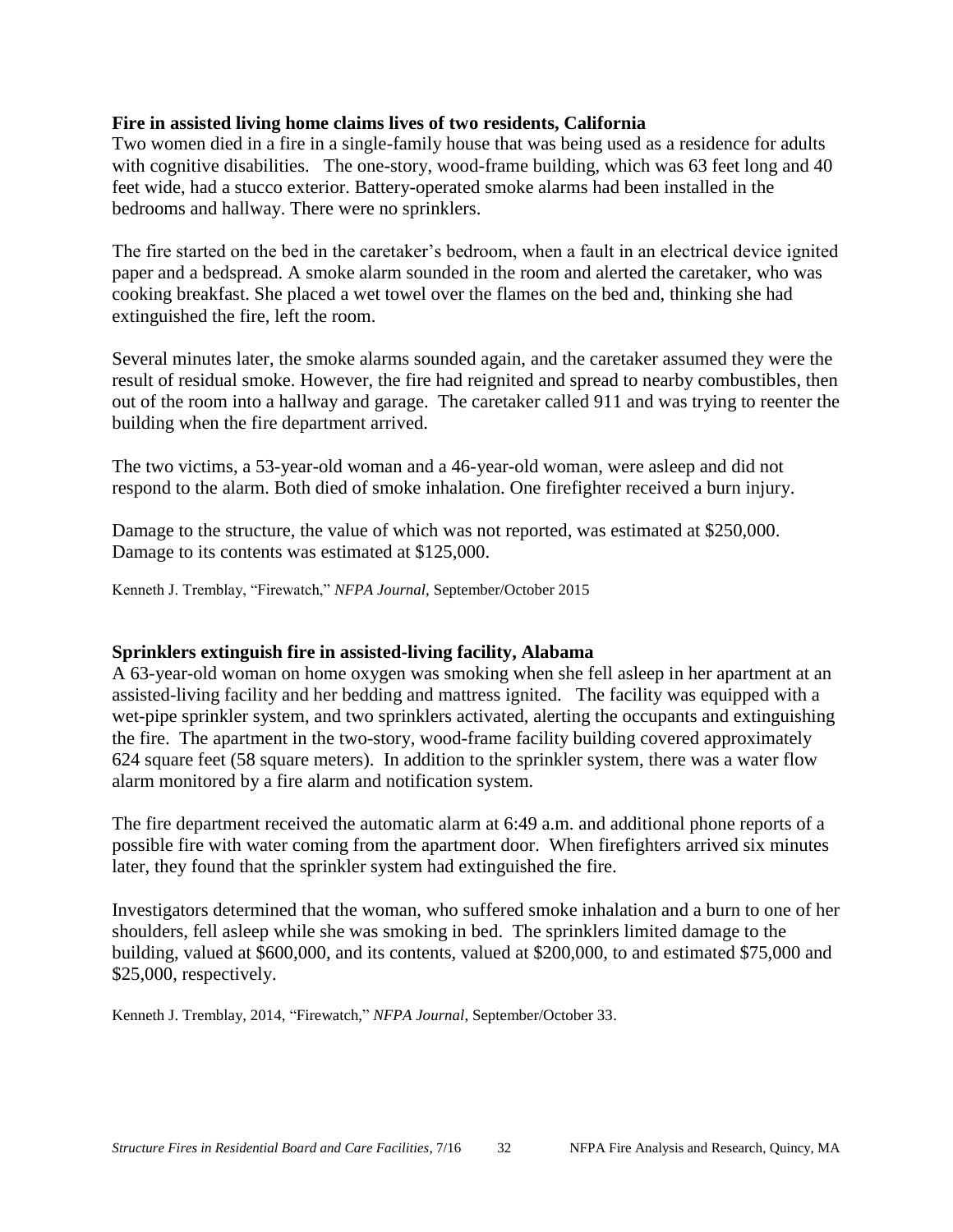## **Fire in assisted living home claims lives of two residents, California**

Two women died in a fire in a single-family house that was being used as a residence for adults with cognitive disabilities. The one-story, wood-frame building, which was 63 feet long and 40 feet wide, had a stucco exterior. Battery-operated smoke alarms had been installed in the bedrooms and hallway. There were no sprinklers.

The fire started on the bed in the caretaker's bedroom, when a fault in an electrical device ignited paper and a bedspread. A smoke alarm sounded in the room and alerted the caretaker, who was cooking breakfast. She placed a wet towel over the flames on the bed and, thinking she had extinguished the fire, left the room.

Several minutes later, the smoke alarms sounded again, and the caretaker assumed they were the result of residual smoke. However, the fire had reignited and spread to nearby combustibles, then out of the room into a hallway and garage. The caretaker called 911 and was trying to reenter the building when the fire department arrived.

The two victims, a 53-year-old woman and a 46-year-old woman, were asleep and did not respond to the alarm. Both died of smoke inhalation. One firefighter received a burn injury.

Damage to the structure, the value of which was not reported, was estimated at \$250,000. Damage to its contents was estimated at \$125,000.

Kenneth J. Tremblay, "Firewatch," *NFPA Journal,* September/October 2015

#### **Sprinklers extinguish fire in assisted-living facility, Alabama**

A 63-year-old woman on home oxygen was smoking when she fell asleep in her apartment at an assisted-living facility and her bedding and mattress ignited. The facility was equipped with a wet-pipe sprinkler system, and two sprinklers activated, alerting the occupants and extinguishing the fire. The apartment in the two-story, wood-frame facility building covered approximately 624 square feet (58 square meters). In addition to the sprinkler system, there was a water flow alarm monitored by a fire alarm and notification system.

The fire department received the automatic alarm at 6:49 a.m. and additional phone reports of a possible fire with water coming from the apartment door. When firefighters arrived six minutes later, they found that the sprinkler system had extinguished the fire.

Investigators determined that the woman, who suffered smoke inhalation and a burn to one of her shoulders, fell asleep while she was smoking in bed. The sprinklers limited damage to the building, valued at \$600,000, and its contents, valued at \$200,000, to and estimated \$75,000 and \$25,000, respectively.

Kenneth J. Tremblay, 2014, "Firewatch," *NFPA Journal*, September/October 33.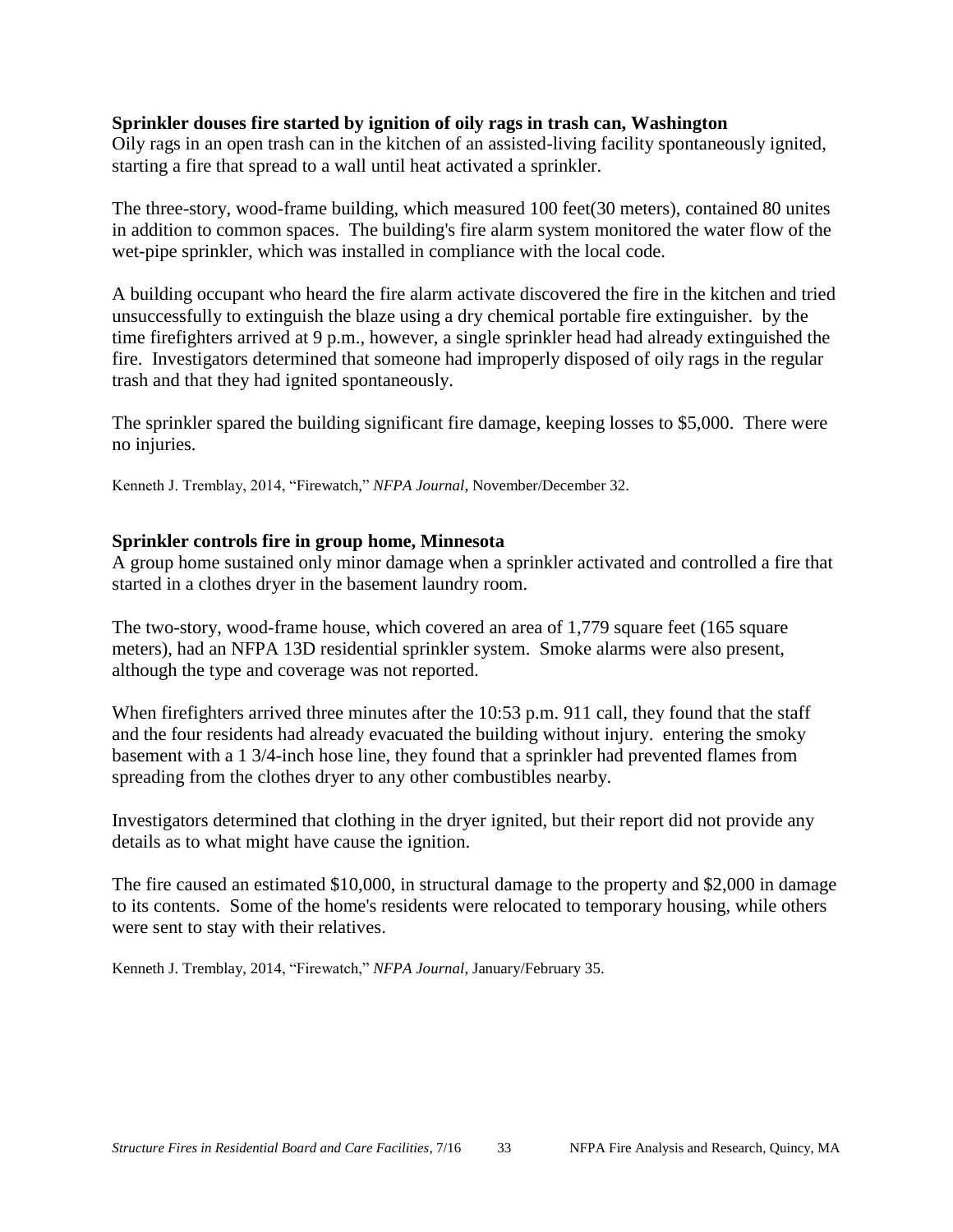## **Sprinkler douses fire started by ignition of oily rags in trash can, Washington**

Oily rags in an open trash can in the kitchen of an assisted-living facility spontaneously ignited, starting a fire that spread to a wall until heat activated a sprinkler.

The three-story, wood-frame building, which measured 100 feet(30 meters), contained 80 unites in addition to common spaces. The building's fire alarm system monitored the water flow of the wet-pipe sprinkler, which was installed in compliance with the local code.

A building occupant who heard the fire alarm activate discovered the fire in the kitchen and tried unsuccessfully to extinguish the blaze using a dry chemical portable fire extinguisher. by the time firefighters arrived at 9 p.m., however, a single sprinkler head had already extinguished the fire. Investigators determined that someone had improperly disposed of oily rags in the regular trash and that they had ignited spontaneously.

The sprinkler spared the building significant fire damage, keeping losses to \$5,000. There were no injuries.

Kenneth J. Tremblay, 2014, "Firewatch," *NFPA Journal*, November/December 32.

## **Sprinkler controls fire in group home, Minnesota**

A group home sustained only minor damage when a sprinkler activated and controlled a fire that started in a clothes dryer in the basement laundry room.

The two-story, wood-frame house, which covered an area of 1,779 square feet (165 square meters), had an NFPA 13D residential sprinkler system. Smoke alarms were also present, although the type and coverage was not reported.

When firefighters arrived three minutes after the 10:53 p.m. 911 call, they found that the staff and the four residents had already evacuated the building without injury. entering the smoky basement with a 1 3/4-inch hose line, they found that a sprinkler had prevented flames from spreading from the clothes dryer to any other combustibles nearby.

Investigators determined that clothing in the dryer ignited, but their report did not provide any details as to what might have cause the ignition.

The fire caused an estimated \$10,000, in structural damage to the property and \$2,000 in damage to its contents. Some of the home's residents were relocated to temporary housing, while others were sent to stay with their relatives.

Kenneth J. Tremblay, 2014, "Firewatch," *NFPA Journal*, January/February 35.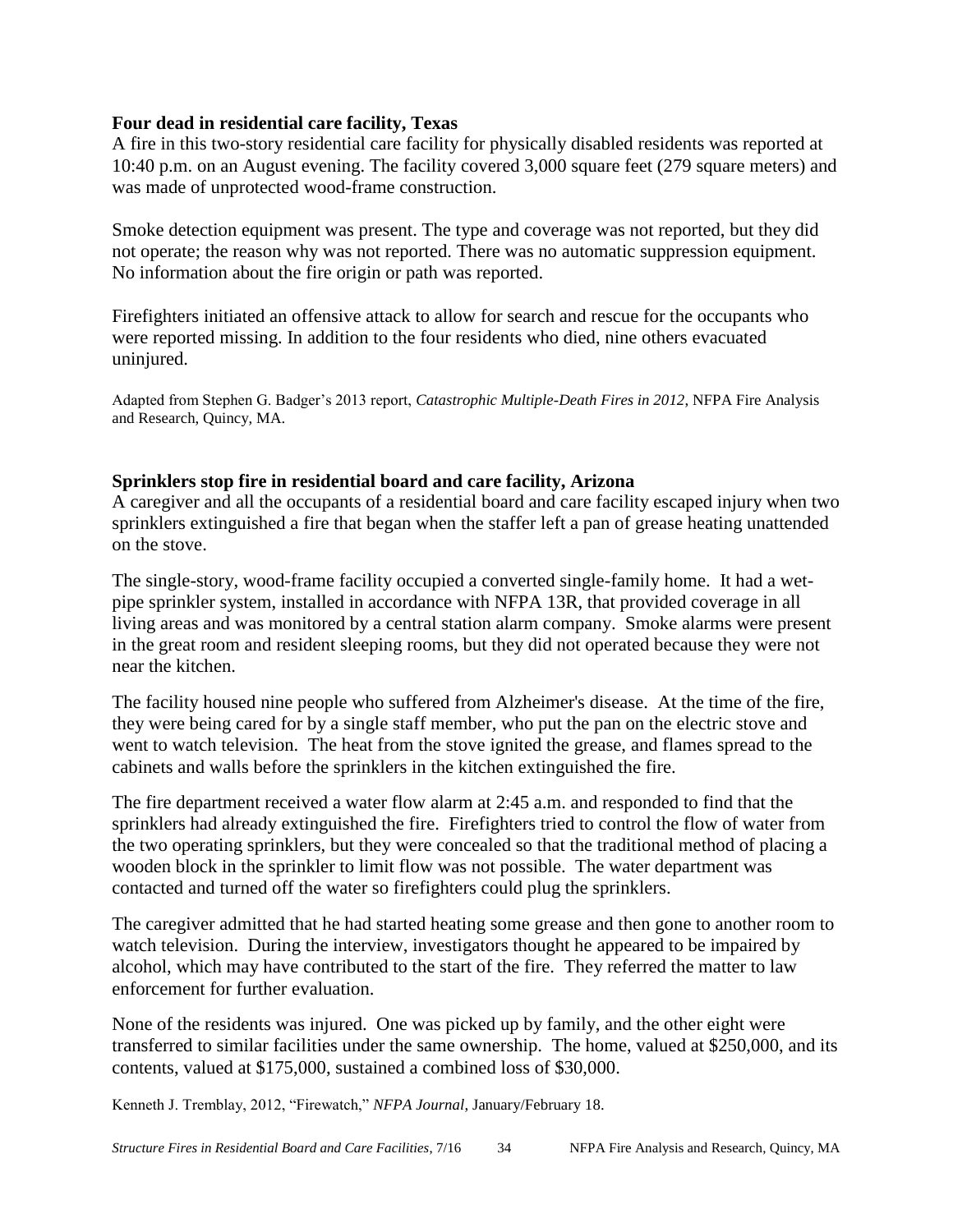## **Four dead in residential care facility, Texas**

A fire in this two-story residential care facility for physically disabled residents was reported at 10:40 p.m. on an August evening. The facility covered 3,000 square feet (279 square meters) and was made of unprotected wood-frame construction.

Smoke detection equipment was present. The type and coverage was not reported, but they did not operate; the reason why was not reported. There was no automatic suppression equipment. No information about the fire origin or path was reported.

Firefighters initiated an offensive attack to allow for search and rescue for the occupants who were reported missing. In addition to the four residents who died, nine others evacuated uninjured.

Adapted from Stephen G. Badger's 2013 report, *Catastrophic Multiple-Death Fires in 2012*, NFPA Fire Analysis and Research, Quincy, MA.

## **Sprinklers stop fire in residential board and care facility, Arizona**

A caregiver and all the occupants of a residential board and care facility escaped injury when two sprinklers extinguished a fire that began when the staffer left a pan of grease heating unattended on the stove.

The single-story, wood-frame facility occupied a converted single-family home. It had a wetpipe sprinkler system, installed in accordance with NFPA 13R, that provided coverage in all living areas and was monitored by a central station alarm company. Smoke alarms were present in the great room and resident sleeping rooms, but they did not operated because they were not near the kitchen.

The facility housed nine people who suffered from Alzheimer's disease. At the time of the fire, they were being cared for by a single staff member, who put the pan on the electric stove and went to watch television. The heat from the stove ignited the grease, and flames spread to the cabinets and walls before the sprinklers in the kitchen extinguished the fire.

The fire department received a water flow alarm at 2:45 a.m. and responded to find that the sprinklers had already extinguished the fire. Firefighters tried to control the flow of water from the two operating sprinklers, but they were concealed so that the traditional method of placing a wooden block in the sprinkler to limit flow was not possible. The water department was contacted and turned off the water so firefighters could plug the sprinklers.

The caregiver admitted that he had started heating some grease and then gone to another room to watch television. During the interview, investigators thought he appeared to be impaired by alcohol, which may have contributed to the start of the fire. They referred the matter to law enforcement for further evaluation.

None of the residents was injured. One was picked up by family, and the other eight were transferred to similar facilities under the same ownership. The home, valued at \$250,000, and its contents, valued at \$175,000, sustained a combined loss of \$30,000.

Kenneth J. Tremblay, 2012, "Firewatch," *NFPA Journal*, January/February 18.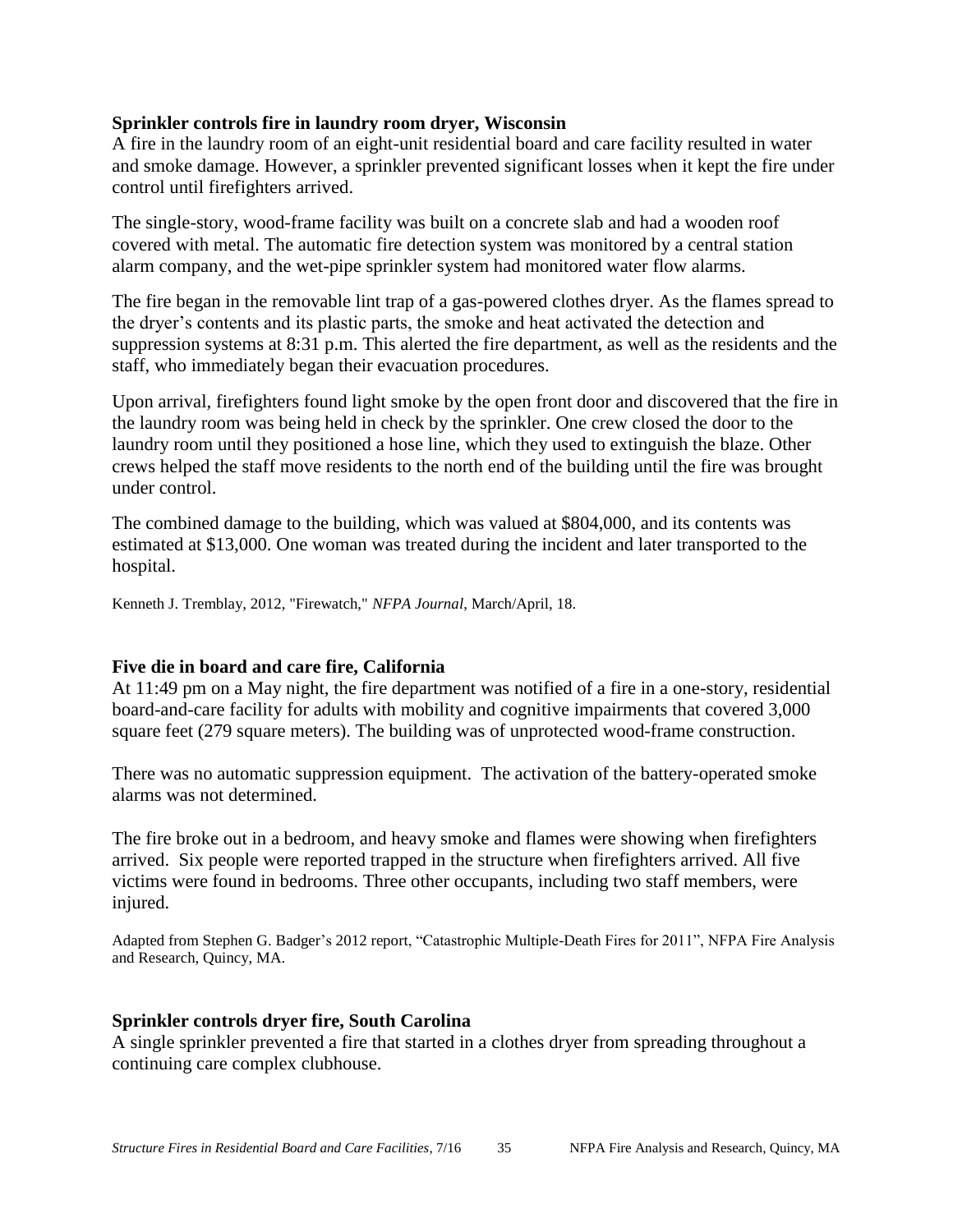## **Sprinkler controls fire in laundry room dryer, Wisconsin**

A fire in the laundry room of an eight-unit residential board and care facility resulted in water and smoke damage. However, a sprinkler prevented significant losses when it kept the fire under control until firefighters arrived.

The single-story, wood-frame facility was built on a concrete slab and had a wooden roof covered with metal. The automatic fire detection system was monitored by a central station alarm company, and the wet-pipe sprinkler system had monitored water flow alarms.

The fire began in the removable lint trap of a gas-powered clothes dryer. As the flames spread to the dryer's contents and its plastic parts, the smoke and heat activated the detection and suppression systems at 8:31 p.m. This alerted the fire department, as well as the residents and the staff, who immediately began their evacuation procedures.

Upon arrival, firefighters found light smoke by the open front door and discovered that the fire in the laundry room was being held in check by the sprinkler. One crew closed the door to the laundry room until they positioned a hose line, which they used to extinguish the blaze. Other crews helped the staff move residents to the north end of the building until the fire was brought under control.

The combined damage to the building, which was valued at \$804,000, and its contents was estimated at \$13,000. One woman was treated during the incident and later transported to the hospital.

Kenneth J. Tremblay, 2012, "Firewatch," *NFPA Journal*, March/April, 18.

## **Five die in board and care fire, California**

At 11:49 pm on a May night, the fire department was notified of a fire in a one-story, residential board-and-care facility for adults with mobility and cognitive impairments that covered 3,000 square feet (279 square meters). The building was of unprotected wood-frame construction.

There was no automatic suppression equipment. The activation of the battery-operated smoke alarms was not determined.

The fire broke out in a bedroom, and heavy smoke and flames were showing when firefighters arrived. Six people were reported trapped in the structure when firefighters arrived. All five victims were found in bedrooms. Three other occupants, including two staff members, were injured.

Adapted from Stephen G. Badger's 2012 report, "Catastrophic Multiple-Death Fires for 2011", NFPA Fire Analysis and Research, Quincy, MA.

## **Sprinkler controls dryer fire, South Carolina**

A single sprinkler prevented a fire that started in a clothes dryer from spreading throughout a continuing care complex clubhouse.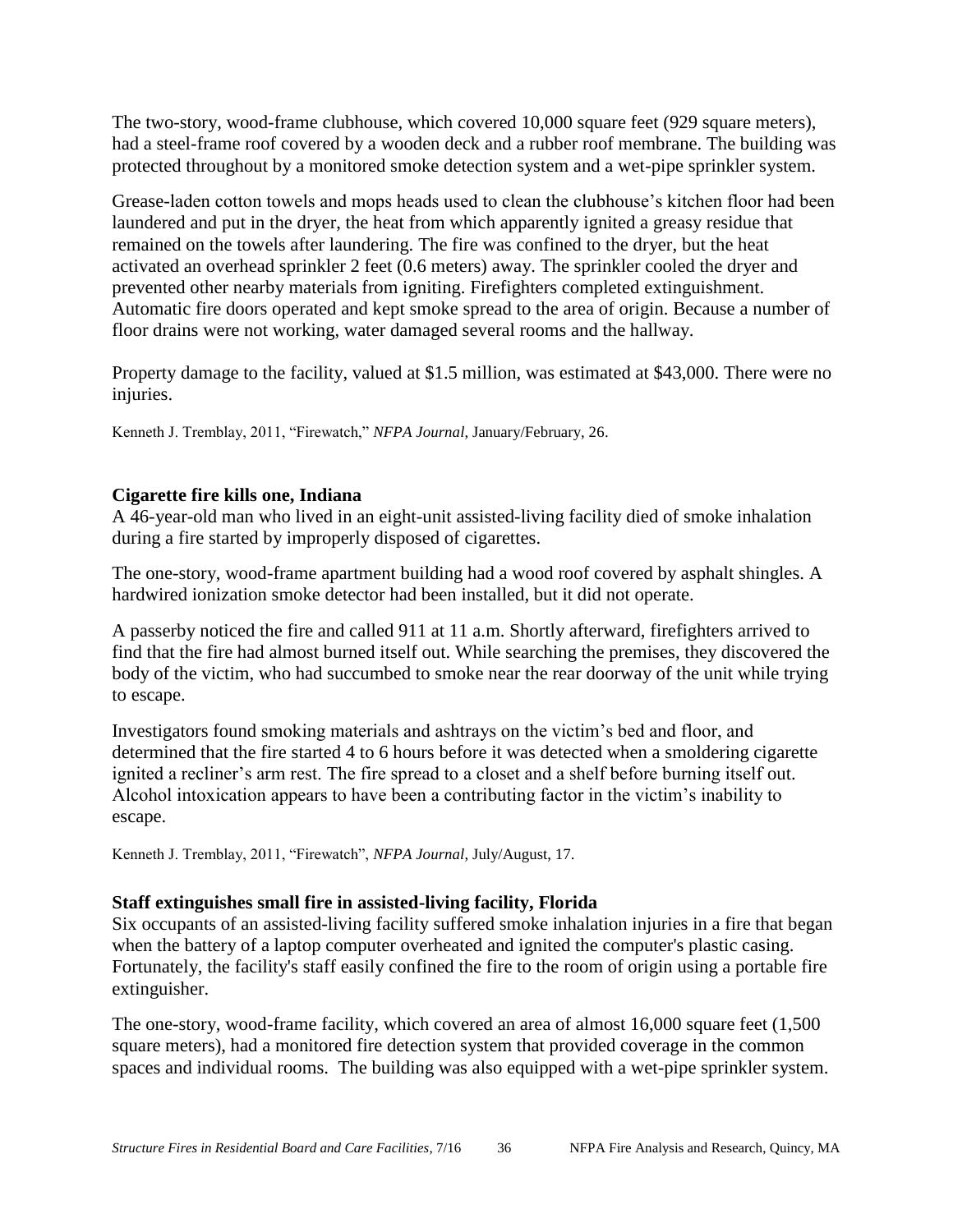The two-story, wood-frame clubhouse, which covered 10,000 square feet (929 square meters), had a steel-frame roof covered by a wooden deck and a rubber roof membrane. The building was protected throughout by a monitored smoke detection system and a wet-pipe sprinkler system.

Grease-laden cotton towels and mops heads used to clean the clubhouse's kitchen floor had been laundered and put in the dryer, the heat from which apparently ignited a greasy residue that remained on the towels after laundering. The fire was confined to the dryer, but the heat activated an overhead sprinkler 2 feet (0.6 meters) away. The sprinkler cooled the dryer and prevented other nearby materials from igniting. Firefighters completed extinguishment. Automatic fire doors operated and kept smoke spread to the area of origin. Because a number of floor drains were not working, water damaged several rooms and the hallway.

Property damage to the facility, valued at \$1.5 million, was estimated at \$43,000. There were no injuries.

Kenneth J. Tremblay, 2011, "Firewatch," *NFPA Journal*, January/February, 26.

## **Cigarette fire kills one, Indiana**

A 46-year-old man who lived in an eight-unit assisted-living facility died of smoke inhalation during a fire started by improperly disposed of cigarettes.

The one-story, wood-frame apartment building had a wood roof covered by asphalt shingles. A hardwired ionization smoke detector had been installed, but it did not operate.

A passerby noticed the fire and called 911 at 11 a.m. Shortly afterward, firefighters arrived to find that the fire had almost burned itself out. While searching the premises, they discovered the body of the victim, who had succumbed to smoke near the rear doorway of the unit while trying to escape.

Investigators found smoking materials and ashtrays on the victim's bed and floor, and determined that the fire started 4 to 6 hours before it was detected when a smoldering cigarette ignited a recliner's arm rest. The fire spread to a closet and a shelf before burning itself out. Alcohol intoxication appears to have been a contributing factor in the victim's inability to escape.

Kenneth J. Tremblay, 2011, "Firewatch", *NFPA Journal*, July/August, 17.

## **Staff extinguishes small fire in assisted-living facility, Florida**

Six occupants of an assisted-living facility suffered smoke inhalation injuries in a fire that began when the battery of a laptop computer overheated and ignited the computer's plastic casing. Fortunately, the facility's staff easily confined the fire to the room of origin using a portable fire extinguisher.

The one-story, wood-frame facility, which covered an area of almost 16,000 square feet (1,500 square meters), had a monitored fire detection system that provided coverage in the common spaces and individual rooms. The building was also equipped with a wet-pipe sprinkler system.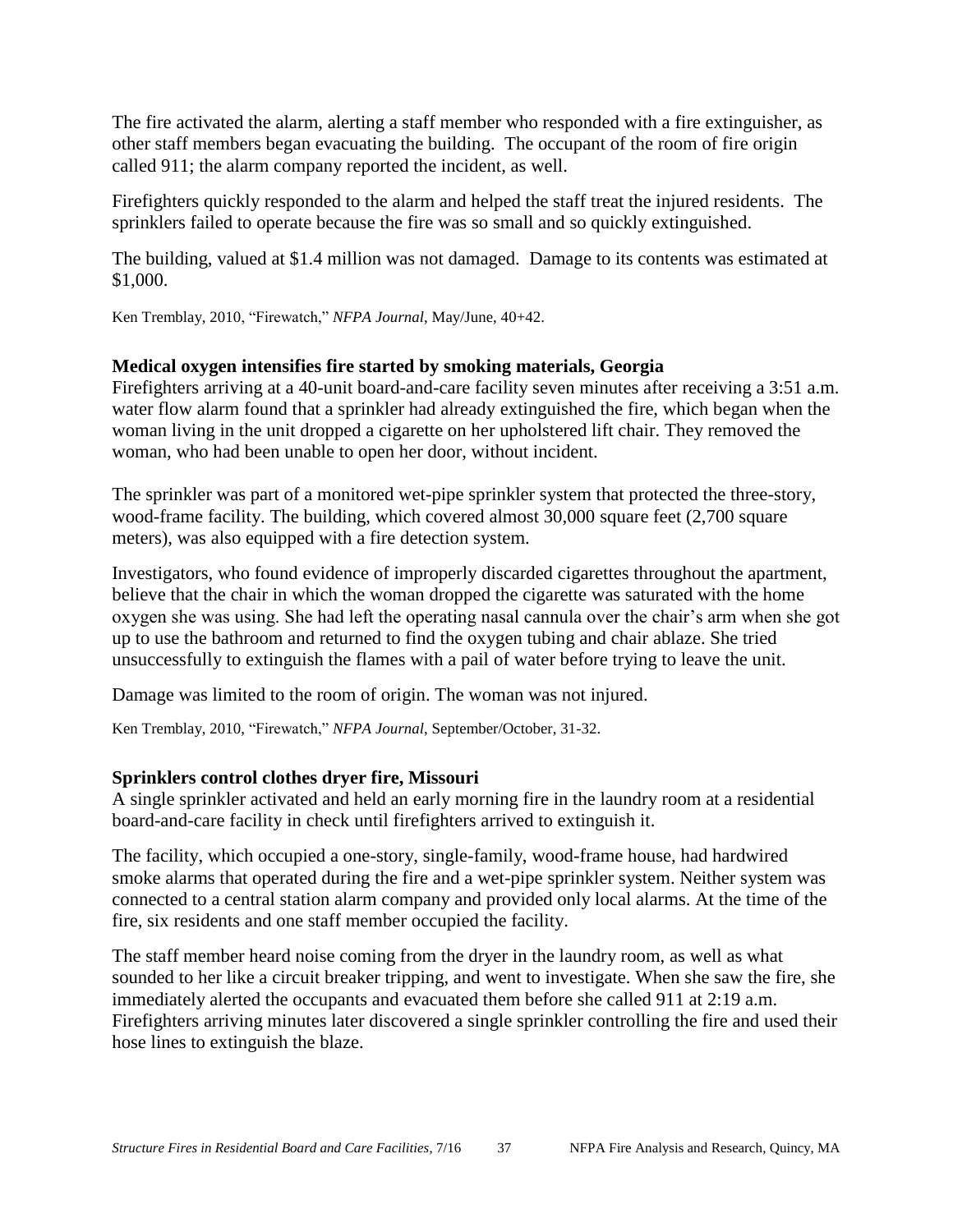The fire activated the alarm, alerting a staff member who responded with a fire extinguisher, as other staff members began evacuating the building. The occupant of the room of fire origin called 911; the alarm company reported the incident, as well.

Firefighters quickly responded to the alarm and helped the staff treat the injured residents. The sprinklers failed to operate because the fire was so small and so quickly extinguished.

The building, valued at \$1.4 million was not damaged. Damage to its contents was estimated at \$1,000.

Ken Tremblay, 2010, "Firewatch," *NFPA Journal*, May/June, 40+42.

## **Medical oxygen intensifies fire started by smoking materials, Georgia**

Firefighters arriving at a 40-unit board-and-care facility seven minutes after receiving a 3:51 a.m. water flow alarm found that a sprinkler had already extinguished the fire, which began when the woman living in the unit dropped a cigarette on her upholstered lift chair. They removed the woman, who had been unable to open her door, without incident.

The sprinkler was part of a monitored wet-pipe sprinkler system that protected the three-story, wood-frame facility. The building, which covered almost 30,000 square feet (2,700 square meters), was also equipped with a fire detection system.

Investigators, who found evidence of improperly discarded cigarettes throughout the apartment, believe that the chair in which the woman dropped the cigarette was saturated with the home oxygen she was using. She had left the operating nasal cannula over the chair's arm when she got up to use the bathroom and returned to find the oxygen tubing and chair ablaze. She tried unsuccessfully to extinguish the flames with a pail of water before trying to leave the unit.

Damage was limited to the room of origin. The woman was not injured.

Ken Tremblay, 2010, "Firewatch," *NFPA Journal*, September/October, 31-32.

## **Sprinklers control clothes dryer fire, Missouri**

A single sprinkler activated and held an early morning fire in the laundry room at a residential board-and-care facility in check until firefighters arrived to extinguish it.

The facility, which occupied a one-story, single-family, wood-frame house, had hardwired smoke alarms that operated during the fire and a wet-pipe sprinkler system. Neither system was connected to a central station alarm company and provided only local alarms. At the time of the fire, six residents and one staff member occupied the facility.

The staff member heard noise coming from the dryer in the laundry room, as well as what sounded to her like a circuit breaker tripping, and went to investigate. When she saw the fire, she immediately alerted the occupants and evacuated them before she called 911 at 2:19 a.m. Firefighters arriving minutes later discovered a single sprinkler controlling the fire and used their hose lines to extinguish the blaze.